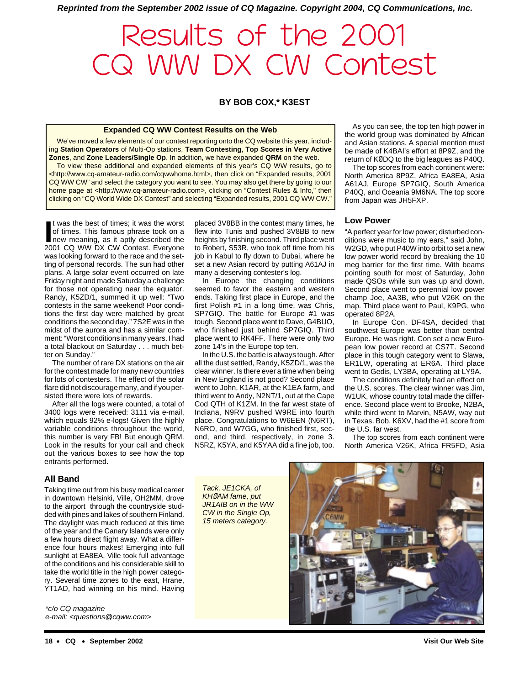**Reprinted from the September 2002 issue of CQ Magazine. Copyright 2004, CQ Communications, Inc.**

# Results of the 2001 CQ WW DX CW Contest

## **BY BOB COX,\* K3EST**

#### **Expanded CQ WW Contest Results on the Web**

We've moved a few elements of our contest reporting onto the CQ website this year, including **Station Operators** of Multi-Op stations, **Team Contesting**, **Top Scores in Very Active Zones**, and **Zone Leaders/Single Op**. In addition, we have expanded **QRM** on the web.

To view these additional and expanded elements of this year's CQ WW results, go to <http://www.cq-amateur-radio.com/cqwwhome.html>, then click on "Expanded results, 2001 CQ WW CW" and select the category you want to see. You may also get there by going to our home page at <http://www.cq-amateur-radio.com>, clicking on "Contest Rules & Info," then clicking on "CQ World Wide DX Contest" and selecting "Expanded results, 2001 CQ WW CW."

It was the best of times; it was the worst<br>of times. This famous phrase took on a<br>new meaning, as it aptly described the<br>2001 CQ WW DX CW Contest. Everyone t was the best of times; it was the worst of times. This famous phrase took on a new meaning, as it aptly described the was looking forward to the race and the setting of personal records. The sun had other plans. A large solar event occurred on late Friday night and made Saturday a challenge for those not operating near the equator. Randy, K5ZD/1, summed it up well: "Two contests in the same weekend! Poor conditions the first day were matched by great conditions the second day." 7S2E was in the midst of the aurora and has a similar comment: "Worst conditions in many years. I had a total blackout on Saturday . . . much better on Sunday."

The number of rare DX stations on the air for the contest made for many new countries for lots of contesters. The effect of the solar flare did not discourage many, and if you persisted there were lots of rewards.

After all the logs were counted, a total of 3400 logs were received: 3111 via e-mail, which equals 92% e-logs! Given the highly variable conditions throughout the world, this number is very FB! But enough QRM. Look in the results for your call and check out the various boxes to see how the top entrants performed.

## **All Band**

Taking time out from his busy medical career in downtown Helsinki, Ville, OH2MM, drove to the airport through the countryside studded with pines and lakes of southern Finland. The daylight was much reduced at this time of the year and the Canary Islands were only a few hours direct flight away. What a difference four hours makes! Emerging into full sunlight at EA8EA, Ville took full advantage of the conditions and his considerable skill to take the world title in the high power category. Several time zones to the east, Hrane, YT1AD, had winning on his mind. Having

\*c/o CQ magazine e-mail: <questions@cqww.com>

placed 3V8BB in the contest many times, he flew into Tunis and pushed 3V8BB to new heights by finishing second. Third place went to Robert, S53R, who took off time from his job in Kabul to fly down to Dubai, where he set a new Asian record by putting A61AJ in many a deserving contester's log.

In Europe the changing conditions seemed to favor the eastern and western ends. Taking first place in Europe, and the first Polish #1 in a long time, was Chris, SP7GIQ. The battle for Europe #1 was tough. Second place went to Dave, G4BUO, who finished just behind SP7GIQ. Third place went to RK4FF. There were only two zone 14's in the Europe top ten.

In the U.S. the battle is always tough. After all the dust settled, Randy, K5ZD/1, was the clear winner. Is there ever a time when being in New England is not good? Second place went to John, K1AR, at the K1EA farm, and third went to Andy, N2NT/1, out at the Cape Cod QTH of K1ZM. In the far west state of Indiana, N9RV pushed W9RE into fourth place. Congratulations to W6EEN (N6RT), N6RO, and W7GG, who finished first, second, and third, respectively, in zone 3. N5RZ, K5YA, and K5YAA did a fine job, too.

As you can see, the top ten high power in the world group was dominated by African and Asian stations. A special mention must be made of K4BAI's effort at 8P9Z, and the return of KØDQ to the big leagues as P40Q.

The top scores from each continent were: North America 8P9Z, Africa EA8EA, Asia A61AJ, Europe SP7GIQ, South America P40Q, and Oceania 9M6NA. The top score from Japan was JH5FXP.

#### **Low Power**

"A perfect year for low power; disturbed conditions were music to my ears," said John, W2GD, who put P40W into orbit to set a new low power world record by breaking the 10 meg barrier for the first time. With beams pointing south for most of Saturday, John made QSOs while sun was up and down. Second place went to perennial low power champ Joe, AA3B, who put V26K on the map. Third place went to Paul, K9PG, who operated 8P2A.

In Europe Con, DF4SA, decided that southwest Europe was better than central Europe. He was right. Con set a new European low power record at CS7T. Second place in this tough category went to Slawa, ER1LW, operating at ER6A. Third place went to Gedis, LY3BA, operating at LY9A.

The conditions definitely had an effect on the U.S. scores. The clear winner was Jim, W1UK, whose country total made the difference. Second place went to Brooke, N2BA, while third went to Marvin, N5AW, way out in Texas. Bob, K6XV, had the #1 score from the U.S. far west.

The top scores from each continent were North America V26K, Africa FR5FD, Asia

Tack, JE1CKA, of KH*Ø*AM fame, put JR1AIB on in the WW CW in the Single Op, 15 meters category.

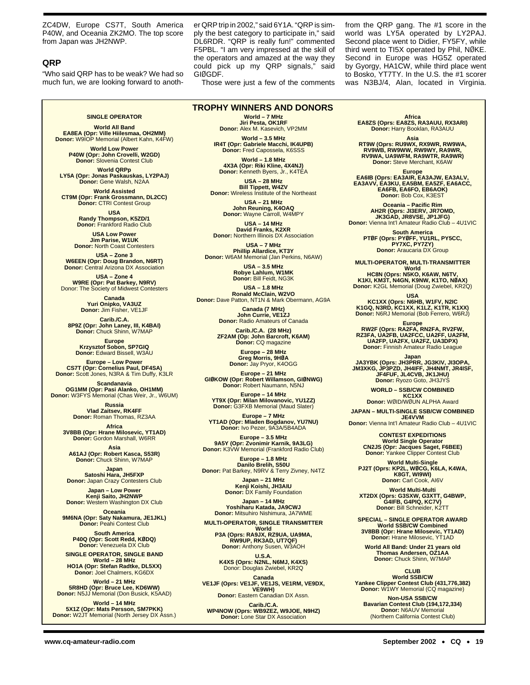ZC4DW, Europe CS7T, South America P40W, and Oceania ZK2MO. The top score from Japan was JH2NWP.

## **QRP**

"Who said QRP has to be weak? We had so much fun, we are looking forward to another QRP trip in 2002," said 6Y1A. "QRP is simply the best category to participate in," said DL6RDR. "QRP is really fun!" commented F5PBL. "I am very impressed at the skill of the operators and amazed at the way they could pick up my QRP signals," said GIØGDF.

Those were just a few of the comments

from the QRP gang. The #1 score in the world was LY5A operated by LY2PAJ. Second place went to Didier, FY5FY, while third went to TI5X operated by Phil, NØKE. Second in Europe was HG5Z operated by Gyorgy, HA1CW, while third place went to Bosko, YT7TY. In the U.S. the #1 scorer was N3BJ/4, Alan, located in Virginia.

## **SINGLE OPERATOR**

**World All Band EA8EA (Opr: Ville Hiilesmaa, OH2MM) Donor:** W9IOP Memorial (Albert Kahn, K4FW)

**World Low Power P40W (Opr: John Crovelli, W2GD) Donor:** Slovenia Contest Club

**World QRPp LY5A (Opr: Jonas Paskauskas, LY2PAJ) Donor:** Gene Walsh, N2AA

**World Assisted CT9M (Opr: Frank Grossmann, DL2CC) Donor:** CTRI Contest Group

> **USA Randy Thompson, K5ZD/1 Donor:** Frankford Radio Club

**USA Low Power Jim Parise, W1UK Donor:** North Coast Contesters

**USA – Zone 3 W6EEN (Opr: Doug Brandon, N6RT) Donor:** Central Arizona DX Association

**USA – Zone 4 W9RE (Opr: Pat Barkey, N9RV)** Donor: The Society of Midwest Contesters

**Canada Yuri Onipko, VA3UZ Donor:** Jim Fisher, VE1JF

**Carib./C.A. 8P9Z (Opr: John Laney, III, K4BAI) Donor:** Chuck Shinn, W7MAP

**Europe Krzysztof Sobon, SP7GIQ Donor:** Edward Bissell, W3AU

**Europe – Low Power CS7T (Opr: Cornelius Paul, DF4SA) Donor:** Scott Jones, N3RA & Tim Duffy, K3LR

**Scandanavia OG1MM (Opr: Pasi Alanko, OH1MM) Donor:** W3FYS Memorial (Chas Weir, Jr., W6UM)

> **Russia Vlad Zaitsev, RK4FF Donor:** Roman Thomas, RZ3AA

**Africa 3V8BB (Opr: Hrane Milosevic, YT1AD) Donor:** Gordon Marshall, W6RR

**Asia A61AJ (Opr: Robert Kasca, S53R) Donor:** Chuck Shinn, W7MAP

**Japan Satoshi Hara, JH5FXP Donor:** Japan Crazy Contesters Club

**Japan – Low Power Kenji Saito, JH2NWP Donor:** Western Washington DX Club

**Oceania 9M6NA (Opr: Saty Nakamura, JE1JKL) Donor:** Peahi Contest Club

> **South America P40Q (Opr: Scott Redd, KØDQ) Donor:** Venezuela DX Club

**SINGLE OPERATOR, SINGLE BAND World – 28 MHz HO1A (Opr: Stefan Radtke, DL5XX) Donor:** Joel Chalmers, KG6DX

**World – 21 MHz 5R8HD (Opr: Bruce Lee, KD6WW) Donor:** N5JJ Memorial (Don Busick, K5AAD)

**World – 14 MHz 5X1Z (Opr: Mats Persson, SM7PKK) Donor:** W2JT Memorial (North Jersey DX Assn.)

**World – 7 MHz Jiri Pesta, OK1RF Donor:** Alex M. Kasevich, VP2MM **TROPHY WINNERS AND DONORS**

> **World – 3.5 MHz IR4T (Opr: Gabriele Macchi, IK4UPB) Donor:** Fred Capossela, K6SSS

**World – 1.8 MHz 4X3A (Opr: Riki Kline, 4X4NJ) Donor:** Kenneth Byers, Jr., K4TEA

**USA – 28 MHz Bill Tippett, W4ZV Donor:** Wireless Institute of the Northeast

> **USA – 21 MHz John Reuning, K4OAQ Donor:** Wayne Carroll, W4MPY

**USA – 14 MHz David Franks, K2XR Donor:** Northern Illinois DX Association

**USA – 7 MHz Phillip Allardice, KT3Y Donor:** W6AM Memorial (Jan Perkins, N6AW)

> **USA – 3.5 MHz Robye Lahlum, W1MK Donor:** Bill Feidt, NG3K

**USA – 1.8 MHz Ronald McClain, W2VO Donor:** Dave Patton, NT1N & Mark Obermann, AG9A

**Canada (7 MHz) John Currie, VE1ZJ Donor:** Radio Amateurs of Canada

**Carib./C.A. (28 MHz) ZF2AM (Op: John Barcroft, K6AM) Donor:** CQ magazine

> **Europe – 28 MHz Greg Morris, 9HØA Donor:** Jay Pryor, K4OGG

**Europe – 21 MHz GIØKOW (Opr: Robert Willamson, GIØNWG) Donor:** Robert Naumann, N5NJ

**Europe – 14 MHz YT9X (Opr: Milan Milovanovic, YU1ZZ) Donor:** G3FXB Memorial (Maud Slater)

**Europe – 7 MHz YT1AD (Opr: Mladen Bogdanov, YU7NU) Donor:** Ivo Pezer, 9A3A/5B4ADA

**Europe – 3.5 MHz<br><b>9A5Y (Opr: Zvonimir Karnik, 9A3LG)**<br>Donor: K3VW Memorial (Frankford Radio Club)

**Europe – 1.8 MHz Danilo Brelih, S50U Donor:** Pat Barkey, N9RV & Terry Zivney, N4TZ

> **Japan – 21 MHz Kenji Koishi, JH3AIU Donor:** DX Family Foundation

**Japan – 14 MHz Yoshiharu Katada, JA9CWJ Donor:** Mitsuhiro Nishimura, JA7WME

**MULTI-OPERATOR, SINGLE TRANSMITTER World P3A (Oprs: RA9JX, RZ9UA, UA9MA, RW9UP, RK3AD, UT7QF) Donor:** Anthony Susen, W3AOH

**U.S.A. K4XS (Oprs: N2NL, N6MJ, K4XS)** Donor: Douglas Zwiebel, KR2Q

Canada<br>،VE1JF (Oprs: VE1JF, VE1JS, VE1RM, VE9DX<br>،VE9WH)

**Donor:** Eastern Canadian DX Assn.

**Carib./C.A. WP4NOW (Oprs: WB9ZEZ, W9JOE, N9HZ) Donor:** Lone Star DX Association

**Africa EA8ZS (Oprs: EA8ZS, RA3AUU, RX3ARI) Donor:** Harry Booklan, RA3AUU

**Asia**

**RT9W (Oprs: RU9WX, RX9WR, RW9WA, RV9WB, RW9WW, RW9WY, RA9WR, RV9WA, UA9WFM, RA9WTR, RA9WR) Donor:** Steve Merchant, K6AW

**Europe EA6IB (Oprs: EA3AIR, EA3AJW, EA3ALV, EA3AVV, EA3KU, EA5BM, EA5ZF, EA6ACC, EA6FB, EA6FO, EB6AOK) Donor:** Bob Cox, K3EST

**Oceania – Pacific Rim AH2R (Oprs: JI3ERV, JR7OMD, JK3GAD, JR8VSE, JP1JFG) Donor:** Vienna Int'l Amateur Radio Club – 4U1VIC

**South America PTØF (Oprs: PYØFF, YU1RL, PY5CC, PY7XC, PY7ZY)**

**Donor:** Araucaria DX Group

**MULTI-OPERATOR, MULTI-TRANSMITTER World**

**HC8N (Oprs: N5KO, K6AW, N6TV, K1KI, KM3T, N4GN, K9NW, K1TO, NØAX) Donor:** K2GL Memorial (Doug Zwiebel, KR2Q)

**USA KC1XX (Oprs: N6HB, W1FV, N2IC K1GQ, N3RD, KC1XX, K1LZ, K1TR, K1XX) Donor:** N6RJ Memorial (Bob Ferrero, W6RJ)

Europe<br>RW2F (Oprs: RA2FA, RN2FA, RV2FW,<br>RZ3FA, UA2FB, UA2FCC, UA2FF, UA2FM,<br>UA2FP, UA2FX, UA2FZ, UA3DPX)<br>Donor: Finnish Amateur Radio League

**Japan JA3YBK (Oprs: JH3PRR, JG3KIV, JI3OPA, JM3XKG, JP3PZD, JH4IFF, JH4NMT, JR4ISF, JF4FUF, JL4CVB, JK1JHU) Donor:** Ryozo Goto, JH3JYS

**WORLD – SSB/CW COMBINED KC1XX Donor:** WØID/WØUN ALPHA Award

**JAPAN – MULTI-SINGLE SSB/CW COMBINED JE4VVM**

**Donor:** Vienna Int'l Amateur Radio Club – 4U1VIC

**CONTEST EXPEDITIONS World Single Operator CN2JS (Opr: Jacques Saget, F6BEE) Donor: Yankee Clipper Contest Club** 

**World Multi-Single PJ2T (Oprs: KP2L, WØCG, K6LA, K4WA, K8GT, WI9WI) Donor:** Carl Cook, AI6V

**World Multi-Multi XT2DX (Oprs: G3SXW, G3XTT, G4BWP, G4IFB, G4PIQ, KC7V) Donor:** Bill Schneider, K2TT

**SPECIAL – SINGLE OPERATOR AWARD World SSB/CW Combined 3V8BB (Opr: Hrane Milosevic, YT1AD) Donor:** Hrane Milosevic, YT1AD

**World All Band: Under 21 years old Thomas Andersen, OZ1AA Donor:** Chuck Shinn, W7MAP

**CLUB World SSB/CW Yankee Clipper Contest Club (431,776,382) Donor:** W1WY Memorial (CQ magazine)

**Non-USA SSB/CW Bavarian Contest Club (194,172,334) Donor:** N6AUV Memorial (Northern California Contest Club)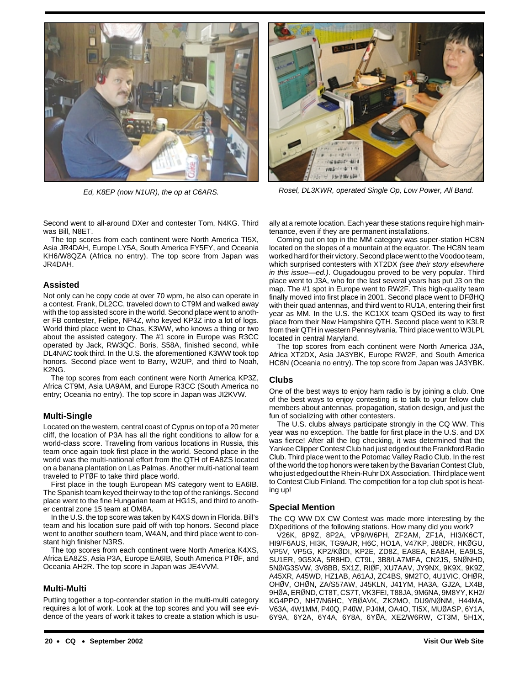

Second went to all-around DXer and contester Tom, N4KG. Third was Bill, N8ET.

The top scores from each continent were North America TI5X, Asia JR4DAH, Europe LY5A, South America FY5FY, and Oceania KH6/W8QZA (Africa no entry). The top score from Japan was JR4DAH.

## **Assisted**

Not only can he copy code at over 70 wpm, he also can operate in a contest. Frank, DL2CC, traveled down to CT9M and walked away with the top assisted score in the world. Second place went to another FB contester, Felipe, NP4Z, who keyed KP3Z into a lot of logs. World third place went to Chas, K3WW, who knows a thing or two about the assisted category. The #1 score in Europe was R3CC operated by Jack, RW3QC. Boris, S58A, finished second, while DL4NAC took third. In the U.S. the aforementioned K3WW took top honors. Second place went to Barry, W2UP, and third to Noah, K2NG.

The top scores from each continent were North America KP3Z, Africa CT9M, Asia UA9AM, and Europe R3CC (South America no entry; Oceania no entry). The top score in Japan was JI2KVW.

## **Multi-Single**

Located on the western, central coast of Cyprus on top of a 20 meter cliff, the location of P3A has all the right conditions to allow for a world-class score. Traveling from various locations in Russia, this team once again took first place in the world. Second place in the world was the multi-national effort from the QTH of EA8ZS located on a banana plantation on Las Palmas. Another multi-national team traveled to PTØF to take third place world.

First place in the tough European MS category went to EA6IB. The Spanish team keyed their way to the top of the rankings. Second place went to the fine Hungarian team at HG1S, and third to another central zone 15 team at OM8A.

In the U.S. the top score was taken by K4XS down in Florida. Bill's team and his location sure paid off with top honors. Second place went to another southern team, W4AN, and third place went to constant high finisher N3RS.

The top scores from each continent were North America K4XS, Africa EA8ZS, Asia P3A, Europe EA6IB, South America PTØF, and Oceania AH2R. The top score in Japan was JE4VVM.

## **Multi-Multi**

Putting together a top-contender station in the multi-multi category requires a lot of work. Look at the top scores and you will see evidence of the years of work it takes to create a station which is usu-



Ed, K8EP (now N1UR), the op at C6ARS. Rosel, DL3KWR, operated Single Op, Low Power, All Band.

ally at a remote location. Each year these stations require high maintenance, even if they are permanent installations.

Coming out on top in the MM category was super-station HC8N located on the slopes of a mountain at the equator. The HC8N team worked hard for their victory. Second place went to the Voodoo team, which surprised contesters with XT2DX (see their story elsewhere in this issue—ed.). Ougadougou proved to be very popular. Third place went to J3A, who for the last several years has put J3 on the map. The #1 spot in Europe went to RW2F. This high-quality team finally moved into first place in 2001. Second place went to DFØHQ with their quad antennas, and third went to RU1A, entering their first year as MM. In the U.S. the KC1XX team QSOed its way to first place from their New Hampshire QTH. Second place went to K3LR from their QTH in western Pennsylvania. Third place went to W3LPL located in central Maryland.

The top scores from each continent were North America J3A, Africa XT2DX, Asia JA3YBK, Europe RW2F, and South America HC8N (Oceania no entry). The top score from Japan was JA3YBK.

## **Clubs**

One of the best ways to enjoy ham radio is by joining a club. One of the best ways to enjoy contesting is to talk to your fellow club members about antennas, propagation, station design, and just the fun of socializing with other contesters.

The U.S. clubs always participate strongly in the CQ WW. This year was no exception. The battle for first place in the U.S. and DX was fierce! After all the log checking, it was determined that the Yankee Clipper Contest Club had just edged out the Frankford Radio Club. Third place went to the Potomac Valley Radio Club. In the rest of the world the top honors were taken by the Bavarian Contest Club, who just edged out the Rhein-Ruhr DX Association. Third place went to Contest Club Finland. The competition for a top club spot is heating up!

## **Special Mention**

The CQ WW DX CW Contest was made more interesting by the DXpeditions of the following stations. How many did you work?

V26K, 8P9Z, 8P2A, VP9/W6PH, ZF2AM, ZF1A, HI3/K6CT, HI9/F6AUS, HI3K, TG9AJR, H6C, HO1A, V47KP, J88DR, HKØGU, VP5V, VP5G, KP2/KØDI, KP2E, ZD8Z, EA8EA, EA8AH, EA9LS, SU1ER, 9G5XA, 5R8HD, CT9L, 3B8/LA7MFA, CN2JS, 5NØNHD, 5NØ/G3SVW, 3V8BB, 5X1Z, RIØF, XU7AAV, JY9NX, 9K9X, 9K9Z, A45XR, A45WD, HZ1AB, A61AJ, ZC4BS, 9M2TO, 4U1VIC, OHØR, OHØV, OHØN, ZA/S57AW, J45KLN, J41YM, HA3A, GJ2A, LX4B, 9HØA, ERØND, CT8T, CS7T, VK3FEI, T88JA, 9M6NA, 9M8YY, KH2/ KG4PPO, NH7/N6HC, YBØAVK, ZK2MO, DU9/NØNM, H44MA, V63A, 4W1MM, P40Q, P40W, PJ4M, OA4O, TI5X, MUØASP, 6Y1A, 6Y9A, 6Y2A, 6Y4A, 6Y8A, 6YØA, XE2/W6RW, CT3M, 5H1X,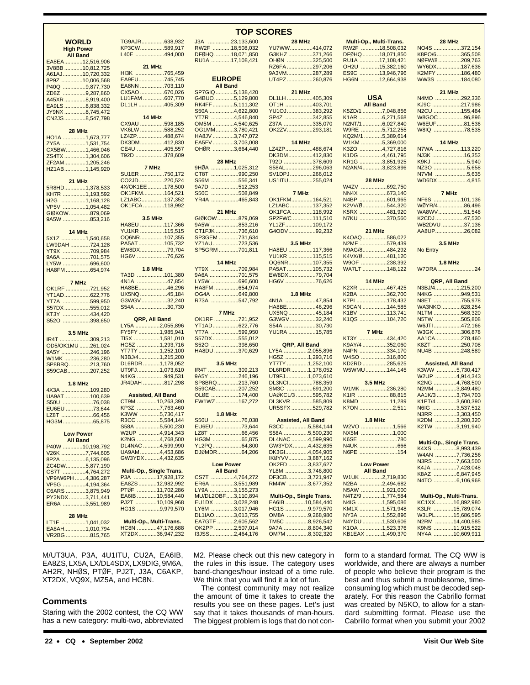| <b>WORLD</b><br><b>High Power</b><br><b>All Band</b> |                | TG9AJR638,932<br>KP3CW589,917<br>L40E 494,000 |  |
|------------------------------------------------------|----------------|-----------------------------------------------|--|
| EA8EA12,516,906                                      |                |                                               |  |
| 3V8BB 10,812,725                                     |                | 21 MHz                                        |  |
| A61AJ10,720,332                                      |                | HI3K 765,459                                  |  |
|                                                      |                | EA9EU745,745                                  |  |
| 8P9Z 10,006,568                                      |                | EA8NN 703,110                                 |  |
| P40Q 9,877,730                                       |                |                                               |  |
| ZD8Z 9,287,860                                       |                | CX5AO 670,026                                 |  |
| A45XR8,919,400                                       |                | LU1FAM 607,770                                |  |
| EA9LS 8,838,332                                      |                | DL1LH405,309                                  |  |
| JY9NX 8,745,472                                      |                |                                               |  |
| CN2JS8,547,798                                       |                | 14 MHz                                        |  |
|                                                      |                | CX9AU 598,185                                 |  |
|                                                      |                | VK6LW 588,252                                 |  |
| 28 MHz                                               |                |                                               |  |
| HO1A 1,673,777                                       |                | LZ4ZP488,674                                  |  |
| ZY5A 1,531,754                                       |                | DK3DM412,830                                  |  |
| CX5BW1,466,046                                       |                | CE4U 405,557                                  |  |
| ZS4TX 1,304,606                                      |                | T92D 378,609                                  |  |
| ZF2AM1,205,246                                       |                |                                               |  |
| HZ1AB1,145,920                                       |                | 7 MHz                                         |  |
|                                                      |                | SU1ER 750,172                                 |  |
|                                                      |                |                                               |  |
| 21 MHz                                               |                | CO2JD220,524                                  |  |
| 5R8HD1,378,533                                       |                | 4X/OK1EE 178,500                              |  |
| KH7R 1,193,592                                       |                | OK1FKM164,521                                 |  |
| H2G 1,168,128                                        |                | LZ1ABC137,352                                 |  |
| VP5V 1,054,482                                       |                | OK1FCA 118,992                                |  |
|                                                      |                |                                               |  |
| GIØKOW879,069                                        |                |                                               |  |
| 9A5W 853,216                                         |                | <b>3.5 MHz</b>                                |  |
|                                                      |                | HA8EU 117,366                                 |  |
|                                                      | 14 MHz         | YU1KR 115,515                                 |  |
| 5X1Z 1,540,658                                       |                | OQ6NR107,355                                  |  |
| LW9DAH 724,128                                       |                | PA5AT105,732                                  |  |
| YT9X 709,984                                         |                | EW8DX79,704                                   |  |
|                                                      |                | HG6V 76,626                                   |  |
| 9A6A 701,575                                         |                |                                               |  |
| LY5W 696,600                                         |                |                                               |  |
| HA8FM 654,974                                        |                | <b>1.8 MHz</b>                                |  |
|                                                      |                | TA3D 101,380                                  |  |
| 7 MHz                                                |                | 4N1A 47,854                                   |  |
| OK1RF 721,952                                        |                | HA8BE46,296                                   |  |
|                                                      |                | UX5NQ 45,184                                  |  |
| YT1AD622,776                                         |                |                                               |  |
| YT7A 599,950                                         |                | G3WGV32,240                                   |  |
| S57DX 555,012                                        |                | S54A 30,730                                   |  |
| KT3Y 434,420                                         |                |                                               |  |
| S52O 398,650                                         |                | QRP, All Band                                 |  |
|                                                      |                | LY5A 2,055,896                                |  |
|                                                      |                | FY5FY1,985,941                                |  |
| <b>3.5 MHz</b>                                       |                |                                               |  |
| IR4T 309,213                                         |                | TI5X 1,581,010                                |  |
| OD5/OK1MU 261,024                                    |                | HG5Z 1,293,716                                |  |
| 9A5Y 246,196                                         |                | YT7TY 1, <mark>252,100</mark>                 |  |
| W1MK 236,280                                         |                | N3BJ/41,215,200                               |  |
| SP8BRQ213,760                                        |                | DL6RDR 1,178,052                              |  |
|                                                      |                |                                               |  |
|                                                      |                |                                               |  |
| S59CAB207,252                                        |                | UT9FJ1,073,610                                |  |
|                                                      |                | N4KG 949,531                                  |  |
|                                                      | <b>1.8 MHz</b> | JR4DAH 817,298                                |  |
| 4X3A 109,280                                         |                |                                               |  |
|                                                      |                | <b>Assisted, All Band</b>                     |  |
| UA9AT100,639                                         |                |                                               |  |
| S50U 76,038                                          |                | CT9M 10,263,390                               |  |
| EU6EU 73,644                                         |                | KP3Z 7,763,460                                |  |
| LZ8T 66,456                                          |                | K3WW 5,730,417                                |  |
| HG3M65,875                                           |                | R3CC 5,584,144                                |  |
|                                                      |                | S58A 5,500,230                                |  |
|                                                      |                | W2UP 4,914,343                                |  |
| <b>Low Power</b>                                     |                |                                               |  |
| <b>All Band</b>                                      |                | K2NG 4,768,500                                |  |
| P40W 10,198,792                                      |                | DL4NAC 4,599,990                              |  |
| V26K 7,744,605                                       |                | UA9AM 4,453,686                               |  |
| 8P2A 6,135,096                                       |                | GW3YDX4,432,635                               |  |
|                                                      |                |                                               |  |
| ZC4DW5,877,190                                       |                | <b>Multi-Op., Single Trans.</b>               |  |
| CS7T 4,764,272                                       |                |                                               |  |
| VP9/W6PH 4,386,287                                   |                | P3A 17,928,172                                |  |
| VP5G 4,194,364                                       |                | EA8ZS12,982,992                               |  |
| C6ARS 3,875,949                                      |                | PTØF 11,702,286                               |  |
| PY2NDX 3,711,441                                     |                | EA6IB 10,584,440                              |  |
|                                                      |                | PJ2T 10,109,968                               |  |
| ER6A 3,551,989                                       |                |                                               |  |
|                                                      |                | HG1S 9,979,570                                |  |
| 28 MHz                                               |                |                                               |  |
| LT1F 1,041,032                                       |                | Multi-Op., Multi-Trans.                       |  |
| EA8AH1,010,794<br>VR2BG 815,765                      |                | HC8N 47,176,688<br>XT2DX36,947,232            |  |

M/UT3UA, P3A, 4U1ITU, CU2A, EA6IB, EA8ZS, LX5A, LX/DL4SDX, LX9DIG, 9M6A, AH2R, NHØS, PTØF, PJ2T, J3A, C6AKP, XT2DX, VQ9X, MZ5A, and HC8N.

## **Comments**

Staring with the 2002 contest, the CQ WW has a new category: multi-two, abbreviated

| 9,917<br>4,000 |                     | RW2F 18,508,032<br>DFØHQ 18,071,850<br>RU1A 17,108,421 |
|----------------|---------------------|--------------------------------------------------------|
| 5,459<br>5,745 |                     | <b>EUROPE</b>                                          |
| 3,110<br>0,026 |                     | <b>All Band</b><br>SP7GIQ 5,138,420                    |
| 7,770          |                     | G4BUO5,129,800                                         |
| 5,309          |                     | RK4FF5,111,302                                         |
|                |                     |                                                        |
|                |                     | 850A 4,622,800<br>YT7R 4,546,840                       |
| 8,185          |                     | OM5M 4,540,625                                         |
| 8,252<br>8,674 |                     | OG1MM3,780,421<br>HA8JV 3,747,072                      |
| 2,830          |                     | EA5FV3,703,008                                         |
| 5,557          |                     | OHØR 3,664,440                                         |
| 8,609          |                     |                                                        |
|                |                     | 28 MHz                                                 |
|                | 9HØA                | 1,025,312                                              |
| 0,172          | CT8T<br><b>S56M</b> | 990,250                                                |
| 0,524<br>8,500 | <b>9A7D</b>         | 556,341<br><mark>.512,253</mark>                       |
| 4,521          | <b>S50C</b>         | 508,849                                                |
| 7,352          | YR <sub>4</sub> A   | 465,843                                                |
| 8,992          |                     |                                                        |
|                |                     | 21 MHz                                                 |
| 7,366          |                     | GIØKOW879,069<br>9A5W 853,216                          |
| 5,515          |                     | CT1FJK736,610                                          |
| 7,355          |                     | SP3GEM 731,634                                         |
| 5,732          |                     | YZ1AU723,536                                           |
| 9,704          |                     | SP5GRM701,811                                          |
| 6,626          |                     |                                                        |
|                |                     | 14 MHz<br>YT9X 709,984                                 |
| 1,380          |                     | 9A6A 701,575                                           |
| 7,854          |                     | LY5W 696,600                                           |
| 6,296          |                     | HA8FM 654,974                                          |
| 5,184          |                     | OG4A 649,800                                           |
| 2,240<br>0,730 |                     | R73A 547,792                                           |
|                |                     | 7 MHz                                                  |
|                |                     | OK1RF 721,952                                          |
| 5,896          |                     | YT1AD622,776                                           |
| 5,941          |                     | <mark>YT7A</mark> 599,950                              |
| 1,010<br>3,716 |                     | S57DX 555,012                                          |
| 2,100          |                     | S52O 398,650<br>HA8DU 370,629                          |
| 5,200          |                     |                                                        |
| 8,052          |                     | 3.5 MHz                                                |
| 3,610          |                     | IR4T 309,213                                           |
| 9,531          |                     | 9A5Y 246,196                                           |
| 7,298          |                     | SP8BRQ213,760                                          |
| nd             |                     | S59CAB207,252<br>OLØE 174,400                          |
| 3,390          |                     | EW1WZ167,272                                           |
| 3,460          |                     |                                                        |
| 0,417          |                     | <b>1.8 MHz</b>                                         |
| 4,144          |                     | S50U 76,038                                            |
| 0,230<br>4,343 | LZ8T                | EU6EU 73,644<br>66,456                                 |
| 8,500          |                     | HG3M 65,875                                            |
| 9,990          |                     | YL2PQ64,800                                            |
| 3,686          |                     | DJØMDR64,206                                           |
| 2,635          |                     |                                                        |
| rans.          |                     | <b>Low Power</b><br><b>All Band</b>                    |
| 8,172          |                     | CS7T 4,764,272                                         |
| 2,992          |                     | ER6A 3,551,989                                         |
| 2,286          |                     | LY9A 3,155,273                                         |
| 4,440          |                     | MU/DL2OBF3,110,894                                     |
| 9,968          |                     | EU1DX 3,028,248                                        |
| 9,570          |                     | LY6M 3,017,946<br>DL1IAO3,013,755                      |
| ans.           |                     |                                                        |
| 6,688          |                     | EA7GTF 2,605,562<br>OK2PP 2,507,014                    |
| 7,232          |                     | I3JSS2,464,176                                         |

#### J3A ...............23,133,600 .032 850<br>421 .420  $,800$ ,302  $800$  $840$  $,625$  $,421$  $072$  $0.08$  $,440$  $312$  $.250$  $\frac{1}{341}$  $253$ 849  $843$ ,069  $.216$  $,610$ ,634 YZ1AU.................723,536  $.811$ YT9X ..................709,984 575  $.600$  $,974$ ,800 R73A ..................547,792 .952  $2.776$  $950$  $,012$  $.650$  $.629$  $,213$  $,196$ 8.760 **252**  $.400$ EW1WZ...............167,272  $,038$  $,644$ .456 .875  $.800$  $.206$  $,272$ ER6A ...............3,551,989 273 .894 .<br>248  $946$ **755**  $562$ **28 MHz** YU7WW...............414,07<br>G3KHZ................371,26 G3KHZ ................371,26 OHØN .................325,50<br>RZ6FA ..................297.20 RZ6FA..................297,20<br>9A3VM.................287.28 287,28<br>260,87 UT4PZ. **21 MHz** DL1LH .........<br>OT1H ......... YU1OJ.................383,29<br>SP47 342.85 SP4Z ....<br>Z37A ..... Z37A ...................335,070 **14 MHz** LZ4ZP...................488,67<br>DK3DM.................412.83 **DK3DM...**<br>T92D US1ITU................255,024 OK1FKM.......<br>LZ1ABC........ SP2FWC<br>YL1ZF..... G4ODV... HA8EU .......<br>YU1KR ...... EW8DX..................79,704 G3WGV.<br>S54A **QRP, All Band**<br>2.054......................2  $UR5SFX$ ... GW3YDX...<br>DK3GI....... RM4W ........... **Multi-Op., Single Trans.** EA6IB ...............10,584,440<br>HG1S 9 979 570 HG1S ................9,979,570<br>OM8A 9 268 980 OM8A .............9,268,980<br>TM5C 8 926 542 TM5C ...............8,926,542<br>9A7A ..................8,804,340

M2. Please check out this new category in the rules in this issue. The category uses band-changes/hour instead of a time rule. We think that you will find it a lot of fun. The contest community may not realize the amount of time it takes to create the results you see on these pages. Let's just say that it takes thousands of man-hours. The biggest problem is logs that do not con-

9A7A ................8,804,340<br>OM7M ...............8.302.320 ..........8,302,320

A03,70  $.293,18$ .378,609 S58AL....................296,063<br>SV1DPJ................266.012 SV1DPJ...............266,012 **7 MHz** ...137,352<br>...118.992 OK1FCA..............118,992<br>SP2FWC.............111.510 109,<mark>172...........</mark><br>92.232............ **3.5 MHz** YU1KR .....................115,515<br>OQ6NR.................107.355 OQ6NR................107,355 105,<mark>732...........</mark><br>79 704 HG6V ....................76,626 **1.8 MHz** 4N1A ....................47,854 HA8BE...................46,296 UX5NQ..................45,184<br>G3WGV 32.240 30 730 YU1RA 15,785 .............2,055,896 HG5Z 1 293 716 YT7TY ..............1,252,100 DL6RDR............1,178,052<br>UT9FJ.................1,073.610 .....1,073,610 DL3NCI................788,359<br>SM3C ......................691.200 SM3.200.<br>595.782. UAØKCL/3 ...........595,782 DL3KVR ..............585,809<br>UR5SFX ..............529,782 **Assisted, All Band** R3CC ...............5,584,144 S58A ................5,500,230 DL4NAC ...........4,599,990<br>GW3YDX ..........4,432,635 DK3GI..............4,054,905<br>IKØYVV.............3,887,162 IKØYVV.............3,887,162<br>OK2ED 3.837.627 OK2FD ............3,837,627<br>YL8M ...............3,746,800 YL8M ...............3,746,800<br>DF3CB..............3,721.947 ..............3,721,947<br>...............3,677,352 K7C

|                | Multi-Op., Multi-Trans. |
|----------------|-------------------------|
| $\overline{2}$ | RW2F 18,508,032         |
| 6              | DFØHQ18,071,850         |
| O              | RU1A 17,108,421         |
| 6              | OH2U 15,382,160         |
| 9              | ES9C 13,946,796         |
| 6              | HG6N 12,664,938         |
|                |                         |
|                |                         |
| 9              | USA                     |
| 1              | <b>All Band</b>         |
| $\overline{2}$ | K5ZD/1 7,048,856        |
| 5              | K1AR 6,271,568          |
| O              | N2NT/16,027,840         |
| 1              | W9RE 5,712,255          |
|                | KQ2M/1 5,389,614        |
|                | W1KM 5,369,000          |
| 4              | K3ZO 4,727,816          |
| Ō              | K1DG 4,461,795          |
| n              | $VDAC = 20E400E$        |

| K3ZO 4,727,816  |               |
|-----------------|---------------|
| K1DG 4.461.795  |               |
| KR1G 3,851,925  |               |
| N2AN/43,823,896 |               |
|                 |               |
|                 | <b>28 MHz</b> |
| W4ZV 692.750    |               |
| NN4X 673.140    |               |

| <b>21 MHz</b> |  |  |
|---------------|--|--|
| N7KU 370.560  |  |  |
| K5RX 481.920  |  |  |
| K2VV/0544.320 |  |  |
| N4BP 601.965  |  |  |
|               |  |  |

| K4OAQ 586.022 |  |
|---------------|--|
| N2MF 579.439  |  |
| N9AG/8484.292 |  |
| K4VX/0481.120 |  |
| W9OF 238.392  |  |
| WA7LT 148,122 |  |
|               |  |

**14 MHz**

| .              |  |
|----------------|--|
| K2XR 467,425   |  |
| K2BA 362,700   |  |
| K7PI 178.432   |  |
| K9CAN 144,585  |  |
| K1BV 113,741   |  |
| K1QS 104,720   |  |
|                |  |
| 7 MHz          |  |
| KT3Y 434.420   |  |
| K9AY/4 352,060 |  |
| N4PN 334.170   |  |
| W4SO 316,800   |  |
| KD2RD 285,625  |  |
| W5WMU 144 145  |  |

|              | 3.5 MHz |
|--------------|---------|
| W1MK 236,280 |         |
|              |         |

| <b>1.8 MHz</b> |  |
|----------------|--|
| K7ON 2.511     |  |
| K8MD 11.289    |  |
| K1IR 88.815    |  |
|                |  |

| W2VO 1.566 |  |
|------------|--|
| NX5M 1.000 |  |
| K6SE 780   |  |
| N4UK 666   |  |
| N6PE 154   |  |
|            |  |

#### **Low Power All Band**

|                                  | K8AZ 6,847,945          |  |
|----------------------------------|-------------------------|--|
| W1UK 2.719.830<br>N2BA 2,494,682 | N4TO 6,106,968          |  |
| N5AW 1,921,000                   |                         |  |
| N4TZ/9 1.774.584                 | Multi-Op., Multi-Trans. |  |
| N4IG 1,595,086                   | KC1XX16,892,980         |  |
| KM1X 1.571.948                   | K3LR 15.789.074         |  |
| NY3A 1,552,896                   | W3LPL15,686,595         |  |
| N4YDU 1,530,606                  | N2RM 14.400.585         |  |
| K1OA 1,523,376                   | K9NS 11,915,522         |  |
| KB1EAX 1.490.370                 | NY4A 10,609,911         |  |
|                                  |                         |  |

#### **21 MHz** N4MO .................292,336<br>KJ9C ....................217,986 KJ9C .......................217,986<br>N2CU 155484 155 484 W8GOC.................96,896<br>W6EUF....................81,536 W6EUF.<br>W8IQ .78,535 **14 MHz**<br>................ N7WA N7WA .................113,220<br>NJ3K .......................16,352 NJ3K .............................16,352<br>K9KJ 5.940 ..5.940 NZ3O .......................5,658<br>N7VM .......................5.635 N7VM ........................5,635<br>WD6DX .....................4.815 WD6DX

**7 MHz**

**28 MHz** NO4S ..................372,154<br>K8PO/6................365.508

NØFW/8...............209,763<br>WY6DX................187.636

WY6DX........<br>K2MFY........

**WW3S** ......

**365,508**<br>209.763

.186,480<br>.184,080

| NF6S 101,136<br>WØYR/486,496<br>WA8WV51,548<br>K2CDJ 47,530<br>WB2DVU37,136<br>AA8UP26,082 |                    |
|--------------------------------------------------------------------------------------------|--------------------|
| <b>3.5 MHz</b><br><b>No Entry</b>                                                          |                    |
| <b>1.8 MHz</b><br><b>W7DRA</b>                                                             | 24                 |
| QRP, All Band                                                                              |                    |
| N3BJ/41,215,200                                                                            |                    |
| N4KG 949,531                                                                               |                    |
| N8ET 755,978                                                                               |                    |
| WA3NKO628,254                                                                              |                    |
| N1TM 568,320                                                                               |                    |
| N <sub>5</sub> TW                                                                          | 505,808            |
| W6JTI472,166                                                                               |                    |
| W3GK 306,878                                                                               |                    |
|                                                                                            |                    |
| AA1CA278,460<br>K8ZT 250,708                                                               |                    |
|                                                                                            |                    |
| NU4B 248,589                                                                               |                    |
| <b>Assisted, All Band</b>                                                                  |                    |
|                                                                                            |                    |
| K3WW 5,730,417<br>W2UP 4,914,343                                                           |                    |
|                                                                                            |                    |
| K2NG 4,768,500                                                                             |                    |
| N2MM 3,849,480                                                                             |                    |
| AA1K/3 3,794,703                                                                           |                    |
| K1PT/4 3,600,390                                                                           |                    |
| N6IG 3,537,512                                                                             |                    |
| N3RR 3,303,450                                                                             |                    |
| K <sub>2</sub> DM                                                                          | $\ldots$ 3,280,320 |
| K2TW 3,191,940                                                                             |                    |
|                                                                                            |                    |
| Multi-Op., Single Trans.                                                                   |                    |
| K4XS 8,993,439                                                                             |                    |
| W4AN 7,736,256                                                                             |                    |
| N3RS 7,663,500                                                                             |                    |
| K4JA                                                                                       | 7,428,048          |
| K8AZ                                                                                       | 6,847,945          |
| N4TO 6,106,968                                                                             |                    |
| Multi-Op., Multi-Trans.                                                                    |                    |
| KC1XX16,892,980                                                                            |                    |
| K3LR 15,789,074                                                                            |                    |
| W3LPL15,686,595                                                                            |                    |
| N2RM 14,400,585                                                                            |                    |
| K9NS 11.915.522                                                                            |                    |

form to a standard format. The CQ WW is worldwide, and there are always a number of people who believe their program is the best and thus submit a troublesome, timeconsuming log which must be decoded separately. For this reason the Cabrillo format was created by N5KO, to allow for a standard submitting format. Please use the Cabrillo format when you submit your 2002

## **TOP SCORES**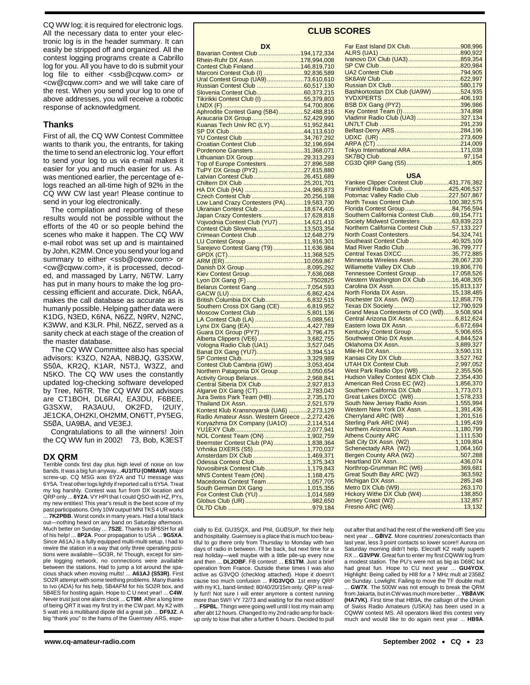CQ WW log: it is required for electronic logs. All the necessary data to enter your electronic log is in the header summary. It can easily be stripped off and organized. All the contest logging programs create a Cabrillo log for you. All you have to do is submit your log file to either <ssb@cqww.com> or <cw@cqww.com> and we will take care of the rest. When you send your log to one of above addresses, you will receive a robotic response of acknowledgment.

## **Thanks**

First of all, the CQ WW Contest Committee wants to thank you, the entrants, for taking the time to send an electronic log. Your effort to send your log to us via e-mail makes it easier for you and much easier for us. As was mentioned earlier, the percentage of elogs reached an all-time high of 92% in the CQ WW CW last year! Please continue to send in your log electronically.

The compilation and reporting of these results would not be possible without the efforts of the 40 or so people behind the scenes who make it happen. The CQ WW e-mail robot was set up and is maintained by John, K2MM. Once you send your log and summary to either <ssb@cqww.com> or <cw@cqww.com>, it is processed, decoded, and massaged by Larry, N6TW. Larry has put in many hours to make the log processing efficient and accurate. Dick, N6AA, makes the call database as accurate as is humanly possible. Helping gather data were K1DG, N3ED, K6NA, N6ZZ, N9RV, N2NC, K3WW, and K3LR. Phil, N6ZZ, served as a sanity check at each stage of the creation of the master database.

The CQ WW Committee also has special advisors: K3ZO, N2AA, N8BJQ, G3SXW, S50A, KR2Q, K1AR, N5TJ, W3ZZ, and N5KO. The CQ WW uses the constantly updated log-checking software developed by Tree, N6TR. The CQ WW DX advisors are CT1BOH, DL6RAI, EA3DU, F6BEE, G3SXW, RA3AUU, OK2FD, I2UIY, JE1CKA, OH2KI, OH2MM, ON6TT, PY5EG, S5ØA, UA9BA, and VE3EJ.

Congratulations to all the winners! Join the CQ WW fun in 2002! 73, Bob, K3EST

## **DX QRM**

Terrible condx first day plus high level of noise on low bands. It was a big fun anyway...**4U1ITU (OM8AW)**. Major screw-up. CQ MSG was 6Y2A and TU message was 6Y5A. Treat other logs lightly if reported call is 6Y5A. Treat my log harshly. Contest was fun from DX location and QRP only ... **6Y2A**. VY HPI that I could QSO with HZ, PYs, my new entities! This year's result is the best score of my past participations. Only 10W output! MNI TKS 4 UR works ... **7K2PBB**. Worst condx in many years. Had a total black out-nothing heard on any band on Saturday afternoon. Much better on Sunday ... **7S2E**. Thanks to 8P6SH for all of his help! ... **8P2A**. Poor propagation to USA ... **9G5XA**. Since A61AJ is a fully equipped multi-multi setup, I had to rewire the station in a way that only three operating positions were available—SO3R, hi! Though, except for simple logging network, no connections were available between the stations. Had to jump a lot around the spacious shack when moving mults! ... **A61AJ (S53R)**. First SO2R attempt with some teething problems. Many thanks to Ivo (ADA) for his help, 5B4AFM for his SO2R box, and 5B4ES for hosting again. Hope to C U next year! ... **C4W**. Never trust just one alarm clock ... **CT9M**. After a long time of being QRT it was my first try in the CW part. My K2 with 5 watt into a multiband dipole did a great job ... **DF9JZ**. A big "thank you" to the hams of the Guernsey ARS, espe-

|                                                                    | <b>CLUB</b> |
|--------------------------------------------------------------------|-------------|
| <b>DX</b>                                                          |             |
| Bavarian Contest Club 194,172,334                                  |             |
| Rhein-Ruhr DX Assn178,994,008                                      |             |
| Contest Club Finland146,819,710                                    |             |
| Marconi Contest Club (I) 92,836,589                                |             |
| Ural Contest Group (UA9)73,610,610                                 |             |
|                                                                    |             |
|                                                                    |             |
|                                                                    |             |
|                                                                    |             |
|                                                                    |             |
| Araucaria DX Group52,429,990<br>Kuanas Tech Univ RC (LY)51,952,841 |             |
|                                                                    |             |
|                                                                    |             |
|                                                                    |             |
| Croatian Contest Club32,196,694                                    |             |
| Pordenone Gansters31,368,071                                       |             |
| Lithuanian DX Group29,313,293                                      |             |
| Top of Europe Contesters27,896,588                                 |             |
| TuPY DX Group (PY2) 27,615,880                                     |             |
| Latvian Contest Club 26,451,689<br>Chiltern DX Club 25,201,701     |             |
|                                                                    |             |
|                                                                    |             |
| Czech Contest Club 20,256,198                                      |             |
| Low Land Crazy Contesters (PA)19,583,730                           |             |
| Ukranian Contest Club 18,674,405                                   |             |
| Japan Crazy Contesters17,628,818                                   |             |
| Vojvodnia Contest Club (YU7) 14,621,410                            |             |
| Contest Club Slovenia13,503,354                                    |             |
| Crimean Contest Club12,648,279                                     |             |
|                                                                    |             |
|                                                                    |             |
|                                                                    |             |
|                                                                    |             |
|                                                                    |             |
| Kiev Contest Group7,636,068                                        |             |
|                                                                    |             |
|                                                                    |             |
|                                                                    |             |
|                                                                    |             |

Southern Cross DX Gang (CE) ................6,819,952 Moscow Contest Club ..............................5,801,136 LA Contest Club (LA) ...............................5,088,561 Lynx DX Gang (EA)..................................4,427,789 Guara DX Group (PY7) ............................3,796,475 Alberta Clippers (VE6) .............................3,682,755 Vologna Radio Club (UA1).......................3,527,045 Banat DX Gang (YU7)..............................3,394,514

Contest Club Cambria (GW) ....................3,053,404 Northern Patagonia DX Group .................3,050,654 Activity Group Belarus..............................2,968,841 Central Siberia DX Club ...........................2,927,813 Algarve DX Gang (CT) .............................2,783,043 Jura Swiss Park Team (HB).....................2,735,170 Thailand DX Assn.. ..................................2,521,579 Kontest Klub Kransnoyarsk (UA6) ...........2,273,129 Radio Amateur Assn. Western Greece ....2,272,426 Koryazhma DX Company (UA1O) ...........2,114,514 YU1EXY Club...........................................2,077,941 NOL Contest Team (ON) .........................1,902,759 Beemster Contest Club (PA)....................1,838,364 Vrhnika DXERS (S5)................................1,770,037 Amsterdam DX Club ................................1,469,371 Odessa Contest Club ...............................1,375,343 Novosibirsk Contest Club.........................1,179,843 MNS Contest Team (ON).........................1,168,475 Macedonia Contest Team ........................1,057,705 South German DX Gang ..........................1,015,356 Fox Contest Club (YU) .............................1,014,589 Globus Club (UR)........................................982,650 OL7D Club ..................................................979,184

## **CLUB SCORES**

............................3,329,989

| Far East Island DX Club908,996       |  |
|--------------------------------------|--|
|                                      |  |
| Ivanovo DX Club (UA3)859,354         |  |
|                                      |  |
|                                      |  |
|                                      |  |
|                                      |  |
| Bashkortostan DX Club (UA9W) 524,935 |  |
|                                      |  |
|                                      |  |
|                                      |  |
| Vladimir Radio Club (UA3)327,134     |  |
|                                      |  |
|                                      |  |
|                                      |  |
|                                      |  |
| Tokyo International ARA 171,038      |  |
|                                      |  |
|                                      |  |
|                                      |  |

## **USA**

| Yankee Clipper Contest Club431,776,382                                         |  |
|--------------------------------------------------------------------------------|--|
| Frankford Radio Club425,406,537                                                |  |
| Potomac Valley Radio Club 227,507,867                                          |  |
| North Texas Contest Club100,382,575                                            |  |
|                                                                                |  |
| Florida Contest Group 84,756,594<br>Southern California Contest Club69,154,771 |  |
|                                                                                |  |
| Society Midwest Contesters63,839,223                                           |  |
| Northern California Contest Club 57,133,227                                    |  |
| North Coast Contesters54,324,741                                               |  |
| Southeast Contest Club 40,925,109                                              |  |
| Mad River Radio Club 36,799,777                                                |  |
| Central Texas DXCC35,772,885                                                   |  |
| Minnesota Wireless Assn28,067,230                                              |  |
| Willamette Valley DX Club 19,806,776                                           |  |
| Tennessee Contest Group 17,058,526                                             |  |
| Western Washington DX Club 16,408,305                                          |  |
|                                                                                |  |
|                                                                                |  |
| North Florida DX Assn 15,138,485                                               |  |
| Rochester DX Assn. (W2)12,858,776                                              |  |
|                                                                                |  |
|                                                                                |  |
| Central Arizona DX Assn. 6,812,624                                             |  |
| Eastern Iowa DX Assn. 6,672,694                                                |  |
| Kentucky Contest Group 5,906,655                                               |  |
| Southwest Ohio DX Assn4,844,524                                                |  |
| Oklahoma DX Assn3,889,327                                                      |  |
|                                                                                |  |
| Kansas City DX Club3,527,762                                                   |  |
| UTAH DX Contest Club2,997,052                                                  |  |
|                                                                                |  |
| West Park Radio Ops (W8)2,355,506                                              |  |
| Hudson Valley Contest &DX Club2,354,430                                        |  |
| American Red Cross EC (W2) 1,856,370                                           |  |
| Southern California DX Club1,773,071                                           |  |
| Great Lakes DXCC (W8)1,578,233                                                 |  |
| South New Jersey Radio Assn1,555,994                                           |  |
| Western New York DX Assn. 1,391,436                                            |  |
| Cherryland ARC (W8) 1,201,516                                                  |  |
|                                                                                |  |
|                                                                                |  |
|                                                                                |  |
|                                                                                |  |
|                                                                                |  |
| Schenectady ARA (W2) 1,064,160<br>Bergen County ARA (W2) 507,288               |  |
|                                                                                |  |
|                                                                                |  |
|                                                                                |  |
| Great South Bay ARC (W2) 363,592                                               |  |
|                                                                                |  |
|                                                                                |  |
|                                                                                |  |
|                                                                                |  |
|                                                                                |  |

cially to Ed, GU3SQX, and Phil, GUØSUP, for their help and hospitality. Guernsey is a place that is much too beautiful to go there only from Thursday to Monday with two days of radio in between. I'll be back, but next time for a real holiday—well maybe with a little pile-up every now and then ... **DL2OBF**. FB contest! ... **ES1TM**. Just a brief operation from France. Outside these times I was also active as G3VQO (checklog attached). Hope it doesn't cause too much confusion ... **F/G3VQO**. 1st entry QRP with my K1, band-limited: 80/40/20/15m only. QRP is really fun!! Not sure I will enter anymore a contest running more than 5W!! VY 72/73 and waiting for the next edition! ... **F5PBL**. Things were going well until I lost my main amp after abt 12 hours. Changed to my 2nd radio amp for backup only to lose that after a further 6 hours. Decided to pull

out after that and had the rest of the weekend off! See you next year ... **GØIVZ**. More countries/ zones/contacts than last year, less 3 point contacts so lower score!! Aurora on Saturday morning didn't help. Elecraft K2 really superb RX ... **G3VPW**. Great fun to enter my first CQWW log from a modest station. The PU's were not as big as D68C but had great fun. Hope to CU next year ... **GU4YOX**. Highlight: Being called by HI8 for a 7 MHz mult at 2358Z on Sunday. Lowlight: Failing to move the TF double mult ... **GW7X**. The 500W was not enough to break the QRM from Jakarta, but in CW was much more better ... **YBØAVK (HA7VK)**. First time that HB9A, the callsign of the Union of Swiss Radio Amateurs (USKA) has been used in a CQWW contest MS. All operators liked this contest very much and would like to do again next year ... **HB9A**.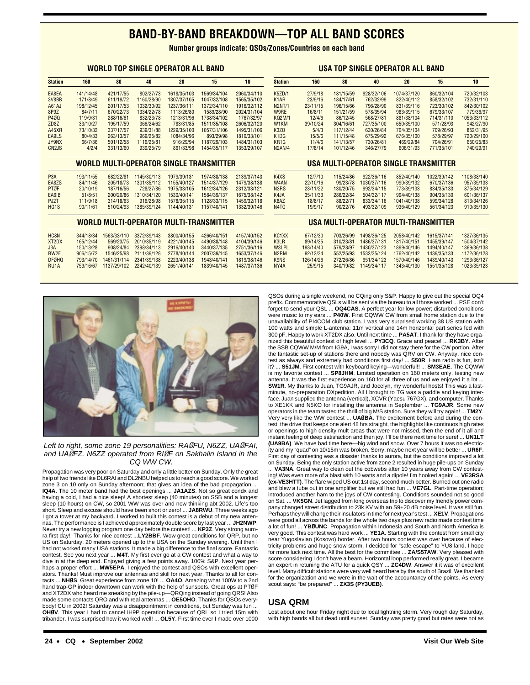# **BAND-BY-BAND BREAKDOWN—TOP ALL BAND SCORES**

**Number groups indicate: QSOs/Zones/Countries on each band**

|                                |           |             |             | <b>WORLD TOP SINGLE OPERATOR ALL BAND</b> |                                                |             |                               |           |           |             | USA TOP SINGLE OPERATOR ALL BAND     |                                       |             |
|--------------------------------|-----------|-------------|-------------|-------------------------------------------|------------------------------------------------|-------------|-------------------------------|-----------|-----------|-------------|--------------------------------------|---------------------------------------|-------------|
| <b>Station</b>                 | 160       | 80          | 40          | 20                                        | 15                                             | 10          | <b>Station</b>                | 160       | 80        | 40          | 20                                   | 15                                    | 10          |
| EA8EA                          | 141/14/48 | 421/17/55   | 802/27/73   | 1618/35/103                               | 1569/34/104                                    | 2060/34/110 | <b>K5ZD/1</b>                 | 27/9/18   | 181/15/59 | 928/32/106  | 1074/37/120                          | 860/32/104                            | 720/32/103  |
| 3V8BB                          | 171/8/49  | 611/19/72   | 1160/28/90  | 1307/37/105                               | 1047/32/108                                    | 1565/35/102 | K <sub>1</sub> AR             | 23/9/16   | 184/17/61 | 762/32/99   | 822/40/112                           | 858/32/102                            | 732/31/110  |
| A61AJ                          | 198/12/45 | 201/17/53   | 1032/30/92  | 1237/36/111                               | 1372/34/110                                    | 1916/32/112 | <b>N2NT/1</b>                 | 23/11/15  | 196/15/66 | 796/28/90   | 831/39/116                           | 723/30/102                            | 842/30/102  |
| 8P9Z                           | 84/7/11   | 670/22/73   | 1334/22/78  | 1113/26/80                                | 1589/28/90                                     | 2024/31/104 | W9RE                          | 16/8/11   | 151/21/59 | 578/35/94   | 983/39/115                           | 679/33/107                            | 779/36/97   |
| P4ØQ                           | 119/9/31  | 288/16/61   | 832/23/78   | 1213/31/96                                | 1738/34/102                                    | 1767/32/97  | <b>KQ2M/1</b>                 | 12/4/6    | 86/12/45  | 568/27/81   | 881/38/104                           | 714/31/110                            | 1053/33/112 |
| ZD <sub>8</sub> Z              | 33/10/27  | 195/17/59   | 366/24/62   | 783/31/85                                 | 1511/35/108                                    | 2606/32/120 | W <sub>1</sub> KM             | 39/10/24  | 304/16/61 | 727/35/100  | 650/35/100                           | 571/28/93                             | 942/27/90   |
| A45XR                          | 73/10/32  | 337/17/57   | 939/31/88   | 1229/35/100                               | 1057/31/106                                    | 1495/31/106 | <b>K3Z0</b>                   | 5/4/3     | 117/12/44 | 630/26/84   | 704/35/104                           | 709/26/93                             | 852/31/95   |
| EA9LS                          | 80/4/33   | 263/13/57   | 969/25/82   | 1084/34/96                                | 893/29/98                                      | 1810/33/101 | K <sub>1</sub> D <sub>G</sub> | 15/5/6    | 111/15/48 | 675/29/92   | 676/35/100                           | 578/29/97                             | 720/29/100  |
| <b>JY9NX</b>                   | 66/7/36   | 501/12/58   | 1116/25/81  | 916/29/94                                 | 1187/29/103                                    | 1484/31/103 | KR <sub>1</sub> G             | 11/4/6    | 141/13/57 | 730/26/81   | 469/29/84                            | 704/26/91                             | 650/25/83   |
| CN <sub>2</sub> J <sub>S</sub> | 4/2/4     | 331/13/60   | 939/25/79   | 861/33/98                                 | 1454/35/117                                    | 1353/29/107 | <b>N2AN/4</b>                 | 17/8/14   | 101/12/46 | 346/27/79   | 606/31/93                            | 771/35/101                            | 740/29/91   |
|                                |           |             |             |                                           | <b>WORLD MULTI-OPERATOR SINGLE TRANSMITTER</b> |             |                               |           |           |             |                                      | USA MULTI-OPERATOR SINGLE TRANSMITTER |             |
| P <sub>3</sub> A               | 193/11/55 | 682/22/81   | 1145/30/113 | 1979/39/131                               | 1974/38/138                                    | 2139/37/143 | K4XS                          | 12/7/10   | 115/24/86 | 922/36/116  | 852/40/140                           | 1022/39/142                           | 1108/38/140 |
| EA8ZS                          | 84/11/46  | 205/18/73   | 1301/35/112 | 1155/40/127                               | 1514/37/129                                    | 1479/38/138 | W <sub>4</sub> AN             | 22/10/16  | 99/23/78  | 1030/37/116 | 990/39/132                           | 670/37/136                            | 957/35/133  |
| PTØF                           | 20/10/19  | 187/16/56   | 728/27/86   | 1975/33/105                               | 1612/34/126                                    | 2312/33/121 | N <sub>3</sub> R <sub>S</sub> | 23/11/22  | 130/20/75 | 992/34/115  | 773/39/133                           | 834/35/133                            | 875/34/129  |
| EA6IB                          | 51/8/51   | 200/20/86   | 1310/34/120 | 1530/40/141                               | 1584/39/137                                    | 1675/38/142 | K4JA                          | 35/11/33  | 286/22/84 | 504/32/117  | 994/40/138                           | 904/35/130                            | 601/36/137  |
| PJ2T                           | 111/9/18  | 314/18/63   | 916/28/98   | 1578/35/115                               | 1128/33/115                                    | 1459/32/118 | K8AZ                          | 18/8/17   | 88/22/71  | 833/34/116  | 1041/40/138                          | 599/34/128                            | 813/34/126  |
| HG <sub>1</sub> S              | 90/11/61  | 510/24/93   | 1385/39/124 | 1144/40/131                               | 1157/40/141                                    | 1332/39/146 | <b>N4TO</b>                   | 19/9/17   | 90/22/76  | 493/32/109  | 936/40/129                           | 561/34/123                            | 910/35/130  |
|                                |           |             |             |                                           | <b>WORLD MULTI-OPERATOR MULTI-TRANSMITTER</b>  |             |                               |           |           |             | USA MULTI-OPERATOR MULTI-TRANSMITTER |                                       |             |
| HC8N                           | 344/18/34 | 1563/33/110 | 3372/39/143 | 3800/40/155                               | 4266/40/151                                    | 4157/40/152 | KC1XX                         | 67/12/30  | 703/26/99 | 1498/36/125 | 2058/40/142                          | 1615/37/141                           | 1327/36/135 |
| XT <sub>2</sub> DX             | 165/12/44 | 569/23/75   | 2010/35/119 | 4221/40/145                               | 4490/38/148                                    | 4104/39/146 | K3LR                          | 89/14/35  | 310/23/81 | 1486/37/131 | 1817/40/151                          | 1455/39/147                           | 1504/37/142 |
| J3A                            | 150/13/28 | 908/24/84   | 2398/34/113 | 2916/40/140                               | 3440/37/135                                    | 2751/36/116 | W3LPL                         | 193/14/40 | 579/28/97 | 1430/37/123 | 1899/40/146                          | 1494/40/147                           | 1369/36/138 |
| RW <sub>2F</sub>               | 906/15/72 | 1546/25/98  | 2111/39/128 | 2778/40/144                               | 2007/39/145                                    | 1653/37/146 | N <sub>2</sub> RM             | 92/12/34  | 552/25/93 | 1532/35/124 | 1762/40/142                          | 1439/35/133                           | 1172/36/128 |
| <b>DFØHQ</b>                   | 793/14/70 | 1461/31/114 | 2341/39/138 | 2223/40/138                               | 1943/40/141                                    | 1819/38/146 | K <sub>9</sub> N <sub>S</sub> | 126/14/26 | 272/26/86 | 951/34/123  | 1570/40/146                          | 1439/40/143                           | 1293/36/127 |
| RU <sub>1</sub> A              | 759/16/67 | 1137/29/102 | 2242/40/139 | 2651/40/141                               | 1839/40/145                                    | 1487/37/136 | NY4A                          | 25/9/15   | 340/19/82 | 1149/34/117 | 1343/40/130                          | 1551/35/128                           | 1023/35/123 |
|                                |           |             |             |                                           |                                                |             |                               |           |           |             |                                      |                                       |             |



Left to right, some zone 19 personalities: RA*Ø*FU, N6ZZ, UA*Ø*FAI, and UA*Ø*FZ. N6ZZ operated from RI*Ø*F on Sakhalin Island in the CQ WW CW.

Propagation was very poor on Saturday and only a little better on Sunday. Only the great help of two friends like DL6RAI and DL2NBU helped us to reach a good score. We worked zone 3 on 10 only on Sunday afternoon; that gives an idea of the bad propagation . **IQ4A**. The 10 meter band had the best openings ... **JA1AZS**. Not so great condx and having a cold, I had a nice sleep! A shortest sleep (40 minutes) on SSB and a longest sleep (10 hours) on CW, so 2001 WW was over and now thinking abt 2002. Life's too short. Sleep and excuse should have been short or zero! ... **JA8RWU**. Three weeks ago<br>I got a tower at my backyard. I worked to built this contest is a debut of my new antennas. The performance is I achieved approximately double score by last year ... **JH2NWP**. Never try a new logging program one day before the contest! ... **KP3Z**. Very strong aurora first day!! Thanks for nice contest ...**LY2BBF**. Wow great conditions for QRP, but no US on Saturday. 20 meters opened up to the USA on the Sunday evening. Until then I had not worked many USA stations. It made a big difference to the final score. Fantastic contest. See you next year ... **M4T**. My first ever go at a CW contest and what a way to dive in at the deep end. Enjoyed giving a few points away. 100% S&P. Next year perhaps a proper effort ... **MW5EPA**. I enjoyed the contest and QSOs with excellent operators. Thanks! Must improve our antennas and skill for next year. Thanks to all for con-tacts ... **NHØS**. Great experience from zone 10! ... **OA4O**. Amazing what 100W to a 2nd hand trap-GP indoor downtown can work with the help of sunspots. Great ops at PTØF and XT2DX who heard me sneaking by the pile-up—QRQing instead of going QRS! Also made some contacts QRO and with real antennas ... **OE5OHO**. Thanks for QSOs everybody! CU in 2002! Saturday was a disappointment in conditions, but Sunday was fun ... **OHØV**. This year I had to cancel IH9P operation because of QRL so I tried 15m with tribander. I was surprised how it worked well! ... **OL5Y**. First time ever I made over 1000

QSOs during a single weekend, no CQing only S&P. Happy to give out the special OQ4 prefix. Commemorative QSLs will be sent via the bureau to all those worked ... PSE don't forget to send your QSL ... **OQ4CAS**. A perfect year for low power; disturbed conditions were music to my ears ... **P40W**. First CQWW CW from small home station due to the unavailability of PI4COM club station. I was very surprised working 38 US station with 100 watts and simple L-antenna: 11m vertical and 14m horizontal part series fed with 300 pF. Happy to work XT2DX also. Until next time ... **PA5AT**. I thank for they have organized this beautiful contest of high level ... **PY3CQ**. Grace and peace! ... **RK3BY**. After the SSB CQWW M/M from IG9A, I was sorry I did not stay there for the CW portion. After the fantastic set-up of stations there and nobody was QRV on CW. Anyway, nice contest as always and extremely bad conditions first day! ... **S50R**. Ham radio is fun, isn't it? ... **S51JM**. First contest with keyboard keying—wonderful!! ... **SM3EAE**. The CQWW is my favorite contest ... **SP8JHM**. Limited operation on 160 meters only, testing new antenna. It was the first experience on 160 for all three of us and we enjoyed it a lot ... **SW1R**. My thanks to Juan, TG9AJR, and Jocelyn, my wonderful hosts! This was a lastminute, no-preparation DXpedition. All I brought to TG was a paddle and keying interface. Juan supplied the antenna (vertical), XCVR (Yaesu 767GX), and computer. Thanks to XE1KK and N5KO for installing the antenna in September ... **TG9AJR**. Some new operators in the team tasted the thrill of big M/S station. Sure they will try again! ... **TM2Y**. Very very like the WW contest ... **UAØBA**. The excitement before and during the contest, the drive that keeps one alert 48 hrs straight, the highlights like continuos high rates or openings to high density mult areas that were not missed, then the end of it all and instant feeling of deep satisfaction and then joy. I'll be there next time for sure! ... **UN1LT (UA9BA)**. We have bad time here—big wind and snow. Over 7 hours it was no electricity and my "quad" on 10/15m was broken. Sorry, maybe next year will be better ... **UR6F**. First day of contesting was a disaster thanks to aurora, but the conditions improved a lot on Sunday. Being the only station active from zone 2 resulted in huge pile-ups on Sunday ... **VA3NA**. Great way to clean out the cobwebs after 10 years away from CW contesting! Was even more of a blast with 10 watts and a dipole! I'm hooked again! ... **VE3RSA (ex-VE3HTT)**. The flare wiped US out 1st day, second much better. Burned out one radio and blew a tube out in one amplifier but we still had fun ... **VE7GL**. Part-time operation; introduced another ham to the joys of CW contesting. Conditions sounded not so good on Sat. ... **VK5GN**. Jet lagged from long overseas trip to discover my friendly power company changed street distribution to 23k KV with an S9+20 dB noise level. It was still fun. Perhaps they will change their insulators in time for next year's test ... **XE1V**. Propagations were good all across the bands for the whole two days plus new radio made contest time a lot of fun! ... **YBØUNC**. Propagation within Indonesia and South and North America is very good. This contest was hard work ... **YE1A**. Starting with the contest from small city near Yugoslavian (Kosovo) border. After two hours contest was over because of electricity problems and huge snow storm. I decided for "safe escape" to YU8 land. I hope for more luck next time. All the best for the committee ... **ZA/S57AW**. Very pleased with score considering I don't have a beam. Horizontal loop performed really great. I became an expert in retuning the ATU for a quick QSY ... **ZC4DW**. Answer it it was of excellent level. Many difficult stations were very well heard here by the south of Brazil. We thanked

## **USA QRM**

scout says: "be prepared" ... **ZX3S (PY3UEB)**.

Lost about one hour Friday night due to local lightning storm. Very rough day Saturday, with high bands all but dead until sunset. Sunday was pretty good but rates were not as

for the organization and we were in the wait of the accountancy of the points. As every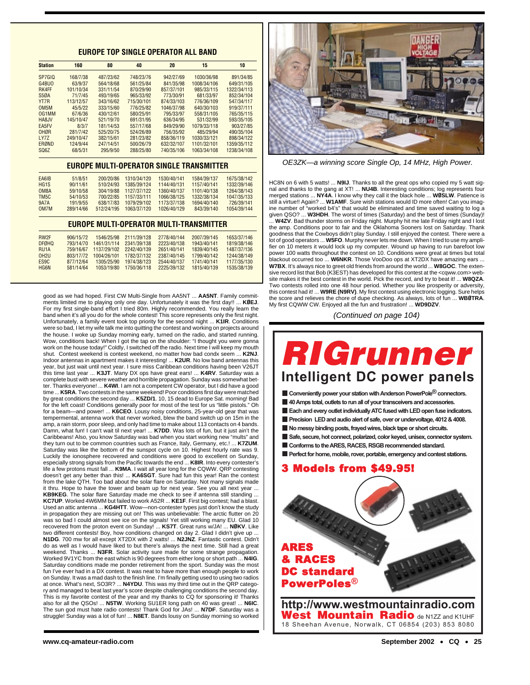## **EUROPE TOP SINGLE OPERATOR ALL BAND**

| <b>Station</b>    | 160       | 80        | 40         | 20         | 15          | 10          |
|-------------------|-----------|-----------|------------|------------|-------------|-------------|
| SP7GIO            | 168/7/38  | 487/23/62 | 748/23/76  | 942/27/69  | 1030/36/98  | 891/34/85   |
| G4BUO             | 63/9/37   | 564/18/68 | 561/25/84  | 841/35/98  | 1008/34/106 | 649/31/105  |
| <b>RK4FF</b>      | 101/10/34 | 331/11/54 | 870/29/90  | 857/37/101 | 985/33/115  | 1322/34/113 |
| S <sub>50</sub> A | 71/7/45   | 493/19/65 | 965/33/92  | 773/30/91  | 681/33/97   | 852/34/104  |
| YT7R              | 113/12/57 | 343/16/62 | 715/30/101 | 874/33/103 | 776/36/109  | 547/34/117  |
| OM5M              | 45/5/22   | 333/15/60 | 776/25/82  | 1046/37/98 | 640/30/103  | 919/37/111  |
| 0G1MM             | 67/6/36   | 430/12/61 | 580/25/91  | 795/33/97  | 558/31/105  | 765/35/115  |
| HA8.JV            | 145/10/47 | 521/19/70 | 691/31/95  | 636/34/95  | 531/32/99   | 593/35/105  |
| EA5FV             | 8/3/7     | 181/14/53 | 557/17/68  | 849/29/90  | 1079/33/118 | 903/27/85   |
| OHØR              | 281/7/42  | 525/20/75 | 524/26/89  | 756/35/92  | 485/29/94   | 490/35/104  |
| LY7Z              | 249/10/47 | 382/15/61 | 281/23/82  | 858/36/119 | 1030/33/121 | 898/34/122  |
| <b>ERØND</b>      | 124/9/44  | 247/14/51 | 500/26/79  | 632/32/107 | 1101/32/101 | 1359/35/112 |
| SQ <sub>6</sub> Z | 68/5/31   | 295/9/50  | 288/25/80  | 740/35/106 | 1063/34/108 | 1238/34/108 |

### **EUROPE MULTI-OPERATOR SINGLE TRANSMITTER**

| EA6IB             | 51/8/51   | 200/20/86  | 1310/34/120 | 1530/40/141 | 1584/39/137 | 1675/38/142 |
|-------------------|-----------|------------|-------------|-------------|-------------|-------------|
| HG <sub>1</sub> S | 90/11/61  | 510/24/93  | 1385/39/124 | 1144/40/131 | 1157/40/141 | 1332/39/146 |
| OM8A              | 59/10/58  | 304/19/88  | 1127/37/122 | 1360/40/137 | 1101/40/138 | 1264/38/143 |
| TM <sub>5</sub> C | 54/10/53  | 700/22/85  | 1157/33/111 | 1066/38/125 | 1332/38/134 | 1047/35/133 |
| <b>9A7A</b>       | 191/9/55  | 638/17/83  | 1079/29/102 | 1173/37/138 | 1694/40/140 | 726/39/141  |
| OM7M              | 289/14/66 | 512/24/195 | 1063/37/120 | 1026/40/129 | 843/39/140  | 1054/39/144 |

#### **EUROPE MULTI-OPERATOR MULTI-TRANSMITTER**

| RW <sub>2F</sub>  | 906/15/72 | 1546/25/98  | 2111/39/128 | 2778/40/144 | 2007/39/145 | 1653/37/146 |
|-------------------|-----------|-------------|-------------|-------------|-------------|-------------|
| <b>DFØHQ</b>      | 793/14/70 | 1461/31/114 | 2341/39/138 | 2223/40/138 | 1943/40/141 | 1819/38/146 |
| RU <sub>1</sub> A | 759/16/67 | 1137/29/102 | 2242/40/139 | 2651/40/141 | 1839/40/145 | 1487/37/136 |
| OH <sub>2U</sub>  | 803/17/72 | 1004/26/101 | 1782/37/132 | 2387/40/145 | 1799/40/142 | 1244/38/149 |
| ES <sub>9</sub> C | 877/12/64 | 1305/25/90  | 1974/38/123 | 2544/40/137 | 1741/40/141 | 1177/35/130 |
| <b>HG6N</b>       | 581/14/64 | 1053/19/80  | 1750/36/118 | 2225/39/132 | 1815/40/139 | 1535/38/139 |
|                   |           |             |             |             |             |             |

good as we had hoped. First CW Multi-Single from AA5NT ... **AA5NT**. Family commitments limited me to playing only one day. Unfortunately it was the first day!! ... **KØEJ**. For my first single-band effort I tried 80m. Highly recommended. You really learn the band when it's all you do for the whole contest! This score represents only the first night. Unfortunately, a family event took top priority for the second night ... **K1IR**. Conditions were so bad, I let my wife talk me into quitting the contest and working on projects around the house. I woke up Sunday morning early, turned on the radio, and started running. Wow, conditions back! When I got the tap on the shoulder: "I thought you were gonna work on the house today!" Coldly, I switched off the radio. Next time I will keep my mouth shut. Contest weekend is contest weekend, no matter how bad condx seem ... **K2NJ**. Indoor antennas in apartment makes it interesting! ... **K2UR**. No low band antennas this year, but just wait until next year. I sure miss Caribbean conditions having been V26JT this time last year ... **K3JT**. Many DX ops have great ears! ... **K4RV**. Saturday was a complete bust with severe weather and horrible propagation. Sunday was somewhat better. Thanks everyone! ... **K4WI**. I am not a competent CW operator, but I did have a good time ... **K5RA**. Two contests in the same weekend! Poor conditions first day were matched by great conditions the second day ... **K5ZD/1**. 10, 15 dead to Europe Sat. morning! Bad for the left coast! Conditions generally poor for most of the test for us "little pistols." Oh for a beam—and power! ... **K6CEO**. Lousy noisy conditions, 25-year-old gear that was tempermental, antenna work that never worked, blew the band switch up on 15m in the amp, a rain storm, poor sleep, and only had time to make about 113 contacts on 4 bands. Damn, what fun! I can't wait til next year! ... **K7DD**. Was lots of fun, but it just ain't the Caribbeans! Also, you know Saturday was bad when you start working new "mults" and they turn out to be common countries such as France, Italy, Germany, etc.! ... **K7ZUM**. Saturday was like the bottom of the sunspot cycle on 10. Highest hourly rate was 9. Luckily the ionosphere recovered and conditions were good to excellent on Sunday, especially strong signals from the Pacific towards the end ... **K8IR**. Into every contester's life a few protons must fall ... **K9MA**. I wait all year long for the CQWW. QRP contesting<br>doesn't get any better than this! ... **KA6SGT**. Sure had fun this year! Ran the contest from the lake QTH. Too bad about the solar flare on Saturday. Not many signals made it thru. Hope to have the tower and beam up for next year. See you all next year. **KB9KEG**. The solar flare Saturday made me check to see if antenna still standing ... **KC7UP**. Worked 4W6MM but failed to work A52R ... **KE1F**. First big contest; had a blast. Used an attic antenna ... **KG4HTT**. Wow—non-contester types just don't know the study in propagation they are missing out on! This was unbelievable: The arctic flutter on 20 was so bad I could almost see ice on the signals! Yet still working many EU. Glad 10 recovered from the proton event on Sunday! ... **KS7T**. Great runs w/JA! ... **NØKV**. Like two different contests! Boy, how conditions changed on day 2. Glad I didn't give up ... **N1DG**. 700 mw for all except XT2DX with 2 watts! ... **N2JNZ**. Fantastic contest. Didn't do as well as I would have liked to but there's always the next time. Still had a great weekend. Thanks ... **N3FR**. Solar activity sure made for some strange propagation. Worked 9V1YC from the east which is 90 degrees from either long or short path ... **N4IG**. Saturday conditions made me ponder retirement from the sport. Sunday was the most fun I've ever had in a DX contest. It was neat to have more than enough people to work on Sunday. It was a mad dash to the finish line. I'm finally getting used to using two radios at once. What's next, SO3R? ... **N4YDU**. This was my third time out in the QRP category and managed to beat last year's score despite challenging conditions the second day. This is my favorite contest of the year and my thanks to CQ for sponsoring it! Thanks also for all the QSOs! ... **N5TW**. Working SU1ER long path on 40 was great! ... **N6IC**. The sun god must hate radio contests! Thank God for JAs! ... **N7DF**. Saturday was a struggle! Sunday was a lot of fun! ... **N8ET**. Bands lousy on Sunday morning so worked



OE3ZK—a winning score Single Op, 14 MHz, High Power.

HC8N on 6 with 5 watts! ... **N9IJ**. Thanks to all the great ops who copied my 5 watt signal and thanks to the gang at XT! ... **NU4B**. Interesting conditions; log represents four merged stations ... **NY4A**. I know why they call it the black hole ... **WØSLW**. Patience is still a virtue!! Again? ... **W1AMF**. Sure wish stations would ID more often! Can you imag-ine number of "worked b4's" that would be eliminated and time saved waiting to log a given QSO? ... **W3HDH**. The worst of times (Saturday) and the best of times (Sunday)! W4ZV. Bad thunder storms on Friday night. Murphy hit me late Friday night and I lost the amp. Conditions poor to fair and the Oklahoma Sooners lost on Saturday. Thank goodness that the Cowboys didn't play Sunday. I still enjoyed the contest. There were a lot of good operators ... **W5FO**. Murphy never lets me down. When I tried to use my amplifier on 10 meters it would lock up my computer. Wound up having to run barefoot low power 100 watts throughout the contest on 10. Conditions were great at times but total blackout occurred too ... **W6NKR**. Those VooDoo ops at XT2DX have amazing ears ... **W7BX**. It's always nice to greet old friends from around the world ... **W8GOC**. The extensive record list that Bob (K3EST) has developed for this contest at the <cqww.com> website makes it the best contest in the world. Pick the record, and try to beat it! ... **W8QZA**. Two contests rolled into one 48 hour period. Whether you like prosperity or adversity, this contest had it! ... **W9RE (N9RV)**. My first contest using electronic logging. Sure helps the score and relieves the chore of dupe checking. As always, lots of fun ... **WBØTRA**. My first CQWW CW. Enjoyed all the fun and frustration! ... **WD9DZV**.

(Continued on page 104)

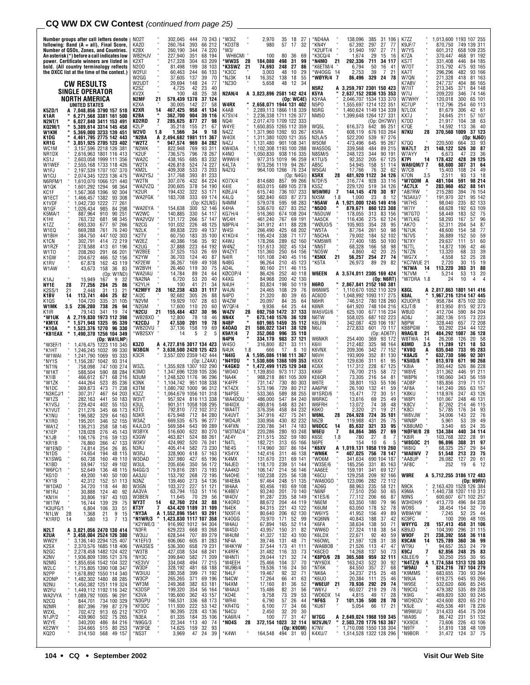## **CQ WW DX CW Contest** (continued from page 25)

| Number groups after call letters denote<br>following: Band (A = all), Final Score,<br>Number of QSOs, Zones, and Countries.<br>An asterisk (*) before a call indicates low<br>power. Certificate winners are listed in | NO2T<br>KA2D<br>K2BX<br>WB2HJV<br>K2XT | 302,045<br>444<br>70 243<br>393<br>260,764<br>66 212<br>260,190<br>344<br>74 220<br>351<br>227,940<br>68 194<br>217.328<br>304<br>63 209 | ٬W3IZ<br>*KD3TB<br>*W3/<br>WH6CMI<br>*WW3S<br>- 28 | 2,970<br>35<br>18<br>27<br>980<br>57<br>17<br>32<br>80<br>36<br>100<br>69<br>184.080<br>498<br>-31<br>99            | ND4AA<br>'KN4Y<br>K2UFT/4<br>*K3CQ/4<br>*N4MO<br>21 | 138.096<br>385<br>31 106<br>67,392<br>297<br>27<br>-77<br>51,940<br>197<br>27<br>71<br>-29<br>1,674<br>15<br>-16<br>292.336<br>711<br>34 117 | K7ZZ<br>K9JF/7<br>W7YS<br>K7ZA<br>KS7T                    | 013,600 1193 107 255<br>870,750<br>749 139 311<br>658 109 235<br>601,312<br>91 192<br>370,447<br>468<br>331.408<br>446<br>84 185 |
|------------------------------------------------------------------------------------------------------------------------------------------------------------------------------------------------------------------------|----------------------------------------|------------------------------------------------------------------------------------------------------------------------------------------|----------------------------------------------------|---------------------------------------------------------------------------------------------------------------------|-----------------------------------------------------|----------------------------------------------------------------------------------------------------------------------------------------------|-----------------------------------------------------------|----------------------------------------------------------------------------------------------------------------------------------|
| bold. (All country terminology reflects<br>the DXCC list at the time of the contest.)                                                                                                                                  | N200<br>W2FUI<br>W2GG                  | 81,498<br>199<br>38 103<br>60,463<br>244<br>66 133<br>137<br>39<br>37,605<br>70                                                          | <b>K3SWZ</b><br>21<br>'К3СС<br>*NJ3K<br>14         | 74,693<br>248<br>-27<br>86<br>3,003<br>48<br>10<br>29<br>138<br>16,352<br>18<br>55                                  | K6ETM/4<br>'W40GG 14<br>*WØYR/4 7                   | 6,794<br>50<br>16<br>-41<br>39<br>21<br>2,753<br>7<br>86,496<br>329<br>78<br>24                                                              | W70T<br>KA7T<br>W7QN                                      | 315,792<br>475<br>93 165<br>93 166<br>296,296<br>482<br>271,328<br>81 163<br>418                                                 |
| CW RESULTS<br>SINGLE OPERATOR<br>NORTH AMERICA                                                                                                                                                                         | W2UDT<br>K2SZ<br>KV2X<br>N2MF          | 29,694<br>24<br>77<br>148<br>4.725<br>42<br>23<br>40<br>38<br>100<br>48<br>25<br>579,439 1378<br>37<br>21<br>124                         | *NZ3O<br><b>N2AN/4</b>                             | 5,658<br>34<br>48<br>12<br>A 3,823,896 2581 142 424<br>(Op: WC4E)                                                   | N5RZ<br>K5YA<br>K5YAA                               | A 3.259.797 2301 150 423<br>2,637,152 2036 135 353<br>2,046,707 1534 133 370                                                                 | K7ABV<br>W7IIT<br>W7IJ<br>W7WHY                           | 86 165<br>247,737<br>404<br>213,345<br>371<br>84 148<br>209,220<br>346<br>74 146<br>65 101<br>120,018<br>300                     |
| UNITED STATES<br>K5ZD/1<br>A 7.048.856 3790 157 510<br>6,271,568 3381 161 500<br>K1AR                                                                                                                                  | K2XA<br>K2XR<br>K2BA                   | 30,005<br>142<br>27<br>58<br>467,425<br>958<br>41 134<br>14<br>362,700<br>904<br>39 116                                                  | W4RX<br>K4AB.<br>K7SV/4                            | 2,658,071 1944 131 402<br>2,289,113 1866 118 339<br>2,236,338 1711 126 377                                          | N5PO<br>N5RG<br><b>NM50</b>                         | 1,555,697 1214 122 351<br>1,460,624 1149 134 339<br>1,399,648 1264 127 331                                                                   | KC7UP<br>N7LOX<br>KX7J                                    | 60 113<br>112,796<br>254<br>42 61<br>81,679<br>306<br>24,645<br>211<br>57 107                                                    |
| <b>N2NT/1</b><br>6,027,840 3411 153 491<br>5,389,614 3314 145 458<br>KQ2M/1<br>5,369,000 3233 139 451<br>W1KM<br>K1DG                                                                                                  | KD2RD<br>K2LP<br>W2VO<br>*N2BA         | 7<br>285,625<br>877<br>27<br>98<br>35,218<br>155<br>21<br>67<br>1.8<br>1,566<br>34<br>9<br>18<br>A 2,494,682 1981 111 367                | NQ41<br>W4YE<br>N4ZZ<br>W40X                       | 2,017,470 1709 122 333<br>1,650,855 1265 112 359<br>1,371,960 1392 93 267<br>1,311,380 1020 121 355                 | WQ5L<br>K5RA<br><b>N2LA/5</b>                       | (Op: OH7WV)<br>616,373<br>642 86 251<br>608,119<br>676 103 264<br>522,200<br>539<br>97 276                                                   | K7DD<br>K7QE<br>N7KU<br>28                                | 21,917<br>104<br>38<br>63<br>14,592<br>113<br>36<br>- 40<br>370.560 1009<br>37 123<br>(Op: NJ6D)                                 |
| 4,461,795 2775 142 443<br>KR1G<br>3,851,925 2705 123 402<br>3,157,596 2218 126 381<br>WC1M<br>NR <sub>1</sub> DX<br>2,616,963 1801 116 413                                                                             | *W2TZ<br>*N2WK<br>*K2UF                | 947.574<br>969<br>84 282<br>822,948<br>769<br>93 311<br>736,575<br>796<br>78 267                                                         | N4ZJ<br>KW4DA<br>K4NO                              | 1,131,480 901 108 341<br>1.102.308 1193 100 288<br>1,050,830 938 116 335                                            | W50M<br>WA5SOG<br><b>N8SM/5</b>                     | 473.496<br>645<br>95 267<br>339.568<br>484<br>89 215<br>344<br>90 191<br>248,123                                                             | K7QQ<br>WA7LT<br>21<br>W7AYY                              | 220.500<br>33 93<br>664<br>148,122<br>526<br>30 87<br>47<br>23<br>-36<br>6,673                                                   |
| 2,603,058 1999 111 356<br>KS1J<br>W1WEF<br>2,555,168 1733 118 426<br>W1FJ<br>2,197,539 1707 107 370<br>W1CU<br>2,074,345 1223 136 475                                                                                  | *WA2C<br>*W2TX<br>'KM2L<br>'WA2YSJ     | 438,165<br>685<br>83 232<br>426,818<br>524<br>74 227<br>409.308<br>533<br>73 203<br>317,768<br>393<br>81 233                             | W9WI/4<br>K4LTA<br>N4ZIQ                           | 977,315 1019 96 259<br>94 267<br>973,256 1119<br>964,100 1266 76 234<br>(Op: N4GI)                                  | K1TU/5<br>AB5C<br>W5GAI<br>K5RX<br>28               | 205<br>92,352<br>67 125<br>54,945<br>158<br>51 114<br>17,766<br>76<br>32<br>-62<br>481,920 1122<br>34 126                                    | K7PI<br>14<br><b>WA6IQM/7 7</b><br>W7CB<br>K70N<br>3.5    | 428<br>39 125<br>178,432<br>68,600<br>307<br>31 64<br>49<br>15.403<br>108<br>24<br>2.511<br>93<br>13<br>- 18                     |
| N6RFM/1<br>610,070 1066 121 440<br>,601,292 1294<br>98 364<br>W1QK<br>KC1F<br>567,368 1396<br>92 304                                                                                                                   | 'W2TN<br>*WA2VZQ<br>K2UR               | 307,076<br>432<br>84 224<br>378<br>200,605<br>54 190<br>194,432<br>322<br>53 171                                                         | K07X/4<br>K4IE<br>KØEJ/4                           | 857<br>814,680<br>99 266<br>653,015<br>689 105 278<br>736 107 233<br>615,740                                        | N7DF/5<br>K5SZ<br>W5WMU<br>7                        | 316,774<br>928<br>33 116<br>229,120<br>519<br>34 126<br>144,145<br>470<br>30<br>97                                                           | *W7QDM<br>A<br>*AC7LX<br>*AB7RW                           | 98 214<br>481,104<br>591<br>283,960<br>88 141<br>452<br>215,280<br>76 154<br>394                                                 |
| W1ECT<br>,466,457 1382<br>93 308<br>K1VDF<br>,042,730 1222<br>77 261<br>84 298<br>W1GF<br>1,026,434<br>985<br>910<br>90 251<br>K5MA/1<br>887,964                                                                       | *WA2FGK<br>*WA2EYA<br>*W2WC            | 183,708<br>333<br>69 174<br>(Op: K2LNS)<br>154,638<br>300<br>52 146<br>140,885<br>330<br>54 117                                          | K4LQ<br>N4MM<br>K4HA<br>KG7H/4                     | 582,840<br>603<br>87 273<br>579,078<br>595<br>98 283<br>83 252<br>536,670<br>627<br>516,360<br>674 108 204          | NX5M<br>1.8<br>*N5AW<br>A<br>*N5DO<br>*N5DUW        | 1,000<br>23<br>8<br>-12<br>1,921,000 1245 149 416<br>879,671<br>860 123 308<br>178,055<br>313<br>83 156                                      | *N3AIU/7<br>*W7HS<br>*W7IY<br>*W7GTO                      | 191,970<br>321<br>95 142<br>98,040<br>235<br>82 133<br>63 109<br>68,628<br>192<br>52<br>- 75<br>58,449<br>183                    |
| 763.732<br>681<br>98 345<br>K1HI<br>K1ZZ<br>693.330<br>677<br>97 266<br>76 240<br>W1EQ<br>669,288<br>761                                                                                                               | *WA2VQV<br>*N2CG<br>*N2LK              | 266<br>57 147<br>131,172<br>101.032<br>226<br>48 125<br>89,838<br>220<br>49 137                                                          | WC4H<br>N8PR/4<br>W4SI                             | 69 191<br>461,240<br>767<br>341.912<br>411<br>88 228<br>266,490<br>425<br>68 202                                    | *AA5CK<br>WØU0/5<br>'W5TA                           | 275<br>62 124<br>116,436<br>105,903<br>28<br>95<br>354<br>87,764<br>261<br>50<br>98                                                          | *W7LKG<br>*AK70<br>*N7UK                                  | 96<br>58,293<br>167<br>57<br>52,311<br>204<br>54<br>87<br>48,600<br>154<br>58<br>77                                              |
| 447 102 303<br>W1BIH<br>384,750<br>72 219<br>302,791<br>414<br>K1CN<br>W1RZF<br>278,588<br>413<br>61 196<br>W1TO<br>208,260<br>291<br>66 201                                                                           | 'K2TV<br>*W2EZ<br>'K2UG<br>*W2BEE      | 183<br>35 100<br>60,750<br>35<br>40,386<br>156<br>-92<br>223<br>37,888<br>64 192<br>37,525<br>153<br>26<br>69                            | K1KO/4<br>K4WJ<br>W4NZ<br>W4ZYT                    | 71 177<br>195,424<br>338<br>178,266<br>62 160<br>289<br>302<br>151,613<br>45 134<br>151,360<br>250<br>64 156        | 'N5CHA<br>KM5WR<br>'NN5T<br>'NO5W                   | 79,002<br>184<br>52 102<br>77,400<br>185<br>50 100<br>68,328<br>166<br>58<br>98<br>4,860<br>42<br>20<br>25                                   | *N7VS<br>*N7XY<br>*N7TL<br>*N7ZN                          | 36,889<br>152<br>50<br>59<br>60<br>29,637<br>111<br>51<br>14,872<br>42<br>46<br>106<br>13,320<br>33<br>39<br>68                  |
| K1GW<br>204,672<br>466<br>52 156<br>43 119<br>162<br>K1RV<br>67,878<br>36<br>W1AW<br>43,673<br>158<br>-83                                                                                                              | K2YW<br>*KF2EW<br>*W2BVH               | 36,703<br>124<br>40<br>87<br>36,267<br>169<br>49 108<br>30<br>26,460<br>119<br>75                                                        | N4IR<br>N4BG<br>AD4L                               | 101.108<br>240<br>45 116<br>210<br>96,264<br>45 123<br>90,160<br>211<br>46 115                                      | *K5NX<br>21<br>'K5TA                                | 27<br>56,257<br>254<br>74<br>29<br>26,973<br>89<br>82                                                                                        | *WG7X<br>*KC7WUE 21<br>*N7WA<br>14                        | 25<br>28<br>4,558<br>52<br>15<br>19<br>2,720<br>30<br>393<br>31<br>80<br>113,220                                                 |
| (Op: W1ND)<br>K1AJ<br>15.949<br>167<br>9<br>32<br>25<br>NY1E<br>28<br>77,256<br>284<br>86<br>K2SS/1<br>21<br>2,448<br>31<br>21<br>13                                                                                   | *WA2IAU<br>*NA2NA<br>'K2YLH<br>*K2MFY  | 14,784<br>89<br>24<br>64<br>6,720<br>53<br>20<br>40<br>100<br>41<br>21<br>34<br>28<br>433<br>162,238<br>31<br>117                        | KØCOP/4<br>K4XG<br>N4UH<br>W4JN                    | 252<br>40 118<br>86,426<br>84.968<br>200<br>42 130<br>83,824<br>198<br>50 119<br>24,465<br>108<br>29<br>76          | <b>W6EEN</b><br>N6RO<br>W6NWS                       | A 3,574,011 2305 169 424<br>(Oo: N6RT)<br>2,867,841 2152 160 381<br>1,110,670 1052 110 329                                                   | *N7VM<br>*W7DRA 1.8<br>K8GL                               | 20<br>53<br>13<br>5.214<br>10<br>24<br>4<br>A 2,817,863 1801 141 416                                                             |
| K1BV<br>113,741<br>404<br>25<br>82<br>14<br>K10S<br>104,720<br>335<br>31 105<br>W1MK<br>3.5<br>236,280<br>738<br>26<br>94                                                                                              | *AI2C<br>'N2VM<br>'N2GM                | 305<br>26<br>92,682<br>88<br>19,929<br>28<br>107<br>63<br>17,600<br>110<br>20<br>60                                                      | N4PD<br>W4ZW<br><b>W7QF/4</b>                      | 21,320<br>80<br>39<br>65<br>20,097<br>35<br>64<br>84<br>9.936<br>64<br>25<br>44                                     | AC6DD<br>N6HR<br>K6NR                               | 1,048,992 1093 117 275<br>746,512<br>780 128 260<br>641,920<br>748 104 216                                                                   | K8AL<br>K2U0P/8<br>K3JT/8                                 | ,967,216 1314 147 445<br>1<br>875 102 320<br>958,784<br>813,950<br>815<br>92 273                                                 |
| K1IR<br>79,143<br>341<br>19<br>74<br>*W1UK<br>A 2,719,830 1973 112 398<br>95 339<br>*KM1X<br>1,571,948 1325<br>" 1,523,376 1270 96 330<br>*K10A                                                                        | *N2CU<br>*WB2BX0<br>*K2CDJ<br>*WB2DVU  | 21<br>155,484<br>437<br>30<br>96<br>12,800<br>78<br>18<br>46<br>201<br>47,530<br>19<br>78<br>-7<br>158<br>19<br>69<br>37,136             | W4ZV<br>NN4X<br>N4BP<br>K40AQ<br>21                | 692,750 1472<br>28<br>37<br>133<br>673,140 1576<br>36 120<br>35 112<br>601,965 1459<br>586,022 1341<br>38 120       | WA5VGI/6<br>N6TW<br>K6LRN<br>N6IJ                   | 625,100<br>677 116 234<br>558,025<br>687 102 223<br>342,087<br>420 106 197<br>272,833<br>601 70 117                                          | W8UD<br>AD8J<br>N8PW<br>KB8PGW                            | 412,704<br>590<br>84 204<br>73 223<br>382,136<br>515<br>72 208<br>328,440<br>657<br>93.292<br>44 122<br>234                      |
| *KB1EAX<br>" 1,490,370 1256 104 349<br>(Op: WA1LNP)<br>*W3EF/1<br>1,476,475 1223 110 345<br>1,246,245 1032<br>*K1HT<br>99 330                                                                                          | *WB2SXY<br>K3ZO<br>W3BGN               | 2<br>14<br>5<br>A 4,727,816 3017 134 423<br>3,630,500 2420 125 423                                                                       | K9AY/4<br>7<br>N4PN<br>W4SO<br>N4UK<br>1.8         | 352,060 996<br>35 110<br>334,170<br>983<br>37 121<br>316,800<br>821<br>33 111<br>8<br>666<br>-17<br>-10             | W6NKR<br>K6III<br>K6VNX                             | (Op:AD6TF)<br>254,400<br>369<br>93 172<br>212,482<br>98 164<br>325<br>209,306<br>342<br>77 152                                               | N9AG/8<br>21<br>W8TWA<br>-14<br>K8MD<br>3.5<br>*KV8Q<br>A | 484,292 1087<br>36 128<br>26,208<br>126<br>20<br>58<br>18 53<br>11,289<br>121<br>733<br>95 283<br>635,040                        |
| *W1WAI<br>1,241,790 1069<br>93 333<br>*NY1S<br>1,156,287 1042<br>93 314<br>*NT1N<br>758,098<br>747 100 274                                                                                                             | кзсв<br>W3ZL                           | 3,557,020 2359 142 444<br>(Op: LZ4AX)<br>1,355,928 1307 102 290                                                                          | * N4IG<br>*N4YDU<br>*K4GKD                         | 1,595,086 1198 111 367<br>A<br>1,530,606 1368 109 353<br>1,472,499 1125 129 348                                     | N6VH<br>K6XX<br>KC6X                                | 352<br>193,909<br>81 130<br>129,636<br>311<br>61<br>95<br>117,312<br>228<br>67 125                                                           | *K8AJS<br>*K5IID/8<br>*K8IA                               | 632,730<br>596<br>92 301<br>613,970<br>671<br>90 268<br>393,442<br>526<br>86 228                                                 |
| *W1KT<br>588,504<br>590<br>88 284<br>68 216<br>*K1IB<br>466.612<br>671<br>*W1ZK<br>444.264<br>523<br>85 236<br>*N1DC<br>369,873<br>473<br>71 238                                                                       | KЗMD<br>N3UM<br>K3NK<br>кзтм           | 1.347.696 1239 105 336<br>1,248,520 1176 96 296<br>1.104.742 951 108 338<br>1,080,792 1000 96 312                                        | *W040<br>*NA4K<br>*K4FPF<br>*KT4ZX                 | 1,139,850<br>973 117 333<br>988,218<br>861 105 309<br>730<br>80 303<br>731.147<br>573,196<br>729<br>80 212          | KK6F<br>KE6QR<br>W6TE<br>AA6PW                      | 215<br>76,700<br>58<br>72<br>216<br>54<br>73,305<br>81<br>153<br>55<br>38,801<br>106<br>26,100<br>132<br>41<br>59                            | *W8VE<br>*W8PN<br>*AD8P<br>*AF8A                          | 311,362<br>446<br>91 211<br>190,060<br>343<br>56 159<br>319<br>185,856<br>71 171<br>141.240<br>265<br>63 157                     |
| *N3KCJ/1<br>307.317<br>467<br>64 203<br>50 183<br>*W1ZS<br>282,163<br>441<br>229,424<br>402<br>55 153<br>*K1VSJ                                                                                                        | K3ZZ<br>W3VT<br>K3UL                   | 1,064,679 1056 101 318<br>957,924 816 113 338<br>901,511 1058 108 295                                                                    | 'N4PSE<br>'WA4DOU<br>*W4IDX                        | 533,365<br>589<br>88 255<br>486,000<br>547<br>84 240<br>83 241<br>480,816<br>548                                    | W1SRD/6<br>W6RKC<br>W6FRH                           | 15,471<br>72<br>30<br>51<br>25<br>13,616<br>69<br>49<br>38<br>13,072<br>74<br>48                                                             | *K8KU<br>*W8PI<br>*K8CV                                   | 43 126<br>118,976<br>247<br>101,067<br>248<br>46 131<br>87,262<br>214<br>46 115                                                  |
| *K1VUT<br>211,276<br>345<br>66 173<br>*K1NU<br>196,582<br>329<br>64 163<br>195,201<br>346<br>52 155<br>*K1RO<br>*WA1Z<br>136,213<br>258<br>58 145                                                                      | K3TC<br>N3KR<br>W3AZ<br>K4JLD/3        | 772 102 312<br>792,810<br>675,948<br>712 84 280<br>669,535 675<br>96 277<br>569,584<br>643<br>99 289                                     | *WA4TT<br>*K4UVT<br>*WD4JR<br>*K4FXN               | 84 232<br>458<br>376,356<br>347,916<br>427<br>75 241<br>330,956<br>430<br>82 232<br>230,786<br>74 183<br>341        | K6KO<br><b>W6NL</b><br>28<br>N6ZB<br>W6DCC<br>14    | 21<br>21<br>2,320<br>19<br>264.928<br>724<br>35 101<br>119,988<br>431<br>26<br>75<br>85,632<br>321<br>33<br>95                               | *K8CI<br>*W8VJW<br>*WN8P<br>'KB8UMD                       | 57,785<br>93<br>176<br>34<br>34.006<br>143<br>22<br>76<br>39<br>49<br>5,961<br>53<br>24 35<br>3,540<br>65                        |
| *K1EP<br>45 143<br>276<br>128,028<br>*K1JB<br>106,176<br>216<br>47 133<br>*KR1B<br>266<br>76,860                                                                                                                       | W3BYX<br>K3GW<br>W3KV                  | 516,600<br>622<br>80 270<br>463,821<br>424,992<br>88 261<br>524<br>520                                                                   | *W3TMZ/4<br>*AE4Y<br>*N4TL                         | 220,286<br>280<br>93 248<br>59 180<br>211,515<br>352<br>182,721<br>65 166<br>313                                    | <b>W6EU</b><br>7<br>K6SE<br>1.8<br>N6PE             | 84,864<br>365<br>27<br>69<br>8<br>780<br>27<br>-7<br>10<br>154<br>6<br>5                                                                     | *NØFW/8 28<br>*K8IR<br>21<br>*W8GOC                       | 134,384<br>440<br>34 114<br>28<br>91<br>103,768<br>322<br>31 97<br>96,896<br>308                                                 |
| *W1END<br>254<br>26<br>74,814<br>85<br>*N1DS<br>194<br>48 115<br>74,654<br>*K1SWG<br>49 110<br>60,738<br>160<br>*K1BD<br>49 102<br>59,947<br>152                                                                       | N3RJ<br>W3RJ<br>W3DAD<br>W3UL          | 76 241<br>73 230<br>57 163<br>405,414<br>328,900<br>582<br>618<br>307,980<br>427<br>65 196<br>205,656<br>350<br>56 172                   | *NE4S<br>*KS4YX<br>*K4MX<br>*N4JED                 | 174,960<br>307<br>86 184<br>142,416<br>311<br>46 138<br>131,670<br>231<br>69 141<br>239<br>214<br>51 144<br>118,170 | *K6XV<br>A<br>*WN6K<br>'WO6M<br>*W3SE/6             | 1,019,131 1058 119 260<br>407,025<br>756 78 147<br>341,634<br>690 104 187<br>331<br>85 163<br>185,256                                        | *W8IQ<br>*WA8WV<br>7<br>*AA8UP<br>*AF8C                   | 257<br>68,325<br>29<br>84<br>23<br>75<br>51,548<br>213<br>26,082<br>127<br>61<br>20<br>6<br>12<br>252<br>19                      |
| *W6FC/1<br>52,649<br>48 115<br>136<br>*KG1D<br>49,200<br>140<br>50 100<br>*KY1B<br>42,312<br>152<br>51 113<br>*W1DAD<br>80<br>34,720<br>118<br>44                                                                      | N4GG/3<br>AA3JU<br>N3NZ<br>W3GN        | 73 193<br>281<br>179,816<br>153,792<br>268<br>273<br>72 195<br>54 136<br>139,460<br>227<br>103,372<br>51 121                             | *AA4KD<br>N4OHE*<br>*W4EBA<br>*W4AA                | 106,147<br>56 146<br>102,238<br>225<br>248<br>56 138<br>97,464<br>51 135<br>193<br>69 108<br>93,456                 | *AA6EE<br>'K6CU<br>*WA60GO<br>*AD6G                 | 341<br>159,191<br>69 127<br>129,258<br>209<br>92 166<br>123,096<br>282<br>72 112<br>88,963<br>235<br>58 121                                  | W9RE<br>N9CK                                              | A 5,712,255 3186 172 483<br>(Op: N9RV)<br>2,163,420 1528 126 384                                                                 |
| *W1RJ<br>92<br>30,888<br>124<br>40<br>*KN1H<br>*W1TW<br>197<br>43 103<br>30,806<br>16,744<br>139<br>29<br>75                                                                                                           | AA3VA<br>W3BEN<br>WY3T                 | 153<br>51 116<br>63,794<br>29<br>11,645<br>70<br>56<br>62,760 224<br>434,420 1189<br>14<br>32<br>88                                      | *K4BEV<br>*W40V<br>*K40RD                          | 201<br>70 140<br>93,240<br>235<br>58 149<br>91,287<br>88,672<br>204<br>44 119                                       | *N6NF<br>*K1ES/6<br>*N6EM                           | 250<br>50<br>77,510<br>65<br>66<br>77,112<br>206<br>87<br>63,350<br>180<br>79<br>96                                                          | K9MA<br>N9NS<br>W3HDH/9                                   | 1,440,738 1207 110 313<br>600,607<br>671 102 257<br>84 238<br>32 70<br>413,770<br>496                                            |
| *K3UFG/1<br>*N1LW<br>*K1RFD<br>6,804<br>106<br>33<br>51<br>28<br>$\frac{21}{13}$<br>1,368<br>$\frac{9}{7}$<br>15<br>580<br>14<br>13                                                                                    | KT3Y<br>*NY3A<br>*N1WR/3<br>K2YWE/3*   | 7<br>31 109<br>1,552,896 1541 93 291<br>Α<br>423,830 1117 107 358<br>916,992 1012 94 304                                                 | *N4EK<br>*NX9T/4<br>*K40GG<br>*W4AU                | 84,315<br>43 122<br>221<br>206<br>62 130<br>80,640<br>52<br>171<br>99<br>70,970<br>52 114<br>67,894<br>165          | *K6UM<br>*W6IYS<br>*KQ6NN<br>*K6FA                  | 52<br>63,050<br>178<br>78<br>41,952<br>49<br>156<br>89<br>37<br>42<br>40,843<br>188<br>38,634<br>138<br>50<br>71                             | W09S<br>WB9AYW<br>KC9FC<br><b>W9YYG</b><br>28             | 38,454<br>154<br>44<br>52<br>25<br>7,245<br>48 105<br>206<br>100<br>31 106<br>157,413<br>458                                     |
| A 3,821,056 2470 130 414<br>N2LT<br>3,458,004 2524 126 380<br>K2UA<br>3,136,140 2294 125 407<br>WW2Y                                                                                                                   | *N3FR<br>M3UJ*<br>*K1EFI/3             | 629,223<br>628,544<br>668<br>707<br>93 268<br>89 279<br>606,060<br>605<br>81 283                                                         | *W4SD<br>*W4UM<br>*NF4A                            | 43,957<br>41,327<br>150<br>31<br>82<br>132<br>43 100<br>39,746<br>48<br>131<br>-71                                  | *WW6D<br>*K6LDX<br>*K6OWL                           | 27,324<br>22,671<br>118<br>38<br>54<br>92<br>40<br>59<br>21,597<br>128<br>31<br>38                                                           | KB9JD<br><b>W9OF</b><br>21<br><b>K9CAN</b><br>14          | 104,390<br>296<br>31 115<br>238,392<br>558<br>36 118<br>125,789<br>36 99<br>360                                                  |
| 2,370,576 1685 118 406<br>2,278,458 1482 124 422<br>1,936,809 1395 121 376<br>K2SX<br>N <sub>2</sub> GC<br>K2NV<br>1,855,656 1542 104 322<br>N2MG                                                                      | *WA3SES<br>*W3TB<br>*NY3C<br>*KE3VV    | 536,300<br>658<br>79 231<br>427,038<br>534<br>68 241<br>399,840<br>582<br>71 209<br>334,048<br>494<br>77 215                             | *W4KYW<br>*K4RFK<br>*W4NTI<br>*W4EEH               | 37,544<br>41 111<br>173<br>31,482<br>116<br>33<br>73<br>29,044<br>121<br>32<br>74<br>25,466<br>104<br>37<br>70      | *WA6BOB<br>*K6CEO<br>*K8P0/6<br>28<br>*WY6DX        | 21,526<br>14,268<br>47<br>47<br>113<br>137<br>50<br>73<br>365,508<br>959<br>32 111<br>163,243<br>522<br>30<br>92                             | WT9U<br>7<br>K9CJ<br>K8LEE/9<br>*N4TZ/9<br>A              | 79<br>94,657<br>353<br>24<br>62,856<br>248<br>25<br>83<br>30,250<br>30<br>95<br>255<br>1,774,584 1313 120 383                    |
| 1,715,805 1390 108 347<br>1,678,892 1550 114 340<br>W2LC<br>N <sub>2</sub> PP<br>1,482,302 1480 88 285<br>1,450,382 1251 119 324<br>K20NP                                                                              | *W3DF<br>W3IUU*<br>*W3CP               | 328,192<br>481<br>68 188<br>280,358<br>265,265<br>399<br>71 192<br>371<br>69 196                                                         | *WJ9B/4<br>*N4LF<br>*N4CW                          | 19,536<br>116<br>24<br>50<br>32<br>19,467<br>92<br>71<br>17,264<br>41<br>66<br>63                                   | *NT6K<br>*NK6A<br>*K6U0                             | 84,550<br>357<br>27<br>68<br>34,237<br>215<br>25<br>48<br>25<br>20,384<br>111<br>46                                                          | *W9AU<br>*K9MMS<br>*N9UA                                  | 824,216<br>787 104 279<br>730<br>93 264<br>683,655<br>619,275<br>93 266<br>645                                                   |
| N2NU<br>W2FU<br>1,449,112 1192 116 342<br>1,089,792 1005 96 291<br>WA2VYA<br>N <sub>2</sub> CQ<br>844,701 734 100 329                                                                                                  | *WF3M<br>*K3DSP<br>*K3VA<br>*N3GPU     | 249,368<br>382<br>63 181<br>199,320<br>354<br>56 164<br>43 157<br>195,600<br>362<br>68 173<br>336                                        | *N4XM<br>*W4AUI<br>*KO4E<br>*WR4I                  | 52<br>17,160<br>81<br>36<br>15,486<br>82<br>31<br>56<br>9,758<br>73<br>29<br>53<br>26<br>57<br>44<br>6,790          | *W6EUF 21<br>*W6YJ<br>*WD6DX 14<br>*NF6S<br>7       | 70,936<br>292<br>29<br>74<br>60,027<br>219<br>29<br>78<br>49<br>17<br>28<br>4,815<br>500<br>28<br>70<br>101,136                              | *W9SE<br>*N9CIQ<br>*K9IG<br>*WD9DZV                       | 85 245<br>532,620<br>606<br>479,382<br>535<br>89 238<br>469,820<br>530<br>93 245<br>424,600<br>820                               |
| N2MR<br>807,396<br>799<br>87 279<br>65 212<br>W2XL<br>702,472<br>913<br>N1JP/2<br>439,960<br>502<br>75 265<br>W2YE<br>340,200<br>486<br>84 216                                                                         | *KF3DC<br>*K3YD<br>*N3EA               | 166,531<br>111,930<br>222<br>53 142<br>90,395<br>228<br>43 136<br>61,335<br>184<br>35 106                                                | *KR4TG<br>N4CU*<br>*KA6R/4                         | 77<br>34<br>66<br>6,100<br>2,450<br>32<br>20<br>30<br>100<br>77<br>31<br>47                                         | *KU6T<br>W7GG                                       | 5,054<br>66<br>17<br>21<br>A 2,649,024 1968 159 345                                                                                          | *K9JE<br>*W9WUU<br>*WA9S                                  | 65 210<br>78 226<br>405,536<br>491<br>75 204<br>51 132<br>314,433<br>454<br>86,742<br>231                                        |
|                                                                                                                                                                                                                        | N9GG/3*                                | 22,344<br>113<br>40<br>74                                                                                                                | *N04S<br>28                                        | 372,154 1023<br>32 114                                                                                              | H<br><b>W2VJN/7</b>                                 | 2,503,720 1776 163 367                                                                                                                       | *KX9DX                                                    | 73,606<br>226<br>43 106                                                                                                          |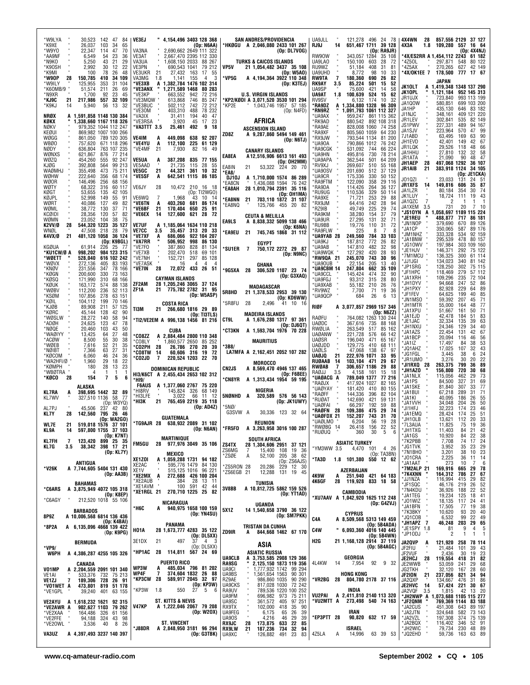| *W9LYA<br>30,523<br>142 47<br>84<br>*K9XE<br>26,037<br>103<br>34<br>65<br>*W9YO<br>47<br>70<br>22,347<br>114    | VE3EJ<br>" 4,154,496 3403 128 368<br>(Op: N6AA)<br>VA3NA<br>2,690,662 2649 111 322                                       | SAN ANDRES/PROVIDENCIA<br>*HKØGU A 2,046,080 2433 101 267<br>(Op: DL7VOG)                                          | UA9JLL<br>121,278 496 24 78<br>RJ9J<br>651,467 1711 39 128<br>14<br>RA9JR)<br>(Op:                                               | 4X4WN<br>28<br>857,556 2129<br>37 127<br>4X3A<br>109,280 557<br>16 64<br>1.8<br>(Op: 4X4NJ)                                         |
|-----------------------------------------------------------------------------------------------------------------|--------------------------------------------------------------------------------------------------------------------------|--------------------------------------------------------------------------------------------------------------------|----------------------------------------------------------------------------------------------------------------------------------|-------------------------------------------------------------------------------------------------------------------------------------|
| *AA9NF<br>6,549<br>54<br>23<br>36<br>5,250<br>21<br>29<br>*N9KO<br>43<br>*K90SH<br>2,992<br>30<br>22<br>12      | VE3AT<br>2,667,470 2395 112 330<br>VA3UA<br>1.608.150 2033 88 267<br>VE3PN<br>690,543 1041                               | <b>TURKS &amp; CAICOS ISLANDS</b><br>VP5V                                                                          | RW90W<br>343,057 1284<br>35 108<br>UA9LAO<br>150.100<br>603<br>28<br>-72<br>RU9WZ<br>31<br>81                                    | *4X/ES2RR A 1,454,112 2243<br>61 182<br>297,871<br>*4Z5OL<br>548<br>80 122<br>*4Z5AX<br>270,265<br>42 149                           |
| *K9MI<br>78<br>26<br>48<br>100<br>28<br>*W90P<br>150,785<br>410<br>34 109                                       | 79 212<br><b>VE3UKR</b><br>27,432 163<br>21<br>17<br>55<br>1.8<br>VA3MG<br>1,141<br>155<br>$\overline{4}$<br>3           | 21 1,054,482 3437 35 108<br>(0p: W5A0)<br>*VP5G<br>A 4,194,364 3922 110 348                                        | 51,184<br>408<br>UA9UHD<br>8,772<br>98<br>10<br>33<br>690<br>26<br>RW9TA<br>7<br>180,360<br>82                                   | 627<br>*4X/OK1EE 7 178,500<br>777 17 67<br>JAPAN                                                                                    |
| *W9ILY<br>125.955<br>353<br>31 104<br>*K60MB/9<br>51,574<br>211<br>26<br>69<br>*N9XR<br>1,700<br>92<br>23<br>45 | *VE3XB<br>A 1.382.784 1476 102 314<br>*VE3ANX<br>1,271,589 1468<br>80 283<br>*VE3KP<br>663,552<br>942<br>72 216          | (Op: K3TEJ)<br><b>U.S. VIRGIN ISLANDS</b>                                                                          | RK9AY<br>85.224<br>501<br>15<br>52<br>3.5<br>UA9SP<br>75,600<br>421<br>14<br>58<br>UA9AT<br>1.8<br>100,639<br>524<br>15<br>62    | JK10LT<br>A 1,419,348 1348 137 290<br>JK10PL<br>1,121,184<br>952 145 313                                                            |
| *KJ9C<br>217,986<br>32 109<br>21<br>557<br>*K9KJ<br>5,940<br>56<br>13<br>-32<br>14                              | *VE3MQW<br>85 247<br>613,868<br>746<br>*VE3BUC<br>742<br>72 212<br>502,112<br>'VE30M<br>403,310<br>488<br>78 232         | *KP2/KØDI A 3,071,520 3530 101 294<br>*KP2E<br>1,043,746 1957 57 185<br>(Op: N4FD)                                 | RV9SV<br>6,132<br>174<br>10<br>32<br>A 1,334,880 1328<br>96 309<br>*RA9DZ<br>1,091,793 1061 112 327<br>*RN9RZ                    | JR1UJX<br>723,840<br>993 113 199<br>JA100W<br>580,851<br>699 103 200<br>JA1HP<br>435,130<br>83 182<br>646                           |
| NRØX<br>A 1,591,858 1148 130 384<br>1,338,660 1167 118 326<br>KØKX<br>NØKV<br>979,352 1044 112 247              | 194<br>*VA3IX<br>31,411<br>40<br>47<br>45<br>23<br>*VE3RSA<br>3,920<br>17<br>*VA3TTT 3.5<br>25,461<br>492<br>9<br>18     | <b>AFRICA</b>                                                                                                      | 'UA9AX<br>959.247<br>861 115 362<br>*RK9AD<br>880.542 892 108 318<br>*RA9AE<br>828,008 1060<br>74 258                            | 348,161<br>409 121 220<br>JI1NJC<br>82 149<br>JR1LEV<br>302,841<br>535<br>JS1PWV<br>227,331<br>489<br>94 167                        |
| KEØUI<br>869,982 1007 100 266<br>WØGG<br>861,050 789 120 305                                                    | VE4IM<br>449.098<br>638 92 207<br>A                                                                                      | <b>ASCENSION ISLAND</b><br>ZD8Z<br>A 9,287,860 5494 149 461<br>(Op: N6TJ)                                          | *RA9XF<br>64 230<br>805,560 1059<br>'RX9JW<br>793,544 1134<br>81 200                                                             | 223,964<br>JA1SJV<br>570<br>47 99<br>7J1ABD<br>63,495<br>90<br>169<br>63<br>JH1EVD<br>42,401<br>149<br>42<br>67                     |
| WBØ0<br>757,620<br>671 118 296<br>763 107 235<br>NØDY<br>636,804<br>WØNXS<br>621,867<br>77 214<br>876           | *VE4YU<br>A<br>112,100<br>225 61 129<br>*VE4MF<br>21<br>82<br>7,930<br>16<br>49                                          | <b>CANARY ISLANDS</b><br>EA8EA<br>A12,516,906 6613 161 493                                                         | <b>UA90A</b><br>790,866 1012<br>76 242<br>*RA9CGK<br>531,092<br>66 224<br>744<br>*UA9HN<br>495,816<br>730<br>78 214              | JR1LQK<br>29,526<br>66<br>118<br>48<br>JA1HHU<br>27,810<br>132<br>32<br>58<br>90<br>48<br>- 47                                      |
| 454,260<br>92 247<br>WØZQ<br>555<br>392.808<br>KJØG<br>564<br>99 213<br>355,498<br>75 211<br>WAØMHJ<br>473      | VE5UA<br>387,208<br>835 77 155<br>A<br>VE5AAD<br>21,735<br>115<br>28<br>55<br>VE5GC<br>21<br>44,321<br>361<br>10<br>32   | (Op: OH2MM)<br>EA8IN<br>53,322 224 20 70<br>21<br>*EA8/                                                            | 362,544<br>64 209<br>'UA9APA<br>501<br>'RV9XJ<br>269,607<br>510<br>55 168<br>*UA90SV<br>201,690<br>512<br>37 129                 | JR1ATA<br>21,090<br>JH1AEP<br>497,068 1292<br>36 107<br>28<br>21<br>34 105<br>JR1AIB<br>383,918 1124                                |
| 222,640<br>68 174<br>WØHW<br>356<br>WØOR<br>146,496<br>256<br>68 156<br>WØTY<br>68,322<br>316<br>60 117         | *VE5SF<br>A<br>642,541 1115 86 185<br>VE6JY<br>28<br>10,472 210 16 18                                                    | DJ10J<br>A 1,710,000 1574<br>86 289<br>1,436,088 1594<br>76 242<br>'EA8CN                                          | 'UA9CR<br>175,336<br>330<br>50 152<br>'RA9FTM<br>122,090<br>358<br>29 116<br>'RA9DA<br>264<br>36 127<br>114,426                  | (Op: JE1CKA)<br>JO10ZI<br>23,033<br>- 51<br>131<br>24<br>JR1XFS<br>87<br>14<br>149,816<br>606<br>35                                 |
| KØGT<br>53.655<br>135<br>42 105<br>KØJPL<br>52.998<br>149<br>55<br>91<br>WØRT<br>40,086<br>127<br>49<br>82      | (Op: TI2WGO)<br>VE6WQ<br>1,968<br>43<br>10<br>14<br>*VE6TN<br>403,260<br>681<br>86 174<br>A                              | *EA8AH<br>28 1,010,794 2391 35 116<br>(Op: OH1MA)<br>*EA8NN<br>703,110 1872 31 107<br>21                           | 'RU9UG<br>110,536<br>329<br>50 114<br><b>RA9XE</b><br>71,721<br>253<br>29<br>88<br>28<br>'RX9JM<br>64,416<br>242<br>94           | JA1LZR<br>80,184<br>354<br>30<br>74<br>JK1LUY<br>18,724<br>43<br>19<br>111<br>JA1QZC<br>7<br>-1                                     |
| WØML<br>38,772<br>130<br>37<br>71<br>KCØIDI<br>28,356<br>120<br>57<br>82                                        | 21<br>170,404<br>650<br>*VE6BF<br>25<br>91<br>127,600<br>*VE6EX<br>14<br>621<br>28<br>72                                 | *EA8NQ<br>125,766 455 20 82<br><b>CEUTA &amp; MELILLA</b>                                                          | 'RZ9IB<br>49,749<br>225<br>29<br>74<br>*RA9KM<br>38,280<br>37<br>79<br>154                                                       | JA1XEM<br>20<br>$\overline{7}$<br>3.5<br>731<br>10<br>*JS10YN<br>1,058,697 1189 115 224<br>A<br>*JE1REU<br>488,877<br>86 181<br>717 |
| WØMN<br>23,052<br>104<br>38<br>75<br>544,320 1223<br>35 127<br>K2VV/Ø<br>28<br>28<br>WNØL<br>47,508 218<br>- 79 | VE7UF<br>A 1,185,064 1634 110 218<br><b>VE7CC</b><br>35.457 313 20 33<br>3.5                                             | EA9LS<br>A 8,838,332 5099 138 466<br>(Op: K6NA)<br>*EA9EU<br>21<br>745.745 1868 31 112                             | 'UA9UR<br>27,295<br>131<br>32<br>71<br>'RU9BB<br>72<br>19,776<br>110<br>31<br><b>RA9FLW</b><br>225<br>8<br>-7<br>8               | 379,690<br>'JN1NOP<br>670<br>89 126<br>*JA1CP<br>350,065<br>89 176<br>587<br>*JM1NHZ<br>333,328<br>534<br>92 159                    |
| 481,120 1058 36 124<br>K4VX/Ø<br>21<br>(Op: K9BGL)<br>KGØUA<br>61,914<br>226<br>25<br>- 77                      | *VE7XF<br>686,066 922 104 207<br>A<br>506,952 998 86 130<br>*VA7RR<br>*VE7FO<br>387.860<br>828<br>81 134                 | EGYPT<br>*SU1ER 7<br>750,172 2272 29 87                                                                            | <b>UA9YAB 28</b><br>249,560<br>784<br>33 103<br>772<br>*UA9KJ<br>187,812<br>26<br>82<br>*UA9AB<br>147,810<br>482<br>32<br>98     | 295,539<br>'JA1BNW<br>478<br>80 157<br>'JG10WV<br>197,984<br>303 109 160                                                            |
| *KU1CW/Ø A<br>984 123 315<br>998,202<br>616 102 242<br>*WØETT<br>528,040<br>*WØVX<br>83 193<br>272,136<br>405   | *VE7XB<br>202,470<br>518<br>69 101<br>'VE7NH<br>152,721<br>297<br>85 128<br>'VE7ASK<br>4<br>16<br>4<br>4                 | (Op: N9NC)                                                                                                         | 'UA9WQK "<br>127,292<br>420<br>28<br>93<br><b>RW9QA 21</b><br>245,070<br>743<br>30<br>96<br>*UA90UB<br>22,154<br>205<br>13<br>40 | 'JE1HJV<br>146,371<br>292<br>75 122<br>136,325<br>*7M1MCU<br>300<br>61 114<br>'JJ1JGI<br>134,023<br>340<br>81 142                   |
| *KNØV<br>231,556<br>78 166<br>347<br>*KØGN<br>200.600<br>330<br>73 163<br>*KØSQ<br>171,990<br>310<br>68 166     | 28<br>72,072 433 26 51<br>*VE7IN<br><b>CAYMAN ISLANDS</b>                                                                | GHANA<br>*9G5XA<br>28<br>306.520 1107 23 74<br>(Op: G3XAQ)                                                         | *UA9CBM 14<br>247,804<br>662<br>35 109<br>32<br>'UA9CCL<br>145,424<br>474<br>90<br>'UA9FGJ<br>93,312<br>315<br>28<br>80          | *JP1SRG<br>128,250<br>302<br>75 115<br>*JF1HPC<br>118,469<br>279<br>57 112<br>109,296<br>235<br>72 104<br>*JA1XRH                   |
| *KØUK<br>163,172<br>574<br>88 138<br>*WØBV<br>112,200<br>52 113<br>236                                          | 28 1,205,246 3065 37 124<br>ZF2AM<br>21 775,782 2782 31 95<br>ZF1A<br>(0p: W5ASP)                                        | MADAGASCAR<br>5R8HD<br>21 1,378,533 2953 39 130                                                                    | 'UA9XAB<br>55,182<br>210<br>26<br>76<br>*RV9WZ<br>7,700<br>36<br>71<br>19                                                        | 94,668<br>*JH1DYV<br>247<br>52<br>86<br>*JH1PXY<br>82.928<br>229<br>64<br>89<br>*JF1FEV<br>64,625<br>199<br>40<br>85                |
| *KSØM<br>107,856<br>278<br>63 151<br>*KØIL<br>104.112<br>199<br>70 146<br>*KJØB<br>89,908<br>211<br>57 125      | COSTA RICA<br>TI3M<br>266,680 1816 29 89<br>21                                                                           | (Op: KD6WW)<br>'5R8FU<br>28<br>2,496<br>41 10 16                                                                   | *UA9QCP<br>26<br>6<br>684<br>-13<br>RIØF<br>A 3,077,857 2969 157 346                                                             | 'JN1MSO<br>59,392<br>207<br>71<br>45<br>JH1MTR<br>55,000<br>77<br>48<br>164<br>71<br>'JA1XPU<br>51,667<br>161<br>50                 |
| *KØRC<br>45,144<br>128<br>42<br>90<br>*WØSLW<br>28,272<br>94<br>140<br>58<br>*ADØH<br>78<br>24,625<br>123<br>47 | (Op: TI3TLS)<br>*TI2/VE2EM A 996,138 1456 81 216                                                                         | <b>MADEIRA ISLANDS</b><br>CT9L<br>A 1,676,280 1317 97 361<br>(Op: DJ6QT)                                           | (Op: N6ZZ)<br>RAØFU<br>764,082 1263 130 244<br>UAØDC<br>367,616<br>735 88 168                                                    | 83<br>'JA1EJD<br>42,478<br>184<br>51<br>32,334<br>63<br>*JE1JAC<br>135<br>39                                                        |
| *NØQE<br>20,460<br>103<br>43<br>50<br>*WAØIYY<br>13,425<br>64<br>27<br>48<br>8,500<br>30<br>38<br>*ACØW<br>55   | CUBA<br>*CO8ZZ<br>A 2,884,484 2800 110 348                                                                               | A 1,593,704 1976 70 228<br>°CT3KN<br><b>MAURITIUS</b>                                                              | RWØLIA<br>263,549<br>517<br>85 162<br><b>UAØANW</b><br>221,728<br>576<br>66 142<br>196,040<br>UAØSR<br>471<br>65 167             | *JH1NXU<br>24,346<br>129<br>34<br>40<br>22,454<br>42<br>67<br>'JA1AZS<br>131<br>*JA1BCP<br>20,094<br>56<br>46<br>116                |
| *WØEB<br>52<br>21<br>35<br>7,616<br>27<br>31<br>*NØIBT<br>63<br>7,366<br>*KØCOM<br>6.060<br>46<br>24<br>36      | *CO8LY<br>1,860,577 2650 85 252<br>*CO2PH<br>28<br>26,786 270<br>-20<br>39<br>60,606 316 19<br><b>CO8TW</b><br>-14<br>72 | *3B8/<br>LA7MFA A 2,162,451 2052 107 282                                                                           | <b>UAØJDD</b><br>129,775 410<br>68 111<br>UAØLS<br>47,068<br>138<br>67<br>-97<br>21<br>UAØJQ<br>222,976 1071<br>33<br>95         | *JA1IZ<br>17.497<br>84<br>38<br>53<br>17,025<br>43<br>*JQ1AHZ<br>107<br>32<br>*JG1FGL<br>3,445<br>38<br>24<br>6                     |
| *WA2HFI/Ø<br>29<br>22<br>1,960<br>18<br>*KØMPH<br>28<br>23<br>180<br>13<br>*WBØTRA<br>-1                        | *CO2JD<br>$\overline{7}$<br>220,524 1203 22 70<br>DOMINICAN REPUBLIC                                                     | <b>MOROCCO</b><br>CN2JS<br>A 8.569.470 4946 137 465                                                                | RUØAAB<br>103,104 471<br>-14<br>29<br>67<br>306,657 1186<br>RWØAB<br>-7<br>29<br>88<br>4,158                                     | 22<br>3,276<br>30<br>20<br>'JR1UMO<br>799<br>89<br>*JI1RXQ<br>28<br>263,375<br>36<br>*JH1AZ0<br>156,800<br>720<br>30<br>68          |
| 4<br>$\mathbf{1}$<br>-1<br>$\overline{7}$<br>*KØCO<br>5<br>28<br>154<br>6<br>ALASKA                             | HI3/K6CT A 2,455,434 2653 102 312<br>*HI9/<br><b>F6AUS</b><br>A 1,377,060 2767 75 220                                    | (0p:FBBEE)<br>*CN8YR<br>A 1,313,434 1954 59 195                                                                    | RAØJJ<br>3.5<br>161<br>15<br>-18<br><b>'UAØACG A</b><br>789,049 1377<br>77 216<br>'RAØJX<br>417,924 1027<br>82 165               | *JA1NLX<br>115,056<br>462<br>29<br>73<br><b>JA1PS</b><br>84,500<br>327<br>31<br>69<br>81,840<br>307<br>33<br>77<br>'JA1SKE          |
| KL7RA<br>398,695 1442 32<br>-89<br>A<br><b>KL7WV</b><br>327,510 1136<br>-58<br>-77                              | *HI8RV<br>145,824<br>68 149<br>326<br>*HI3LFE<br>3.022<br>66<br>11<br>-12<br>21<br>*HI3K<br>765,459 2219 35 118          | NIGERIA<br>5NØNHD A<br>320,589<br>576 56 143<br>(Op: JK1UWY)                                                       | *UAØYAY<br>181,420<br>410<br>80 155<br>144,336<br>`RAØFF<br>396<br>82 104<br>142,690<br>'RUØAT<br>421<br>59 131                  | 31<br>*JA1BUI<br>67,218<br>289<br>71<br>'JA1KI<br>40.095<br>186<br>26<br>55<br>50<br>34.048                                         |
| (Op: W3YQ)<br>AL7PJ<br>237<br>42 80<br>45,506<br>795 26 46<br>KL7Y<br>28<br>142,560                             | (Dp: AD4Z)<br><b>GUATEMALA</b>                                                                                           | *5NØ/<br>G3SVW A<br>30,336 123 32 64                                                                               | <b>UAØFAI</b><br>66,297<br>192<br>59<br>88<br>*RAØFN 28<br>109,386<br>475<br>29<br>-74<br>*UAØFDX 21<br>152,207<br>743 31 70     | 'JA1VVH<br>204<br>26<br>32,223<br>23<br>*JI1HFJ<br>174<br>46<br>28,424<br>25<br>*JA1EMQ<br>174<br>51                                |
| (Op: WA2GO)<br>519,018 1576 37 101<br>WL7E<br>21<br>597,800 1755 37 103<br>KL9A<br>14                           | *TG9AJR 28<br>638,932 2089 31 102<br>(Op: N6AN)                                                                          | REUNION<br>*FR5FD<br>A 3,263,958 3016 100 287                                                                      | 'UAØLMO<br>6,204<br>56<br>19<br>28<br>26,418<br>*RWØBG 14<br>156 22<br>52<br>5<br>*RUØUQ<br>360<br>30<br>6                       | *JH10LB<br>20<br>13,621<br>112<br>33<br>*7L3AUA<br>11,825<br>75<br>19 36<br>*JH1TXG<br>11,403<br>84<br>21 42                        |
| (Op: K7NT)<br>123,420 899 25 35<br>KL7FH<br>7<br>38,342 398 17 21<br>KL7G<br>3.5                                | MARTINIQUE<br><b>FM5GU</b><br>977,976 3049 35 106<br>28                                                                  | SOUTH AFRICA<br>ZS4TX<br>28 1,304,606 2951 37 121<br>15,400<br>19 36<br>ZS6MG<br>7<br>108                          | <b>ASIATIC TURKEY</b><br>*YM3WW 3.5<br>4,470 101 4 26                                                                            | 10,920<br>22 38<br>17 24<br>*JA1GS<br>84<br>*7K2PBB<br>7,708<br>74<br>23 29<br>*JG1TVK<br>3,952<br>35                               |
| (Op: KL7Y)<br>ANTIGUA                                                                                           | <b>MEXICO</b><br>XE1ZOI<br>A 1,059,288 1731 94 182<br>595,776 1479 84 130<br>XE2AC                                       | 52,100 205 38 62<br>*ZSØE<br>А<br>(Op: ZS6AJS)<br>*ZS5RON 28<br>20,286 229 12 30                                   | (Op:TA3BN)<br>*TA3D<br>1.8 101,380 550 12 62                                                                                     | $10$ 23<br>*7N1BHO<br>3,201<br>38<br>*J01CRA<br>2,225<br>36<br>$11 \t14$<br>*JA1AAT<br>6<br>273<br>10<br>$\overline{7}$             |
| *V26K<br>A 7,744,605 5404 131 430<br>(Op: AA3B)                                                                 | 515,125 1016 96 221<br>XE1V<br>*XE2MX A<br>272,688 426 100 204<br>*XE2AUB<br>384<br>28<br>13 11                          | *ZS6EGB 21<br>12,288 131 19 45                                                                                     | AZERBAIJAN<br>4K9W<br>251,940 421 64 183<br>A<br>28 119,928 833 18 58<br>4K6GF                                                   | *7M2ALP<br>21<br>169,916<br>29<br>78<br>665<br>*7K4XNN<br>164,312<br>786<br>27<br>67<br>29<br>*JJ1NZA<br>116,994<br>82<br>415       |
| BAHAMAS<br>A 3,875,949 4072 105 318<br>*C6ARS<br>(Op: K8EP)                                                     | $\blacksquare$<br>591 42<br>*XE1AVM<br>100<br>44<br>*XE1RGL 21 270,710 1225 25 82                                        | TUNISIA<br>3V8BB<br>A 10,812,725 5862 159 526<br>(Op: YT1AD)                                                       | CAMBODIA<br>*XU7AAV A 1,042,920 1625 112 248                                                                                     | 52<br>*JF1SQC<br>46,176<br>219<br>26<br>52<br>*7N4KDU<br>36,926<br>188<br>22<br>19,234<br>41<br>125<br>18<br>*JA1TEG                |
| *C6AGY<br>212,520 1018 55 106<br><b>BARBADOS</b>                                                                | NICARAGUA<br>*H6C<br>940,975 1658 100 159<br>A<br>(Op: YN4SU)                                                            | UGANDA<br>5X1Z<br>14 1,540,658 3790 36 122                                                                         | (Dp: G4ZVJ)<br><b>CYPRUS</b>                                                                                                     | 41<br>*J01WIZ<br>18,135<br>24<br>117<br>38<br>*JA1BFN<br>17,505<br>19<br>77<br>*7K3BKY<br>10,620<br>93<br>20<br>40                  |
| 8P9Z<br>A 10,006,568 6814 136 436<br>(Op: K4BAI)<br>*8P2A<br>A 6,135,096 4668 139 422                           | <b>PANAMA</b>                                                                                                            | (Op: SM7PKK)<br>TRISTAN DA CUNHA                                                                                   | C4A<br>A 8,509,568 5313 149 459<br>(Op: 5B4ADA)                                                                                  | *JQ1COB<br>22<br>49<br>6,532<br>99<br>*JH1APZ 7<br>29<br>65<br>46,248<br>203<br>*JE1SPY 1.8<br>5<br>81<br>9<br>4                    |
| (Op: K9PG)<br>BERMUDA                                                                                           | <b>H01A</b><br>28 1,673,777 4283 35 122<br>(Op: DL5XX)<br>3E1DX<br>21<br>497<br>37<br>4<br>-3                            | ZD9IR<br>844,668 1462 67 170<br>A<br>ASIA                                                                          | 6,093,360 4016 140 445<br>C4W<br>(Op: 5B4WN)<br>H2G<br>21 1,168,128 2914 37 119                                                  | *JP10DJ<br>$\overline{2}$<br>1<br>$\mathbf{1}$<br>$\mathbf{1}$<br>JA2QVP<br>121,920<br>78 114<br>A<br>258                           |
| *VP9/<br>W6PH A 4,386,287 4255 105 326                                                                          | (Op: DL5XX)<br>114,811 567 24 69<br>*HP1AC 28                                                                            | <b>ASIATIC RUSSIA</b><br><b>UA9CLB</b><br>A 3,753,585 2908 129 366                                                 | (Dp: 5B4AGC)<br>GEORGIA                                                                                                          | JF2FIU<br>21,484<br>39<br>$^{43}_{23}$<br>101<br>JF2VUF<br>2,436<br>30<br>19<br>31 82<br>JE2HCJ<br>119,554<br>28<br>418             |
| CANADA<br>A 2,204,559 2091 101 340<br>V01MP<br>533,376 732 75 213<br>VE1AI                                      | <b>PUERTO RICO</b><br>485,034 796 81 202<br>WP3W<br>A<br>374,604 1832 26 88<br><b>WP4F</b><br>7                          | <b>RA9SG</b><br>2,125,150 1873 119 356<br>UA9CI<br>1,777,932 1742 99 294<br>UA9BS<br>1,561,654 1563<br>90 301      | 4L4KW<br>92 9 32<br>14<br>7,954<br><b>HONG KONG</b>                                                                              | JE2WWB<br>29<br>68<br>53,059<br>241<br>JG2TKH<br>32,120<br>28<br>60<br>167<br>JF210N<br>21<br>237,056<br>34<br>94<br>821            |
| 189,306 728 26 91<br>VE1ZJ<br>7<br>473,801 819 51 178<br>*VO1WET A<br>*VE1GPL<br>39,240 401 63 155              | 589,917 2045 32 97<br>*KP3CW<br>-28<br>(Op: KP3W)<br>27<br>*KP3W<br>5 6<br>1.8<br>550                                    | 986,860 1035<br>RZ9AE<br>90 290<br>817,028 1030<br>UA9CKS<br>72 242<br>RA9UV<br>789,536 1220 100 252               | 804,780 2178 37 116<br>*VR2BG 28<br>INDIA                                                                                        | 86<br>JA2QXP<br>134,667<br>476<br>31<br>57,424<br>JE2HVC<br>30<br>221<br>67<br>14<br>JA2VQF<br>1,815<br>42<br>13 20<br>3.5          |
| VE2AYU A 1,618,232 1621 92 315                                                                                  | ST. KITTS & NEVIS<br>V47KP<br>A 1,222,046 2067 79 208                                                                    | 696,982 973 75 211<br>UA9FM<br>UA9SC<br>361,572 405 97 251<br>RX9TX<br>102,000<br>418<br>35 90                     | VU2PAI A 2,411,810 2140 113 320<br>*VU2MTT A<br>273,498 540 74 163                                                               | *JH2NWP A<br>1,073,688 1105 115 277<br>*JF2QNM<br>769,369 1144<br>83 188<br>*JA2CUS<br>451,308<br>89 197<br>643                     |
| *VE2AWR A<br>902,627 1103 79 262<br>*VE2XAA<br>164,486 326 61 156<br>*VE2FFE<br>94,188 324 43 98                | (0p: W20X)<br><b>ST. VINCENT</b>                                                                                         | UA9FEG<br>6,175<br>65<br>26 39<br>29<br>39<br>4,216<br>46<br>UA90S<br>RX9JC                                        | IRAN<br>*EP3PTT 28<br>90,820 632 17 59                                                                                           | *JA2JTN<br>324,648<br>582<br>73 143<br>*JA2VZL<br>197,308<br>75 139<br>374<br>346 52 91<br>*JA2BQX<br>116,402                       |
| *VE20WL<br>3,536<br>40<br>8<br>26<br>VA3UZ<br>A 4,397,493 3237 140 397                                          | *J88DR<br>A 2,848,950 3181 96 294<br>(Op: G3TBK)                                                                         | 28<br>173,875<br>633<br>22 85<br><b>RX9LW</b><br>187,236<br>734<br>32<br>21<br>94<br>UA9XC<br>126,882 491 23<br>83 | ISRAEL<br>4Z5LA<br>63 39 53<br>Α<br>14,996                                                                                       | *JH2WIC<br>48 89<br>79,734<br>230<br>*JQ2EHD<br>59,736<br>163 63 89                                                                 |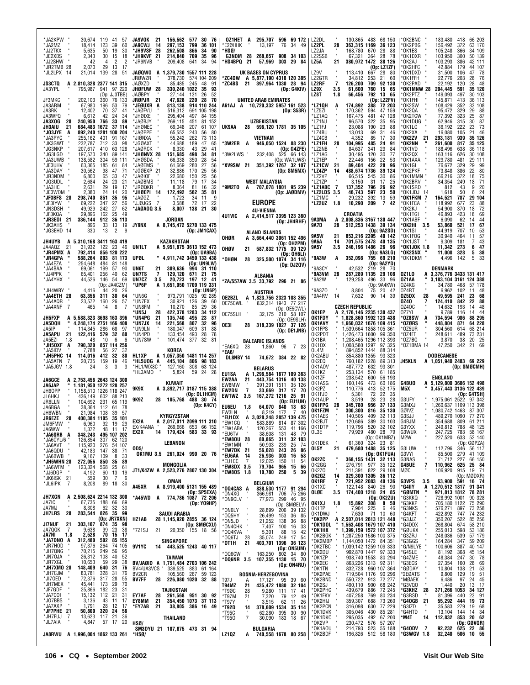| 'JA2KPW<br>30,674<br>119<br>-41<br>57<br>'JA2MZ<br>18.414<br>123<br>39<br>60<br>*JJ2TKX<br>5,635<br>50<br>19<br>30<br>2,343<br>30<br>18<br>*JE2XBS<br>15<br>*JJ2SHW<br>2<br>2<br>42<br>4<br>*JR2TMB 28<br>2,070<br>29<br>17<br>13<br>*JL2LPX<br>21,014 139<br>-28<br>-51<br>-14<br>JS3CTQ<br>A 2.810.328 2377 141 315<br>941 97 220<br>JA3YPL<br>795,987<br>(Op: JJ3TBB)<br>JF3MKC<br>202.103<br>360<br>76 133<br>JA3ARM<br>67,980<br>196<br>53<br>79<br>12,402<br>37<br>JA3RK<br>70<br>41<br>34<br>JA3WFQ<br>42<br>24<br>6,612<br>33<br>240,950 766<br>89<br>JA3XOG<br>28<br>37 114<br>JH3AIU<br>21<br>684,483 1672<br>892,240 1281 100 204<br>*JO3JYE<br>A<br>*JA3PYC<br>255,162<br>401<br>91 167<br>*JK3GWT<br>232,787<br>712<br>33<br>98<br>63 128<br>*JG3NKP<br>207,617<br>410<br>*JG3LGD<br>197,570<br>340<br>89 141<br>138,582<br>'JA3UWB<br>304<br>59 111<br>63,365<br>*JE3UHV<br>185<br>61<br>84<br>*JA3DAY<br>30,562<br>98<br>47<br>71<br>6,800<br>33<br>*JR3NDM<br>65<br>47<br>21<br>*JQ3UDL<br>2,684<br>24<br>23<br>2,631<br>*JA3HC<br>29<br>19<br>-17<br>*JE3WOM<br>2,380<br>14<br>20<br>24<br>298,740<br>35<br>*JF3BFS<br>28<br>851<br>95<br>27<br>69,222<br>347<br>56<br>*JF3IYW<br>242<br>*JN3DSH<br>49,929<br>27<br>62<br>25<br>*JF3KQA<br>29,896<br>162<br>49<br>*JR3E01 21<br>336,144<br>912 36 113<br>*JK3AHS<br>896<br>33<br>13<br>-19<br>$\overline{2}$<br>*JG3EHD 14<br>330<br>13<br>9 | <b>JA9VOK</b><br>30 76<br>-21<br>156,562 577<br><b>JA9CWJ</b><br>14<br>297.153<br>799<br>36 101<br>*JH9VSF 28<br>262,508<br>866<br>-34<br>90<br>*JH9KVF 21<br>709<br>35<br>96<br>214,840<br>*JR9NVB<br>209,408<br>94<br>641<br>-34<br>JAØQWO A 1,379,730 1557 111 228<br>JRØWZR<br>378,730<br>574 104 209<br>JAØXZD<br>85,485<br>245<br>48<br>91<br>JHØFUW 28<br>330,240 1022<br>35<br>93<br>JAØBPY<br>27,144<br>26<br>52<br>131<br>JRØPJR<br>220<br>- 21<br>47,628<br>-28<br>70<br>*JEØUXR A<br>914 110 244<br>813,138<br>*JAØFVU<br>691 105 198<br>516,312<br>*JHØIXE<br>295,404<br>497<br>84 155<br>81 152<br>*JAØBJY<br>269,115<br>451<br>*JHØNEC<br>69.048<br>207<br>61 107<br><b>JAØPPE</b><br>65,552<br>243<br>56<br>80<br>'JIØNXA<br>55,242<br>262<br>73 113<br>44,688<br>189<br>47<br>*JGØAXT<br>65<br>8,330<br>*JAØRCK<br>43<br>29<br>41<br>*JHØNVX 28<br>151,685<br>498<br>34<br>81<br>66,338<br>350<br>*JHØSDA<br>28<br>54<br>*JAØEMS<br>61,669<br>280<br>27<br>56<br>*JGØEXP 21<br>32,886<br>170<br>25<br>56<br>*JAØIOF<br>22,680<br>150<br>25<br>56<br>*JAØBMS<br>11.118<br>79<br>17<br>34<br>'JRØQKR<br>8,064<br>81<br>16<br>32<br>*JHØEPI 14<br>172,492<br>562<br>35<br>81<br>1,723<br>'JAØGZ<br>34<br>11<br>9<br>72<br>22<br>7<br>JJØJGS*<br>3,588<br>17<br>*JAØAOQ 3.5<br>8,007<br>138 21<br>30<br><b>JORDAN</b><br><b>JY9NX</b><br>A 8.745.472 5270 133 475<br>(Op: JM1CAX) | 295,707<br>OZ1HET A<br>596 69 172<br>*E2ØHHK<br>13.197<br>76<br>34<br>-49<br>*HSØ/<br><b>G3NOM 28</b><br>268,657 908 34 103<br>*HS4BPQ 21<br>57,969<br>303 29 84<br>UK BASES ON CYPRUS<br>*ZC4DW<br>A 5,877,190 4318 120 385<br>*ZC4BS<br>21 397,964 1330 28<br>94<br>(Op: G4KIV)<br>UNITED ARAB EMIRATES<br>A61AJ A 10,720,332 5957 161 523<br>(Dp: S53R)<br><b>UZBEKISTAN</b><br>UK9AA<br>28<br>596,120 1781 35 105<br><b>VIETNAM</b><br>*3W2ER A<br>946,050 1524 88 230<br>(Op: G4ZFE)<br>*3W2LWS<br>232,408<br>525 66 143<br>(Op: WA1LWS)<br>*XV9SW 21<br>351,392 1267 32 107<br>(Op: SM5MX)<br>WEST MALAYSIA<br>*9M2TO<br>707,078 1801 95 239<br>A<br>(Op: JAØDMV)<br><b>EUROPE</b><br>4U-VIENNA<br><b>4U1VIC</b><br>A 2,414,517 3395 123 360<br>(Op: JH4RHF)<br>ALAND ISLANDS<br>OHØR<br>A 3,664,440 3061 152 496 | LZ2DL<br>130,865<br>483<br>68 150<br><b>LZ2PL</b><br>28<br>363,315 1169<br>36 123<br>LZ2JA<br>168,780<br>670<br>28<br>- 88<br>LZ2SSB<br>28 78<br>67,321<br>364<br>LZ5A<br>21<br>380,972 1472<br>38 126<br>(Op: LZ1ZF)<br>LZ9V<br>113.410<br>667<br>28 80<br>LZ2GTR<br>34,812<br>253<br>21<br>60<br><b>LZ2RF</b><br>$\overline{7}$<br>126,200<br>709<br>92 130<br>LZ9X<br>760<br>15<br>3.5<br>61.600<br>65<br>792<br>LZ8T<br>66,456<br>13<br>1.8<br>- 65<br>(0p: LZ2FV)<br>*LZ1QH<br>174,892<br>388 72 203<br>A<br>*LZ5ZI<br>594 47 159<br>170,362<br>*LZ1AQ<br>167,475<br>481<br>47 128<br>*LZ1NJ<br>322<br>35<br>96,570<br>95<br>*LZ1FJ<br>23.088<br>190<br>23<br>88<br>*LZ4BU<br>13,013<br>69<br>31<br>46<br>*LZ4CB<br>4,352<br>85<br>17<br>30<br>*LZ1FH<br>28<br>104,995<br>485<br>24<br>91<br>29<br>*LZ2NB<br>341<br>84,637<br>84<br>*LZ1AG<br>30.495<br>120<br>30<br>77<br>22,446<br>*LZ1EP<br>156<br>22<br>53<br>*LZ1CW<br>89,404<br>422<br>28<br>96<br>-21<br>*LZ4ZP<br>488,674 1736<br>39 124<br>14<br>*LZ2VP<br>30<br>66,515<br>545<br>86<br>*LZ1ZP<br>3,150<br>31<br>17<br>25<br>*LZ1ABC 7<br>137,352<br>796<br>26<br>92<br>*LZ2LDS 3.5<br>46,743<br>597<br>23<br>50<br><b>LZ1MC</b><br>29,232<br>392<br>59<br>13<br>10,290<br>*LZ2UZ 1.8<br>209<br>$\overline{7}$<br>42<br>CROATIA<br>9A3MA<br>2,808,836 3167 130 447<br>A<br>9A7D<br>28<br>512,253 1438 39 134<br>(Op: 9A2SD)<br><b>9A5W</b><br>21<br>853,216 2395 40 142 | OK2BNC<br>66 203<br>183,480<br>418<br>'OK2PBG<br>156,492<br>372<br>63 170<br>'OK1ES<br>34 109<br>105,248<br>366<br>*OK1DXR<br>103,950<br>50 139<br>300<br>103,293<br>42 111<br>®OK2AJ<br>386<br>'OK2HFC<br>42,884<br>44 107<br>179<br>'OK1DXD<br>31,500<br>47<br>- 78<br>106<br>'OK1FFH<br>- 76<br>22,776<br>203<br>28<br>'OK2PAD<br>22,192<br>120<br>28<br>48<br>OK1MNW 28*<br>204,445<br>591<br>35 120<br>149,093<br>OK2PTZ<br>497<br>30 103<br>'OK1FHI<br>145.871<br>413<br>36 113<br>'OK2SW<br>108,429<br>352<br>33 108<br><b>OK2QA</b><br>95,472<br>329<br>29<br>88<br>OK2TCW<br>77,392<br>323<br>25<br>87<br>62,946<br>30<br>87<br>'OK1DUG<br>315<br>23<br>73<br>'OK1LO<br>36,192<br>222<br>'OK2XA<br>16,080<br>21 46<br>105<br>®OK2ZV<br>293,181<br>35 126<br>21<br>939<br>OK2NN<br>261,600<br>35 125<br>817<br>'OK1VD<br>188,496<br>36 118<br>638<br>OK2QX<br>163,116<br>626<br>30 108<br>129,780<br>OK1AXA<br>481<br>29 111<br>'OK1GI<br>76,672<br>329<br>29 99<br>'OK2PKF<br>22<br>80<br>73,848<br>386<br>75<br>'OK1MMN<br>66,216<br>18<br>372<br>71<br>'OK2BRV<br>34,354<br>249<br>18<br>'OK1SRD<br>20<br>812<br>43<br>9<br>'OK1JDJ<br>50<br>6<br>24<br>1,618<br>14<br><b>OK1FKM</b><br>164,521<br>787<br>29 104<br>7<br>118,992<br>23<br>'OK1FCA<br>677<br>88<br>'OK2KJ<br>54.900<br>370<br>18<br>72<br>'OK1TGI<br>46,893<br>423<br>18<br>69<br>6,090<br>62<br>44<br>*OK1ABF<br>14<br>67<br>*OK2HI<br>3.5<br>53,860<br>521<br>17<br>707<br>53<br>'OK1SI<br>44.919<br>10<br>'OK1FOG<br>30.940<br>464<br>11<br>57 |
|---------------------------------------------------------------------------------------------------------------------------------------------------------------------------------------------------------------------------------------------------------------------------------------------------------------------------------------------------------------------------------------------------------------------------------------------------------------------------------------------------------------------------------------------------------------------------------------------------------------------------------------------------------------------------------------------------------------------------------------------------------------------------------------------------------------------------------------------------------------------------------------------------------------------------------------------------------------------------------------------------------------------------------------------------------------------------------------------------------------------------------------------------------------------------------------------------------------------------------------------------------------------------------------------------------------------------------------------------------------------------------------------------------------|------------------------------------------------------------------------------------------------------------------------------------------------------------------------------------------------------------------------------------------------------------------------------------------------------------------------------------------------------------------------------------------------------------------------------------------------------------------------------------------------------------------------------------------------------------------------------------------------------------------------------------------------------------------------------------------------------------------------------------------------------------------------------------------------------------------------------------------------------------------------------------------------------------------------------------------------------------------------------------------------------------------------------------------------------------------------------------------------------------------------------------------------------------------------------------------------------------------------------------------------------------------------------------------------------------------------------------------------------------------------------------------------|-------------------------------------------------------------------------------------------------------------------------------------------------------------------------------------------------------------------------------------------------------------------------------------------------------------------------------------------------------------------------------------------------------------------------------------------------------------------------------------------------------------------------------------------------------------------------------------------------------------------------------------------------------------------------------------------------------------------------------------------------------------------------------------------------------------------------|---------------------------------------------------------------------------------------------------------------------------------------------------------------------------------------------------------------------------------------------------------------------------------------------------------------------------------------------------------------------------------------------------------------------------------------------------------------------------------------------------------------------------------------------------------------------------------------------------------------------------------------------------------------------------------------------------------------------------------------------------------------------------------------------------------------------------------------------------------------------------------------------------------------------------------------------------------------------------------------------------------------------------------------------------------------------------------------------------------------------------------------------------------------------------------------------------------------------------------------------------------------------------------------------------------------------------------------------------------------------------------------------------------------------------------------|-----------------------------------------------------------------------------------------------------------------------------------------------------------------------------------------------------------------------------------------------------------------------------------------------------------------------------------------------------------------------------------------------------------------------------------------------------------------------------------------------------------------------------------------------------------------------------------------------------------------------------------------------------------------------------------------------------------------------------------------------------------------------------------------------------------------------------------------------------------------------------------------------------------------------------------------------------------------------------------------------------------------------------------------------------------------------------------------------------------------------------------------------------------------------------------------------------------------------------------------------------------------------------------------------------------------------------------------------------------------------------------------------------------------------------------------------------------------------------------------------------------------------------|
| JH4UYB<br>5,310,168 3411 163 419<br>A<br>JA4AQZ<br>31,932 122 23<br>21<br>- 46<br>*JR4PMX A<br>856 120 222<br>792,414<br>588,264<br>*JR4GPA<br>893<br>81 173<br>*JA4EZA<br>254.648<br>484<br>81 148<br>69,061<br>*JA4BAA<br>199<br>57<br>90<br>*JJ4PPK<br>256<br>65,401<br>40<br>62<br>*JA4YHX<br>44,526<br>146<br>54<br>69<br>(Op: JA4CZM)                                                                                                                                                                                                                                                                                                                                                                                                                                                                                                                                                                                                                                                                                                                                                                                                                                                                                                                                                                                                                                                                   | KAZAKHSTAN<br>UN1LT<br>A 5.951.875 3613 152 473<br>(Op: UA9BA)<br>UPØL<br>" 4,911,742 3459 133 438<br>(Op: UN9LW)<br>UN6T<br>21<br>309,636<br>994 31 110<br>UN7TS<br>129,120<br>7<br>671<br>21<br>-75<br>UN7CZ<br>3.5<br>20,723<br>197 12<br>41<br>*UP6P<br>A 1,651,050 1709 119 331                                                                                                                                                                                                                                                                                                                                                                                                                                                                                                                                                                                                                                                                                                                                                                                                                                                                                                                                                                                                                                                                                                           | (Op: OH2PM)<br>OHØV<br>21<br>587.832 1775 39 129<br>(Op: OH6LI)<br>*OHØN<br>28<br>325,500 1074 34 116<br>(Op: DJ2QV)<br>ALBANIA<br>*ZA/S57AW 3.5 33,792 296 21 86                                                                                                                                                                                                                                                                                                                                                                                                                                                                                                                                                                                                                                                       | 9A6A<br>14<br>701,575 2478<br>40 135<br>246,196 1486 26 96<br>9A5Y<br>3.5<br>(Op: 9A3LG)<br>*9A3W<br>352,098<br>755 69 210<br>A<br>(Op: 9A2YD)<br>'9A3CY<br>42,532<br>219<br>28 70<br>'9A3VM<br>-28<br>287.289 1135 29 108<br>®9A2W<br>129,258<br>496<br>33<br>-96<br>(Op: 9A4KW)                                                                                                                                                                                                                                                                                                                                                                                                                                                                                                                                                                                                                                                                                                                                                                                                                                                                                                                                                                                                                                                                                                                                                     | 43<br>'OK1JST<br>9,309<br>181<br>7<br>*OK1JOK 1.8<br>11,342<br>47<br>273<br>6<br>OK2SNX<br>11,008<br>328<br>38<br>5<br>5<br>'OK1DKM<br>4,496<br>142<br>33<br>DENMARK<br>0Z1L0<br>A 3,376,776 3433 131 417<br>3,183,104 3161 124 388<br>OZ1AA<br>0Z4KG<br>34,780<br>57 178<br>468                                                                                                                                                                                                                                                                                                                                                                                                                                                                                                                                                                                                                                                                                                                                                                                                                                                                                                                                                                                                                                                                                                                                                                                                                                            |
| *JH4WBY<br>4.416<br>20<br>26<br>44<br>*JA4ETH 28<br>63,356<br>311<br>30<br>64<br>*JA4AQR<br>23,572<br>160<br>26<br>57<br>*JA4XNF<br>7<br>8<br>7<br>465<br>14<br><b>JH5FXP</b><br>5,588,323 3698 163 396<br>A<br>JA5DQH<br>4,248,174 2751 166 408<br>JA5IP<br>114,345 286<br>68<br>97<br>JA5APU<br>21<br>122,416 579<br>32<br>80<br>10<br>6<br>6<br>JA5EZI<br>1.8<br>48<br>*JH5OXF<br>790,320 857 114 256<br>A<br>*JA5IDV<br>7,788<br>56<br>27<br>32<br>114,016<br>412<br>32<br>*JH5PHC 14<br>80<br>*JA5ATN<br>7<br>20,735<br>159<br>19<br>46<br>*JA5JGV 1.8<br>3<br>3<br>24<br>3                                                                                                                                                                                                                                                                                                                                                                                                                                                                                                                                                                                                                                                                                                                                                                                                                              | (Op: UN6P)<br>92 285<br>*UN6G<br>973,791 1025<br>*UN7EX<br>30,921 126<br>39<br>60<br>10,270<br>*UN8FM<br>29<br>85<br>36<br>*UN5J<br>28<br>422,378 1283<br>34 112<br>*UN4PG<br>-21<br>135,740<br>495<br>23<br>87<br>*UN7JX<br>807<br>32<br>14<br>221,568<br>96<br>*UN9LN<br>609<br>31<br>88<br>180,047<br>*UN4PD<br>493<br>133,454<br>28<br>78<br>101,474<br>377<br>32<br>*UN7SW<br>81<br>KOREA<br>HL1XP<br>A 1,057,350 1481 114 257<br>*HL5UOG A<br>445,104<br>806 98 183<br>*HL1/WX8C<br>127,160<br>308<br>63 124<br>*HL3AMO<br>5,824<br>59 24 28                                                                                                                                                                                                                                                                                                                                                                                                                                                                                                                                                                                                                                                                                                                                                                                                                                             | <b>AUSTRIA</b><br>OE2BZL<br>A 1,823,756 2323 103 355<br>OE75CWL<br>832,314 1943 77 217<br>(Op: OE5CWL)<br>210 58 107<br>OE75SLH<br>32,175<br>(Op: OE9SLH)<br>OE3I<br>318,339 1027 37 126<br>28<br>(Op: OE1JNB)<br><b>BALEARIC ISLANDS</b><br>*EA6XQ<br>7 23<br>28<br>1,860<br>96<br>'EA6/<br>DL8NBY 14<br>74,672 384 22 82<br>BELARUS                                                                                                                                                                                                                                                                                                                                                                                                                                                                                   | *9A3Z0<br>8.804<br>75<br>20<br>-42<br>39<br>*9A4RV<br>14<br>7,632<br>90<br>14<br><b>CZECH REPUBLIC</b><br>OK1EP<br>2,176,146 2235 130 437<br>1,828,860 1992 123 438<br>OK1FDY<br>1,660,032 1676 109 415<br>OK1AVY<br>OK1FPS<br>1,539,664 1858 105 361<br>OK2PDT<br>1,426,473 1600 99 350<br>1,208,465 1296 112 393<br>OK1BA<br>0K10X<br>1,008,580 1297<br>97 325<br>894,852 1444<br>OL4M<br>88 314<br>OK2ABU<br>854,880 1355<br>93 323<br>OK2EQ<br>760,182 1228<br>89 313<br>487,772 632<br>93 301<br>OK1AOV<br>OK1KZ<br>253,134<br>570<br>61 185                                                                                                                                                                                                                                                                                                                                                                                                                                                                                                                                                                                                                                                                                                                                                                                                                                                                                     | 0Z4RT<br>6.962<br>102<br>11 48<br>OZ5DX<br>28<br>49,595<br>241<br>23<br>68<br>0Z40<br>124,410<br>22<br>842<br>88<br>7<br>0Z40C<br>14,632<br>193<br>48<br>14<br>0Z7YL<br>9,789<br>116<br>14<br>44<br>88 295<br>*OZ8SW<br>734.594<br>986<br>A<br>448,804<br>64 228<br>'OZØRS<br>871<br>0Z5UR<br>304,560<br>68 214<br>614<br>'0Z4FF<br>248,611<br>73 231<br>489<br>'0Z7BQ<br>38<br>20 25<br>3,870<br>0Z1BMA 14<br>69<br>47,250<br>342<br>-21<br><b>DODECANESE</b><br>J45KLN<br>A 1,051,940 2483 69 229<br>(Op: SMØCMH)                                                                                                                                                                                                                                                                                                                                                                                                                                                                                                                                                                                                                                                                                                                                                                                                                                                                                                                                                                                                         |
| <b>JA6GCE</b><br>A 2,753,456 2643 124 300<br>JA6JAP<br>1,181,950 1272 128 257<br>JH60PP<br>1.158.510 1226 118 247<br>436,149 602<br>JL6HKJ<br>88 213<br>65 119<br>104,692<br>231<br>JR6LLN<br>JA6BGA<br>38.364<br>112<br>61<br>- 78<br>JH6WBN<br>21,984 108<br>39<br>57<br>28<br>400,384 1105<br>35 101<br><b>JR6EZE</b><br>JM6FMW<br>92<br>19<br>29<br>6,960<br>1,372<br>48<br>11 17<br>JA6WW<br>348,243 495 107 202<br>*JA6SRB A<br>*JA6CYL/6<br>126,854<br>307 62 120<br>115,920 276 54 107<br>*JA6AVT<br>$\frac{42,183}{9,167}$<br>*JA6QDU<br>38<br>147<br>-71<br>$\overline{8}$<br>*JA6BWB<br>109<br>33<br>*JH6WHN 28<br>272,056 850<br>35<br>89<br>*JA6WFM<br>123,324<br>568<br>25<br>61<br>*JJ6DGP<br>4,192<br>60<br>13 19                                                                                                                                                                                                                                                                                                                                                                                                                                                                                                                                                                                                                                                                             | KUWAIT<br>9K9X<br>A 3,892,717 3187 115 388<br>(Op: DL1HCM)<br>9K9Z<br>28<br>488 30 74<br>105.768<br>(Op: K4CY)<br><b>KYRGYZSTAN</b><br>EX2A<br>2,017,011 2099 111 310<br>EX/K4ANA "<br>269,666 653 66 152<br>14 179,424 583 33 93<br>EX2X<br><b>LEBANON</b><br>OD5/<br>OK1MU 3.5 261,024 990 20 76<br>MONGOLIA<br>JT1/K4ZW A 2,523,276 2807 130 304                                                                                                                                                                                                                                                                                                                                                                                                                                                                                                                                                                                                                                                                                                                                                                                                                                                                                                                                                                                                                                            | EU1SA<br>A 1,296,584 1677 109 363<br>EW2AA<br>443,754 1316 40 138<br>21<br>EW8MW<br>391,391 1511<br>35 126<br>$\overline{7}$<br><b>EW2DN</b><br>33,669 317<br>17<br>- 70<br>EW1WZ<br>167,272 1216 25<br>3.5<br>-91<br>(Op: EU1UN)<br><b>EU6EU</b><br>1.8<br>64,070<br>840 13 63<br>40<br>EW3LN<br>8,219<br>172<br>7<br>*EU1DX<br>A 3,028,248 2857 139 475<br>EW1CQ<br>583,889<br>814<br>87 302<br>120,267<br>41 166<br>*EW1ABA<br>553<br>*EU6TV<br>38,608<br>131<br>48 79<br>*EW80U 28<br>80,865<br>311<br>32 103<br>*EW1MN<br>50,903<br>239<br>25<br>-74<br>*EW7DK 21<br>56,028<br>243 26<br>86<br>*EU6AA<br>26,936<br>303<br>16<br>-14<br>58<br>*EU1CC<br>12,025<br>150<br>11<br>54<br>7<br>*EW8DX 3.5<br>79,704<br>66<br>965 15<br>*EW80S 1.8<br>10,780<br>5<br>39<br>250                                            | 238,542<br>OK1ZF<br>600<br>56 193<br>OK1ASG<br>160,146<br>473<br>60 186<br>OK2PZ<br>110,776<br>413<br>52 175<br>22<br>5,301<br>OK1FJD<br>72<br>-35<br>OK1AUP<br>3,519<br>28<br>23<br>- 28<br>OK1FPG<br>28<br>345,780<br>956<br>37 133<br>300,300<br>OK1FZM<br>816<br>35 130<br>32 113<br>140,505<br>OK1AES<br>409<br>120,686 389 30 103<br>OK2BJT<br>OK1DTP<br>119,796 520 32 102<br>79,929 480 28 79<br>OL3E<br>(Op: OK1MBZ)<br>61,360 324 23 81<br>OK1DEK<br>479,680 1488 35 125<br>21<br>OL5Y<br>(Op: OK1FUA)<br>OK2ZC<br>368,155 1431 32 113<br>OK2GG<br>276,791 977<br>35 122<br>OK2ZO<br>211,391 822<br>329,300 1305<br>29 108<br>36 112<br>OK2GZ<br>14                                                                                                                                                                                                                                                                                                                                                                                                                                                                                                                                                                                                                                                                                                                                                                         | ENGLAND<br>G4BU0<br>A 5,129,800 3686 152 498<br>M5X<br>3,457,443 3136 122 439<br>(Op: G4TSH)<br>G3UFY<br>1.975.061 2522 97 342<br>G3MXJ<br>1,260,637 1109 113 398<br>GØIVZ<br>1,080,742 1463<br>87 307<br>G3SJJ<br>489,270 1090<br>77 270<br>G4BJM<br>809 61 211<br>354,688<br>G3YXX<br>249,812 788 48 125<br>G3WUX<br>247,725<br>783 58 167<br>M2W<br>227,520<br>633 52 140<br>(Op: GØPZA)<br>56 117<br>112,796<br>346<br>G3LUW<br>G3VYI<br>85,500<br>41 109<br>279<br>G3NAS<br>71,712<br>66 150<br>227<br>$\overline{\mathbf{r}}$<br><b>G4BUE</b><br>110,962<br>625<br>25 84<br>MØC<br>106,920<br>915 19 71<br>(Op: MØDXR)                                                                                                                                                                                                                                                                                                                                                                                                                                                                                                                                                                                                                                                                                                                                                                                                                                                                                                |
| *JK6ISK 21<br>*JL6IPK 7<br>7<br>559<br>30<br>6<br>8,208<br>89<br>18<br>30<br>JH7XGN<br>A 2,508,624 2214 132 300<br>67,735 188 66 89<br>JA7IC<br>JA7MJ<br>8,308<br>62 32 30<br>JH7LRS<br>28<br>283,544 826 35 99<br>(Op: JR7XKN)<br>303,107 874 35<br>JI7NUF<br>21<br>98<br>JA7QQK<br>9,638<br>99<br>23<br>-7<br>38<br>JA7NI<br>2,528<br>70<br>15 17<br>1.8<br>*JA7DNO A<br>312,480 502<br>85 155<br>74 105<br>*JR7HOD<br>264<br>97,376<br>*JH7QNG<br>70,215 249<br>56<br>95<br>*JN70JA<br>26,312 108<br>52<br>40                                                                                                                                                                                                                                                                                                                                                                                                                                                                                                                                                                                                                                                                                                                                                                                                                                                                                              | OMAN<br>A45XR<br>A 8,919,400 5131 155 489<br>(Op: SP5EXA)<br>*A45WD A 774,786 1087 72 206<br>(Op: YO9HP)<br>SAUDI ARABIA<br>HZ1AB<br>28 1,145,920 2855 36 124<br>(Op: SMØCXU)<br>*7Z1SJ<br>21<br>20,350 155 18 56<br>SINGAPORE<br><b>9V1YC</b><br>14<br>443,525 1243 40 117                                                                                                                                                                                                                                                                                                                                                                                                                                                                                                                                                                                                                                                                                                                                                                                                                                                                                                                                                                                                                                                                                                                    | <b>BELGIUM</b><br>*OQ4CAS A<br>838,530 1177 91 294<br>366.981 706 75 266<br>*ON4XG<br>*ON9CLV<br>299 46 95<br>77,973<br>*ON6LY<br>26,499<br>36 85<br>*005HY<br>153<br>21,252<br>36<br>88<br>*ON5JD<br>138<br>*ON4CHK<br>7,407<br>100 16<br>33<br>*004KVA<br>5,301<br>88<br>15<br>42<br>249 17 54<br>*0Q6TJ<br>28<br>35,074<br>21<br>403,701 1396 36 123<br>*0T1H<br>(Op: ON5UM)<br>163,250 802 34 80<br>*006CW                                                                                                                                                                                                                                                                                                                                                                                                          | 721,952 2083<br>OK1RF<br>7<br>40 136<br>122,148 840<br>26 90<br>OK1XC<br>174,400 1218 24 85<br>OLØE<br>3.5<br>(Op: OK2ZU)<br>8 50<br>308<br>OK1XJ<br>15,892<br>1.8<br>OK1TP<br>7,904 225<br>6 46<br>OK1DWJ<br>7,630<br>71 10 60<br>*OK2PP<br>2,507,014 2613 121 448<br>Α<br>1,563,408 1679 107 410<br>1,399,159 1572 107 372<br>*OK1DOL<br>*OK1HX<br>1,287,250 1586 100 375<br>*OK2BGK<br>*OK2MBP<br>1,144,050 1472 84 351<br>*OK2TBC<br>1,039,142 1259 109 333<br>992,870 1447<br>*OK2DU<br>97 333                                                                                                                                                                                                                                                                                                                                                                                                                                                                                                                                                                                                                                                                                                                                                                                                                                                                                                                                   | <b>G3VPS</b><br>63,900<br>591 16 74<br>3.5<br>*G4IIY<br>1,270,512 1817 91 341<br>A<br>*GØMTN<br>971,813 1812 78 281<br>728,992 1001<br>90 328<br>*G3KKQ<br>705,180 1122<br>*G3KKP<br>75 290<br>*G3NKS<br>73 258<br>576,271<br>897<br>*G4KFT<br>422,892<br>747<br>74 232<br>350,207<br>*G3JJZ<br>522<br>85 256<br>268,804<br>58 210<br>*G4DDX<br>674<br>255,013<br>53 186<br>*GØUKX<br>598<br>248,036<br>'G3ZRJ<br>539<br>57 179<br>164,284<br>*G3GGS<br>347<br>59 209<br>G/N9LYE<br>100,606<br>387<br>40 147<br>*G4SLE<br>81,192<br>368<br>45 154<br>30 78<br>G4ZME<br>48,384<br>247                                                                                                                                                                                                                                                                                                                                                                                                                                                                                                                                                                                                                                                                                                                                                                                                                                                                                                                                        |
| 10,653<br>*JR7XGL<br>59<br>29<br>38<br>*JH7XM0 28<br>148,409 640<br>31<br>76<br>328<br>31<br>*JH7CJM<br>83,781<br>76<br>*JI70ED<br>72,376 317<br>28<br>55<br>*JH7MEX<br>45,441 173<br>29<br>70<br>*JF7GDF<br>25,866<br>182<br>23<br>31<br>*JA7COI<br>*JA7COI<br>*JO7BBS<br>15,132 112<br>3,136 43<br>$^{21}_{11}$<br>31<br>17<br>1,791<br>28 12<br>17<br>*JF7PHE 21<br>50,800<br>320 24<br>56                                                                                                                                                                                                                                                                                                                                                                                                                                                                                                                                                                                                                                                                                                                                                                                                                                                                                                                                                                                                                 | TAIWAN<br>BV/JAØID A 1,751,484 2703 106 242<br>BV4/UA3VCS "<br>339,525 883 61 164<br>BV <sub>2</sub> CR<br>105,560<br>267 59 123<br>226,080 1020 32 88<br><b>BV7FF</b><br>28<br>TAJIKISTAN<br><b>EY7AF</b><br>28<br>261,568 951 30 92<br>EY8MM<br>21<br>354,450 1073 37 113<br>21<br>*EY7AB<br>38,805 386 16 49                                                                                                                                                                                                                                                                                                                                                                                                                                                                                                                                                                                                                                                                                                                                                                                                                                                                                                                                                                                                                                                                                | *OQ6NR 3.5<br>107,355 1130 15 70<br>(Op: ON4RU)<br><b>BOSNIA-HERZEGOVINA</b><br>T97J<br>17,127 95 39 60<br>A<br>435,472 1880 32 104<br>T94MZ<br>21<br>28<br>9,280 111 17<br>*T9ØC<br>41<br>$*$ T97M<br>21<br>79<br>7,320<br>12<br>49<br>$*$ T97Y<br>11<br>3,515<br>62<br>26<br>*T92D<br>14<br>378,609 1534<br>35 114<br>62,280<br>395<br>*T95C<br>30<br>90                                                                                                                                                                                                                                                                                                                                                                                                                                                              | 938,740 1553<br>80 294<br>*OK1ZP<br>863,226 1313 92 311<br>*OK2EC<br>*OK1TN<br>832,728 960 107 364<br>*OK2PAE<br>719,504 1176<br>90 296<br>*OK2BND<br>550,722 913<br>490,110 900<br>72 277<br>68 242<br>*OK2SJ<br>72 245<br>*OK2PHC<br>439,679<br>886<br>407,258<br>769<br>80 234<br>*OK1FKV<br>*OK2HIJ<br>359,307<br>688<br>73 260<br>*OK2PCN<br>77 229<br>316,098<br>630<br>$85\overline{281}$<br>305,046<br>*OK1DVK<br>430                                                                                                                                                                                                                                                                                                                                                                                                                                                                                                                                                                                                                                                                                                                                                                                                                                                                                                                                                                                                         | 27,354<br>*G3ECS<br>28 69<br>160<br>*GØDAY<br>10,804<br>138<br>21<br>53<br>9,800<br>*2EØATS<br>129<br>19<br>51<br>*MØAEK<br>6,486<br>97<br>24<br>24 45<br>13 17<br>1,440<br>G3VQ0*<br>20<br>371,266 1053<br>*G3KHZ<br>34 127<br>28<br>*G3RSD<br>81,396<br>23 91<br>440<br>*G4OGB<br>21<br>55,292<br>444<br>19 73<br>*G3IZD<br>279<br>19 68<br>35,583<br>*G4HTD<br>14 34<br>13,104<br>144                                                                                                                                                                                                                                                                                                                                                                                                                                                                                                                                                                                                                                                                                                                                                                                                                                                                                                                                                                                                                                                                                                                                    |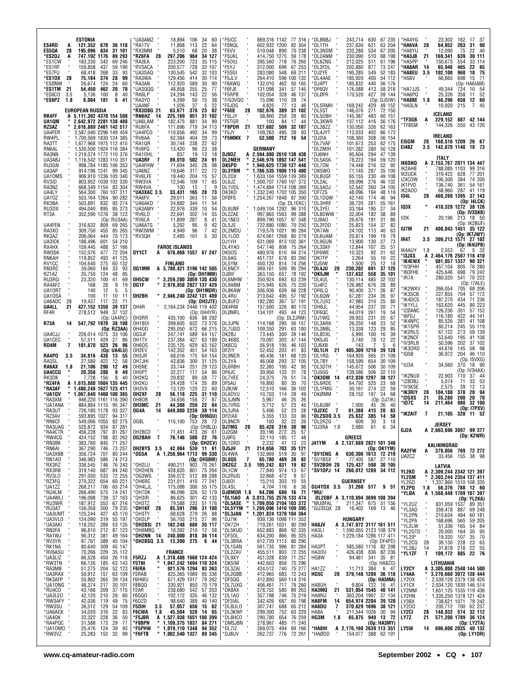| ESTONIA<br>ES4RD<br>121,352 670 36 118<br>A<br>195,096<br>ES5QA<br>28<br>834<br>31 101<br>*ES2DJ<br>747,192 1176<br>89 293<br>A<br>*ES1CW<br>183,330<br>342<br>69 246<br>*ES1RF<br>159,858<br>437<br>59 190<br>*es7fu<br>68,418<br>268<br>33<br>93<br>374<br>28<br>99<br>*ES10X<br>28<br>75,184<br>*ESØNW<br>124<br>24<br>60<br>26,674<br>*ES1TM<br>21<br>54.450<br>462<br>20<br>70<br>100<br>*ES6CO<br>3.5<br>5,136<br>8<br>40<br>181<br>*ES6PZ<br>1.8<br>8,004<br>5<br>41 | *UA3AMZ<br>-34<br>60<br>18,894<br>106<br>'RA1TV<br>11,868<br>113<br>22<br>64<br>RX3MM<br>5,510<br>68<br>20<br>38<br>RZ6FA 28<br>297,206<br>984<br>34 127<br>'RA3EA<br>223,200<br>723<br>35 115<br>'RV3ACA<br>200,577<br>728<br>32 107<br><b>UA3SAQ</b><br>130,545<br>542<br>32 103<br>'RA3WA<br>129,456<br>414<br>30 114<br>112,920<br>'RA3AN<br>589<br>30<br>90<br>UA3000<br>48,858<br>255<br>25<br>77<br>'RK6LP<br>24.294<br>143<br>22<br>56<br>4,399<br>RA3YO'<br>50<br>15<br>38<br>'UA4NF<br>1,026<br>37<br>5<br>22 | 'F5ICC<br>869,316 1142<br>77 316<br>'F5NQL<br>602,932 1200<br>82 304<br>70 238<br>'F5VV<br>510,048<br>890<br>'F5UKL<br>414.750 1275<br>59 178<br>'F50IU<br>395,560<br>76 265<br>718<br>'F5YJ<br>312,000<br>696<br>67 253<br>'F5SGI<br>283,080<br>548<br>69 211<br>596 100 132<br>'F5JLV<br>264,410<br>'F8AWQ<br>132,010<br>462<br>50 165<br>'F6FJE<br>131.098<br>341<br>57 145<br>'F5RPB<br>102,054<br>328<br>46 137<br>F/G3VQ0<br>15,096<br>110<br>28<br>-74<br>'F5JDG<br>4,825<br>77<br>13<br>46 | *DL8NBJ<br>243,714<br>67 235<br>630<br>*DL1TH<br>237,630<br>621<br>63 204<br>232,288<br>*DL3NSM<br>67 205<br>534<br>230,090<br>*DL2ANM<br>510<br>68 198<br>*DL6ZNG<br>212,025<br>511<br>61 196<br>*DL2FDL<br>202,880<br>877<br>73 247<br>DJ2YE<br>195,285<br>549<br>52 183<br>*DL4AAE<br>185,920<br>400<br>54 112<br>*DJ4PT<br>185,832<br>440<br>56 176<br>*DF6QV<br>176,088<br>58 218<br>413<br>DLØFR<br>170,520<br>427<br>59 144<br>(Op: DJ5IW)<br>169,242<br>429<br>49 152<br>*DL5RMH | *HA4YG<br>23.302<br>162<br>17<br>-37<br>*HA6VA<br>28<br>64,952<br>263<br>31<br>- 90<br>*HA8YU<br>12,090<br>75<br>22 40<br>*HA3JB<br>21<br>169,341<br>639<br>30 111<br>*HA5PP<br>150,675<br>33 114<br>554<br>*HA8AR<br>-14<br>65,946<br>465<br>22 65<br>*HA8EU<br>3.5<br>102,108<br>968<br>18<br>- 75<br>*HG6V<br>66,665<br>698<br>15 71<br>(Op: HA6IAM)<br>49.344<br><b>HA7JJS</b><br>724<br>10 54<br>*HA6PQ<br>25,326<br>358<br>11<br>52<br>*HA8BE<br>46,296<br>650<br>12 60<br>1.8<br>10,920<br>215<br>*HA3LN<br>7<br>- 45 |
|-----------------------------------------------------------------------------------------------------------------------------------------------------------------------------------------------------------------------------------------------------------------------------------------------------------------------------------------------------------------------------------------------------------------------------------------------------------------------------|-------------------------------------------------------------------------------------------------------------------------------------------------------------------------------------------------------------------------------------------------------------------------------------------------------------------------------------------------------------------------------------------------------------------------------------------------------------------------------------------------------------------------|----------------------------------------------------------------------------------------------------------------------------------------------------------------------------------------------------------------------------------------------------------------------------------------------------------------------------------------------------------------------------------------------------------------------------------------------------------------------------------------------------|------------------------------------------------------------------------------------------------------------------------------------------------------------------------------------------------------------------------------------------------------------------------------------------------------------------------------------------------------------------------------------------------------------------------------------------------------------------------------------------|------------------------------------------------------------------------------------------------------------------------------------------------------------------------------------------------------------------------------------------------------------------------------------------------------------------------------------------------------------------------------------------------------------------------------------------------------------------------------------------------------------------------------|
| EUROPEAN RUSSIA<br>5,111,302 4378 154 508<br>RK4FF<br>А<br>2,642,972 2281 138 488<br>UA10M<br>RZ3AZ<br>2,616,889 2461 142 517<br>2,587,040 2296 149 459<br>UA4FER                                                                                                                                                                                                                                                                                                           | 378<br>23<br>*RX3DBG 21<br>63,671<br>82<br>*RN6HZ 14<br>225,169<br>951<br>31 102<br>UA6LAM<br>881<br>34<br>182.475<br>99<br>34 113<br>'RU6FA<br>171,696<br>719<br>UA4FCO<br>492<br>34<br>110,656<br>99                                                                                                                                                                                                                                                                                                                  | 'F6IIE<br>28<br>102,676<br>389<br>31 102<br>'F5LJY<br>58.860<br>258<br>28<br>80<br>84<br>17<br>'F5TGR<br>100<br>44<br>21<br>F8PDR*<br>127,602<br>509<br>32 107<br>'F5JY<br>109,263<br>495<br>28<br>93                                                                                                                                                                                                                                                                                              | 271<br>*DL5ST<br>146,076<br>72 150<br>*DL5DBH<br>145,387<br>483<br>60 151<br>*DL3KWR<br>137,112<br>416<br>56 176<br>*DL3BZZ<br>130.050<br>326<br>62 163<br>*DL4JYT<br>113,033<br>402<br>66 173                                                                                                                                                                                                                                                                                           | ICELAND<br>*TF3GB<br>229,152<br>887 42 144<br>A<br>144,326<br>*TF8SM<br>550<br>43 126                                                                                                                                                                                                                                                                                                                                                                                                                                        |
| 1,700,569 1830 124 385<br>RW4PL<br>RA3TT<br>1,677,968 1975 112 415<br>RN6AL<br>1,530,500 1924 116 384<br>RA3NN<br>1,219,374 1772 110 376                                                                                                                                                                                                                                                                                                                                    | 404<br>29<br>73<br>'RV6AA<br>62,384<br>'RA10R<br>30.744<br>238<br>22<br>62<br>'RV6FG<br>13,420<br>96<br>23<br>38<br>'RA10HL<br>837<br>19<br>13<br>18                                                                                                                                                                                                                                                                                                                                                                    | *F5MMX 7<br>52,500<br>712<br>16<br>-54<br>GERMANY<br>DJ9DZ<br>A 2,594,880 2610 138 438                                                                                                                                                                                                                                                                                                                                                                                                             | 108,360<br>308<br>56 154<br>*DJ2IA<br>*DL7VAF<br>101,673<br>253<br>62 175<br>*DL2MIH<br>101,282<br>280<br>50 128<br>*DJ6NH<br>95,604<br>294<br>47 139                                                                                                                                                                                                                                                                                                                                    | IRELAND<br>EI5GM<br>168,516 1209<br>28<br>26 67<br>142,870 1140<br>E14BZ<br>18 73<br>3.5                                                                                                                                                                                                                                                                                                                                                                                                                                     |
| 1,116,542 1283 110 351<br>UA3ABJ<br>RU3GN<br>998,784 1185 106 353<br>UA3AP<br>914,196 1241 99 345<br>UA10MS<br>906,910 1236 105 340<br>803,952 1039 102 330<br>RV3ID                                                                                                                                                                                                                                                                                                        | 'UA3RF<br>89,010<br>502<br>24<br>91<br>'UA4FHW<br>98<br>345<br>28<br>71,694<br>22<br>'UA6NZ<br>19,646<br>317<br>72<br>RV6LFE<br>19.440<br>204<br>15<br>57<br>12,546<br>109<br>'RW3VA<br>17<br>65                                                                                                                                                                                                                                                                                                                        | <b>DL2MEH</b><br>2,546,976 1892 147 541<br>×<br>DK5PD<br>1,940,625 1738 127 448<br>×<br><b>DL3YBM</b><br>1,786,535 1906 115 400<br>DL2DX<br>1,633,104 1559 139 389<br>DL6JZ<br>1,500,707 1760 107 372                                                                                                                                                                                                                                                                                              | *DL5ASK<br>78,223<br>194<br>59 120<br>52<br>*DL70N<br>74,448<br>216<br>92<br>DK5W0<br>71.145<br>287<br>35<br>100<br>DL8UGF<br>65,155<br>230<br>49 108<br>DL2AL<br>59,096<br>276<br>46 132                                                                                                                                                                                                                                                                                                | ITALY<br>IK6SNQ<br>2,153,767 2071 134 447<br>A<br>IK2AHB<br>788,085 1103<br>99 316<br>IK2UCK<br>319,422<br>628<br>77 201<br>IZ4COW<br>384<br>74 205<br>195,300                                                                                                                                                                                                                                                                                                                                                               |
| RA3NZ<br>668,349 1154 83 304<br>UA4LY<br>564,300 760 107 311<br>UA10Z<br>553,164 1264<br>90 282<br>RK3BA<br>503,891<br>832<br>93 274                                                                                                                                                                                                                                                                                                                                        | 'RW4VA<br>100<br>12<br>-7<br>q<br>UA3XAC 3.5*<br>33,431<br>165<br>28<br>73<br>'RA6FV<br>29.011<br>363<br>11<br>56<br>'UA6AKD<br>24,882<br>344<br>-11<br>54                                                                                                                                                                                                                                                                                                                                                              | DL1VDL<br>1,474,884 1714 108 369<br>DK3KD<br>1,332,240 1702 105 350<br><b>DFØFS</b><br>1,254,267 1848<br>87 300<br>(Op: DL1EKC)                                                                                                                                                                                                                                                                                                                                                                    | *DL5A0J<br>52,542<br>260<br>34 105<br>DF7ZS<br>48,096<br>194<br>48 119<br>*DL1DQW<br>42,140<br>174<br>46<br>94<br>*DL3HRF<br>36,720<br>281<br>55<br>161                                                                                                                                                                                                                                                                                                                                  | IK1FVO<br>136,740<br>361<br>54 161<br>IK2AO0<br>68,960<br>287<br>41 119<br>104L<br>28<br>460,260 1395<br>37 143<br>(Op: 14LCK)                                                                                                                                                                                                                                                                                                                                                                                               |
| RU3DX<br>494,040<br>895<br>85 273<br>352,590 1276<br>38 123<br>RT3A<br>(Op: RU3AA)<br>UA4FEN<br>316,632<br>809<br>69 265                                                                                                                                                                                                                                                                                                                                                    | <b>UA3AMY</b><br>22,976<br>339<br>10<br>54<br>'RV6LO<br>22,691<br>302<br>14<br>55<br>'RV6LA<br>11,809<br>287<br>8<br>41<br>'UA6ATG<br>5.202<br>95<br>9<br>42                                                                                                                                                                                                                                                                                                                                                            | <b>DL6UNF</b><br>1.049.104 1292<br>96 310<br>DL2ZAE<br>997,863 1563<br>99 388<br>DL1NEO<br>899,790 1057<br>97 348<br>DL5JS<br>722,880 1085<br>70 250                                                                                                                                                                                                                                                                                                                                               | *DL3YEI<br>33,184<br>195<br>27<br>34<br>*DL8DWW "<br>32,004<br>182<br>38<br>89<br>*DJ9A0<br>26,676<br>191<br>31<br>86<br>*DL2FDD<br>25,823<br>154<br>37<br>82                                                                                                                                                                                                                                                                                                                            | IQ3X<br>410,328 1272 38 126<br>(Op: IV3SKB)<br>II2K<br>20,196<br>213<br>18 50<br>(Op: IK2BUF)<br>IU7M<br>408,043 1451 35 122<br>21                                                                                                                                                                                                                                                                                                                                                                                           |
| RA3X0<br>309,750<br>455<br>85 265<br>RK3AZ<br>206,064<br>444<br>70 173<br>UA3ICK<br>601<br>188,496<br>54 210<br>RX4HX<br>159,445<br>488<br>57 166<br>RW3SK<br>152.076<br>477<br>72 204                                                                                                                                                                                                                                                                                      | 'RW3WM<br>4,949<br>96<br>7<br>42<br>2,485<br>'RV3QH<br>101<br>5<br>30<br><b>FAROE ISLANDS</b><br>OY1CT<br>678,868 1557 67 247<br>A                                                                                                                                                                                                                                                                                                                                                                                      | DL2MDU<br>719.576 1021<br>90 284<br>DL1LOD<br>674,561 1268<br>80 279<br>813 102 361<br>DJ1YH<br>631,069<br>75 264<br>DL4YA0<br>547,146<br>808<br>DK50S<br>480,976<br>610<br>94 274                                                                                                                                                                                                                                                                                                                 | *DK7AN<br>24.102<br>113<br>40<br>63<br>*DL6UAM<br>20,874<br>199<br>19<br>79<br>*DL9GUN<br>13,900<br>130<br>27<br>73<br>*DL3SKF<br>12,844<br>107<br>25<br>51<br>*DF6WE<br>10.323<br>92<br>31<br>62                                                                                                                                                                                                                                                                                        | (Oo: IK7JWY)<br>IR4T<br>309,213 1571 27 102<br>3.5<br>(Op: IK4UPB)<br>2,553<br>IK4AUY<br>5 32<br>1.8<br>67                                                                                                                                                                                                                                                                                                                                                                                                                   |
| RN6AH<br>119,852<br>493<br>41 125<br>RV1CC<br>104,640<br>275<br>60 132<br>RN3RC<br>39,060<br>184<br>33<br>93<br>35,750<br>124<br>95<br>RZ1AZ<br>48<br>100<br>41<br>69                                                                                                                                                                                                                                                                                                       | FINLAND<br>OG1MM<br>A 3,780,421 3196 142 505<br>(Op: OH1MM)<br>OH5CW<br>3,259,200 3059 130 430                                                                                                                                                                                                                                                                                                                                                                                                                          | DL6AG<br>83 260<br>451.731<br>678<br>DL5YM<br>450,120<br>74 256<br>814<br><b>DL6NCY</b><br>95 294<br>369,161<br>509<br>DJØIF<br>78 192<br>363,150<br>657<br>DL6MHW<br>693                                                                                                                                                                                                                                                                                                                          | 55<br>*DK7FP<br>3,264<br>10<br>22<br>*DJ5IW<br>1,500<br>25<br>12<br>18<br>*DL4JU<br>28<br>230,202<br>37 125<br>691<br>*DK5JM<br>137,632<br>558<br>35 101<br>*DL4UL<br>485                                                                                                                                                                                                                                                                                                                | * 13JSS<br>2.464.176 2507 118 410<br>A<br>'IK4EWX<br>981,057 1337<br>90 321<br>*IV3FHH<br>457.104<br>805<br>76 280<br>79 242<br>'IN3FHE<br>425,646<br>698<br>280,320<br>70 222<br>'IR7A<br>541                                                                                                                                                                                                                                                                                                                               |
| RU3RQ<br>23,320<br>RA4AFZ<br>28<br>9<br>168<br>19<br>UA10RT<br>140<br>12<br>5<br>5<br>UA10SA<br>100<br>-11<br>10<br>-11<br>UA6ADC<br>28<br>22<br>19,437<br>117<br>-71                                                                                                                                                                                                                                                                                                       | OG1F<br>2,978,858 2827 137 429<br>(Op: OH1MDR)<br>OH2BH<br>" 2,946,240 3242 131 409<br>(Op: OH2JTE)                                                                                                                                                                                                                                                                                                                                                                                                                     | 350,924<br>63 239<br>75 220<br>DL9ABM<br>315,945<br>626<br>306,936<br>DL8KAW<br>639<br>66 228<br>DL4RU<br>213,642<br>495<br>57 192<br>182,280<br>DL8UF0<br>367<br>57 191                                                                                                                                                                                                                                                                                                                           | 130,114<br>32 102<br>DJ4FZ<br>126,982<br>676<br>28<br>-89<br>*DF6LQ<br>90,400<br>371<br>26<br>87<br>*DL6QW<br>67,281<br>234<br>26<br>97<br>*DL7UI0<br>47,985<br>310<br>25<br>80                                                                                                                                                                                                                                                                                                          | (Op: 17ALE)<br>'IK2WXV<br>266,054<br>705<br>68 206<br>*IK3SCB<br>227,855<br>704<br>57 172<br><b>IK4DCS</b><br>71 236<br>187,270<br>434                                                                                                                                                                                                                                                                                                                                                                                       |
| UA4LL<br>427,152 1350<br>39 137<br>21<br>RF4R<br>278,512<br>949<br>37 132<br>(Op: UA4RC)<br>547,792 1970 38 108<br><b>R73A</b><br>14                                                                                                                                                                                                                                                                                                                                        | OH4R<br>2,164,234 2446 119 402<br>(Op: OH4YR)<br>OH3RR<br>435,100<br>636<br>88 292<br>OH <sub>1</sub> BOI<br>399,605<br>632<br>73 276                                                                                                                                                                                                                                                                                                                                                                                   | DK4RM<br>157,500<br>326<br>80 170<br>DLØMFL<br>134,101<br>493<br>44 123<br>(Op: DL2JRM)<br>DL3JPN<br>56 157<br>114,168<br>295                                                                                                                                                                                                                                                                                                                                                                      | *DH6JL<br>44.954<br>237<br>20<br>71<br>*DF6QC<br>44.019<br>261<br>19<br>54<br>*DJ1WQ<br>39,933<br>231<br>20<br>67<br>*DL3ARK<br>26,250<br>23<br>148<br>52                                                                                                                                                                                                                                                                                                                                | <b>IK1YLL</b><br>80 223<br>163,620<br>445<br>'IZØANC<br>126,236<br>57 152<br>351<br>422<br>'I6FDJ<br>116,180<br>44 141<br>'IK4NPC<br>85,526<br>281<br>41 108<br>*IK1SPR<br>80,214<br>245<br>55 119                                                                                                                                                                                                                                                                                                                           |
| (Op: RZ3AA)<br>UA4CJJ<br>226,014 1075<br>33 106<br>27<br>UA1CEC<br>429<br>57,511<br>86<br>523 26<br>RD4M<br>7<br>101.870<br>96<br>(Op: UA4LU)                                                                                                                                                                                                                                                                                                                               | 672<br>66 215<br>OH4OD<br>295,050<br>OG3JF<br>247,741<br>589<br>64 157<br>OH1TV<br>237,384<br>427<br>63 189<br>629<br>OH6OS<br>235,125<br>63 162<br>451<br>54 163<br>OH2EV<br>142,352                                                                                                                                                                                                                                                                                                                                   | DL7UG0<br>109,350<br>291<br>63 180<br>DK2BJ<br>73,445<br>300<br>39 146<br>DL4KBS<br>70.097<br>303<br>47 144<br>DK6CQ<br>56,918<br>195<br>46 103<br>DF2IY<br>52,452<br>203<br>41<br>83                                                                                                                                                                                                                                                                                                              | 123<br>29<br>*DL3NBL<br>13,338<br>85<br>*DL8DXL<br>5,995<br>100<br>16<br>39<br>22<br>*DK5JG<br>3.740<br>78<br>12<br>*DJ6XB<br>5<br>6<br>143<br>21<br>405,309 1210<br>*DL1LH<br>39 128                                                                                                                                                                                                                                                                                                    | 59 139<br>*IK2RLS<br>67,122<br>273<br><b>'IK2NCF</b><br>41 108<br>53,640<br>195<br>*IV3RLB<br>50,596<br>202<br>37 102<br>*IK30RD<br>44,616<br>145<br>58 98                                                                                                                                                                                                                                                                                                                                                                   |
| RA4PO<br>13<br>3.5<br>34,816<br>438<br>-55<br>RA3SL<br>27.580<br>422<br>12<br>58<br>RA6AX<br>1.8<br>21,106<br>290<br>12<br>49<br>UA4CCG<br>20,358 280<br>9<br>49<br>RK3DK<br>7,728<br>156<br>8<br>-40                                                                                                                                                                                                                                                                       | OH3JR<br>68,016<br>175<br>64 154<br>OH7JHI<br>43.836<br>300<br>31 125<br>OH5NE<br>33.744<br>251<br>29 123<br>OH5PT<br>32,277<br>117<br>54<br>86<br>OH <sub>2</sub> KQ<br>29,832<br>89<br>58<br>77                                                                                                                                                                                                                                                                                                                       | DL9NCR<br>46,436<br>181<br>68 120<br>DL3YA<br>46.008<br>293<br>37 105<br>DL6RBH<br>32,385<br>195<br>42<br>85<br>30,956<br>DF6JC<br>133<br>31<br>78<br>DL7VEE<br>24,375<br>79<br>51<br>74                                                                                                                                                                                                                                                                                                           | 31 109<br>164,920<br>565<br>*DL1RG<br>*DL7BY<br>158.599<br>654<br>30 109<br>*DL3DTH<br>145,672<br>30 109<br>506<br>*DJ5GG<br>139,586<br>506<br>32 110<br>*DK3DM 14<br>412,830<br>1297<br>38 127                                                                                                                                                                                                                                                                                          | 'IQ5B<br>36,972<br>204<br>46 110<br>(Op: I5VXG)<br>'IU3A<br>34,560<br>370<br>18 90<br>(Op: IV3HAX)<br>'IK2NUX<br>22,903<br>110<br>37<br>-44                                                                                                                                                                                                                                                                                                                                                                                  |
| 1,615,880 1604 135 445<br>*RZ4FA<br>A<br>480,248 1627 123 411<br>*RA3AF<br>*UA1QV<br>1,067,640 1460 100 365<br>*RA3XM<br>946,220 1161 116 390                                                                                                                                                                                                                                                                                                                               | 24,428<br>OH2KU<br>174<br>35<br>89<br>OH3VX<br>13,120<br>120<br>22<br>60<br>OH2XF<br>28<br>56.118<br>225<br>31 110<br>OH8OB<br>34,656<br>156<br>27<br>87                                                                                                                                                                                                                                                                                                                                                                | 70<br>DF5AU<br>16,800<br>80<br>35<br>DJ9UW<br>12,510<br>166<br>36<br>103<br>DL6DVU<br>10,703<br>28<br>49<br>114<br>26<br>DL5JMN<br>5,967<br>46<br>25                                                                                                                                                                                                                                                                                                                                               | 64,792<br>525<br>23<br>*DL6RDE<br>68<br>DL1FMG<br>30,161<br>274<br>22<br>59<br>DKØMM<br>28,152<br>197<br>24<br>-68<br>(Op: DJ7IK)                                                                                                                                                                                                                                                                                                                                                        | 'IZ8DBJ<br>5,074<br>71<br>33<br>53<br>*IV3KSE<br>39<br>12<br>- 13<br>2,575<br>*IK3RIY<br>378<br>28 94<br>28<br>104,188<br>20 70<br>21<br>35,280<br>200<br>*12GXS                                                                                                                                                                                                                                                                                                                                                             |
| 95<br>*UA1ANA<br>884,884 1115<br>347<br>93 327<br>*RA3UT<br>726,180 1178<br>*RZ3AV<br>593,895 1027<br>94 317<br>*RN6CF<br>549.066 1055<br>82<br>275<br>*RA3UAG<br>525,872<br>934<br>87 281                                                                                                                                                                                                                                                                                  | ОНЗМС<br>21<br>44,308<br>259<br>22<br>84<br>649.800 2239 38 114<br>OG4A<br>14<br>(Op: OH6QU)<br>OG8L<br>115.100<br>753 28 72                                                                                                                                                                                                                                                                                                                                                                                            | DL7VRG<br>5,712<br>57<br>45<br>23<br>28<br>DL3JRA<br>5,406<br>52<br>23<br>DF2IAX<br>5,355<br>133<br>33<br>86<br><b>DL8NCR</b><br>100<br>32<br>22<br>26<br>DJ7MG<br>28<br>85,428<br>316 30 96                                                                                                                                                                                                                                                                                                       | *DL6UBF<br>7,005<br>26<br>45<br>40<br>20<br>*DJ2XC<br>- 7<br>61,388<br>83<br>415<br>*DL2SDQ 3.5<br>25,632<br>385<br>14<br>58<br>*DI<br>609<br>30.<br>3<br>-18<br>*DJ3RA 1.8<br>2,680<br>61<br>34<br>6                                                                                                                                                                                                                                                                                    | '107C<br>211,464<br>980<br>32 100<br>14<br>(Op: I7PXV)<br>*IK2AIT<br>7<br>21.105 320 11 52<br>JERSEY                                                                                                                                                                                                                                                                                                                                                                                                                         |
| *RA4CTR<br>456,228<br>797<br>81 267<br>*RW4CG<br>*RN3BK<br>*RN6AI<br>*UA3XBB<br>424,152<br>798<br>82 262<br>383,760<br>367,290<br>845<br>746<br>71 257<br>73 257                                                                                                                                                                                                                                                                                                            | (Op: OH8LQ)<br>473 26 61<br><b>500 22 76</b><br>OH2BCD<br>71,451<br>OG2BAH 7<br>76,146<br>(Op: OH2CV)<br>539<br>OH2BYS 3.5<br>42,984<br>11 61                                                                                                                                                                                                                                                                                                                                                                           | DJ2GM<br>39,196<br>272<br>25<br>57<br>DJ9FG<br>32,110<br>185<br>17<br>48<br>DL1DRD<br>Dj5jH<br>2,232<br>41<br>$\begin{array}{cc} 13 & 23 \\ \textbf{35} & \textbf{121} \end{array}$<br>21<br>703<br>214,656                                                                                                                                                                                                                                                                                        | GREECE<br>J41YM<br>A 2,137,689 2821 101 348<br>(Op: OK1YM)                                                                                                                                                                                                                                                                                                                                                                                                                               | GJ2A<br>A 2,663,696 3097 99 377<br>(Op: K2WR)<br>KALININGRAD<br><b>RA2FW</b><br>378,056 769 72 272<br>A                                                                                                                                                                                                                                                                                                                                                                                                                      |
| 356,724<br>701<br>80 244<br>*RN1AO<br>346,983<br>346,983<br>336,545<br>319,140<br>319,130<br>291,030<br>533<br>74 213<br>76 243<br>84 240<br>72 255                                                                                                                                                                                                                                                                                                                         | *OG5A<br>A 1,250,964 1713 99 330<br>(Op: OH5BM)<br>490,211<br>902<br>70 261<br>75 264<br>88 288<br>'OH2LU<br>OH2HEN<br>428,835<br>356,072<br>801<br>OG3WS<br>512                                                                                                                                                                                                                                                                                                                                                        | DL4WA<br>132,969<br>519<br>30<br>97<br>$\overline{7}$<br>DL8QS<br>65,780<br>489<br>28<br>82<br>3.5<br>831<br>19<br>82<br>DK2GZ<br>105,242<br>DL1CW<br>DL2RUG<br>974<br>$\begin{array}{c} 13 \\ 9 \end{array}$<br>77,840<br>67<br>32,868<br>472<br>57                                                                                                                                                                                                                                               | 630,306 1613 72 219<br>*SV1ENG A<br>*SV1BSX<br>77,405<br>27 110<br>587<br>*SV2BOH 28<br>125,437 598<br>30 105<br>*SV1DPJ 14<br>266,012 1289 34 112                                                                                                                                                                                                                                                                                                                                       | UA2CZ<br>33,456<br>155<br>38 98<br>LATVIA<br>A 2,309,244 2342 121 397<br>YL2KO<br>YL2SM<br>ш                                                                                                                                                                                                                                                                                                                                                                                                                                 |
| " RNTAU<br>* RX3RB<br>* RV3LO<br>* RV3LO<br>* RV3LO<br>* RU4LM<br>* RU3NR<br>* RU3NR<br>* RU3NR<br>* RU3NM<br>* LU43VI O<br>270,322<br>60 221<br>654<br>268,217<br>266,490<br>196,098<br>187,912<br>65 214<br>706<br>74 241<br>37 163<br>67 216<br>575<br>739<br>553                                                                                                                                                                                                        | 77 241<br>OH6RC<br>231,011<br>410<br>175,088<br>55 175<br>*OH4LJL<br>306<br>52 179<br>42 133<br>51 176<br>96,096<br>326<br>*OH7DK<br>301<br>232<br>86,625<br>79,588<br>*OH3IR                                                                                                                                                                                                                                                                                                                                           | <b>DJ601</b><br>15,210<br>303<br>10<br>55<br>6<br>DL4SL<br>4,704<br>36<br>116<br><b>DJØMDR 1.8</b><br>*DL1IAO A<br>1.8 64,206 680 16 71<br>A 3,013,755 2576 133 474<br>" 1,709,050 2104 103 372                                                                                                                                                                                                                                                                                                    | <b>GUERNSEY</b><br>GU4YOX 3.5<br>31,260 517<br>9<br>-51<br>*MU/<br>DL20BF A 3,110,894 3699 108 394<br>MUØFAL " 211,347 675 51 156                                                                                                                                                                                                                                                                                                                                                        | 2,303,244 2354 137 411<br>YL2GD<br>1,337,860 1510 108 335<br>YL2PQ<br>56,376 788 12 60<br>1.8<br>A 1,568,448 1709 107 397<br>*YLØA<br>(Op: YL2KA)                                                                                                                                                                                                                                                                                                                                                                            |
| 156,058<br>300<br>79 235<br>125,244<br>43 170<br>427<br>$124,090$<br>$118,252$<br>55 197<br>53 135<br>87 123<br>319<br>289                                                                                                                                                                                                                                                                                                                                                  | *OH3TZ<br>OH1KF*<br>28<br>85,591<br>296<br>31 100<br>88<br>68,628<br>279<br>26<br>*ОНЗТҮ<br>$56,703$<br>182,248<br>OH2LP<br>215<br>27 96<br>688                                                                                                                                                                                                                                                                                                                                                                         | *DL5ASE<br>×<br>1,209,096 1410 109 395<br>*DL5YYM<br>×<br>1,201,824 1370 104 364<br>*DL3JAN<br>939,136 1098 111 353<br>719,261 1031 90 299<br>*DJ7IK<br>`DK7ZH                                                                                                                                                                                                                                                                                                                                     | MUØFAL<br>GU3SQX 28<br>16,402 169 13 46<br>HUNGARY<br>HA8JV<br>3,747,072 3117 161 511<br>A                                                                                                                                                                                                                                                                                                                                                                                               | 89 351<br>*YL2UZ<br>831,059 1537<br>*YL3AD<br>359,478<br>69 248<br>887<br>*YL2PN<br>*YL2PA<br>60 181<br>210,634<br>484<br>59 205<br>168,696<br>565<br>51,336<br>54 84<br>165                                                                                                                                                                                                                                                                                                                                                 |
| 96,810<br>212<br>90,312<br>381<br>49 164<br>45 104<br>87,761<br>389<br>45 147<br>35 112<br>26 118<br>309<br>80,640                                                                                                                                                                                                                                                                                                                                                          | *OH2BSI 21<br>*OH6MBQ *<br><b>35 117</b><br>12 58<br>18,392<br>210<br>*OH2NN 14<br>240,000<br>818 36 114<br>*OH2BSQ 3.5<br>13,300<br>275<br>6 44                                                                                                                                                                                                                                                                                                                                                                        | *DL5KUD<br>652,883<br>868<br>92 335<br>DF30L*<br>634,200<br>866<br>95 325<br>DL3BRA<br>612,720 1113<br>80 290<br>*DL1SAN<br>*DL1SAN<br>*DL2ZAV<br>996<br>81 284                                                                                                                                                                                                                                                                                                                                    | 1,590,055 2123 108 379<br>HA3LI<br>HA3A<br>1,229,184 1286 117 411<br>(Op: DF4PD)<br>82 298<br>585,580 1116<br>HA3PT                                                                                                                                                                                                                                                                                                                                                                      | *YL2LW<br>*YL2GTD<br>*YL2IP<br>95<br>20,000<br>164<br>30<br>19,320<br>107<br>35 70<br>*YL2CQ<br>28<br>39,130<br>228<br>23<br>63<br>31,878<br>*YL2BJ<br>14<br>218<br>22<br>55                                                                                                                                                                                                                                                                                                                                                 |
| *UA3NET<br>HAMAKI<br>*RIV3AKI<br>*RIV3AKI<br>*RIV3AKI<br>*RIV4ASU<br>*RIV4ASU<br>*RIV3AKI<br>*RIV3AKI<br>*RIV3AKI<br>*RIV3AKI<br>*RIV3AKI<br>*RIV4ACO<br>*NUA3NET<br>*RIV4ACO<br>*NUA3NET<br>*RIV4ACO<br>*NUA3NET<br>*RIV4ACO<br>*NUA3NET<br>*RIV4ACO<br>*NUA3NET<br>*RIV4<br>$\frac{229}{450}$<br>70,266<br>66,528<br>63 143<br>66,126<br>185<br>51,275<br>204<br>52 123<br>50,912 157<br>63 109                                                                           | <b>FRANCE</b><br>1,318,488 1660 124 424<br>F5RZJ<br>A<br>1,047,242 1694 110 324<br><b>F5TNI</b><br>921,576 1294 93 363<br>F6IRA<br>825,365 1089<br>95 336<br>F5RAB                                                                                                                                                                                                                                                                                                                                                      | 561,735<br>455,511<br>451,328<br>803<br>72 255<br>839<br>71 257<br>`DK5IM<br>442,603<br>858<br>75 296<br>*DL3ZAI<br>424,512<br>740<br>75 277<br>412,965<br>683 72 243                                                                                                                                                                                                                                                                                                                              | <b>HA30U</b><br>426,438<br>82 236<br>836<br>35 81<br>HG8W<br>94,461<br>341<br>(Op: HA8ZO)<br>384<br>6 47<br>HA1ZZ<br>11,713<br>28<br>HG5C<br>379,148 1209 36 118                                                                                                                                                                                                                                                                                                                         | $\overline{\mathbf{r}}$<br>109,172 885 22 76<br>*YL1ZF<br>LITHUANIA<br>3,305,008 2548 144 500<br><b>LY2CY</b><br>A<br>LY4AA<br>3,276,660 3072 138 444                                                                                                                                                                                                                                                                                                                                                                        |
| $\frac{39}{30}$ 134<br>30 101<br>50,862<br>46,374<br>265<br>217<br>43,168<br>209<br>37 115<br>210<br>28<br>42,120<br>80<br>42,036<br>119                                                                                                                                                                                                                                                                                                                                    | 79 262<br>70 179<br>671,429 1017<br>F6HWU<br>330,921 850<br>F8BQQ<br>F <sub>2</sub> AR<br>238,680<br>542<br>57 203<br>46 132<br><b>F6GQ0</b><br>102,172<br>335<br>40 140<br>98,640<br>F6DZD<br>389                                                                                                                                                                                                                                                                                                                      | *DL2GBB<br>*DF3QG<br>*DL7UXG<br>*DK8AX<br>412,800<br>560 114 316<br>717 79 260<br>406,461<br>378,752<br>580<br>89 263<br>*DL1A0<br>75 219<br>357,798<br>746<br>342,426<br>687                                                                                                                                                                                                                                                                                                                      | (Op: HA5MA)<br>HA8UH<br>9,804<br>122<br>16 41<br>HA3MQ<br>21<br>531,054 1545<br>40 141<br>HA9RU<br>37 134<br>39 128<br>14<br>HA8FM                                                                                                                                                                                                                                                                                                                                                       | LY20X<br>2,539,128 2379 138 426<br>LY1CX<br>2,034,120 1830 146 514<br>LY2MM<br>1,651,125 1535 119 436<br>LY2HN<br>1,335,250 1378 121 424<br>LY3BX<br>79 242                                                                                                                                                                                                                                                                                                                                                                  |
| $\frac{49}{49}$ 75<br>54 109<br>22 83<br>36,512<br>129<br>34,020<br>316<br>32,322<br>228<br>36<br>50<br>31,588<br>173<br>29<br>77                                                                                                                                                                                                                                                                                                                                           | 57,057 656<br>45,504 528<br>15 62<br>3.5<br>F50IH<br>14 65<br>F6CWA<br>1.8<br>A 1,527,938 1651 100 399<br>*F5JBR<br>1,109,375 1837 84 271<br>*F8BPN                                                                                                                                                                                                                                                                                                                                                                     | *DE1110<br>*DE3IAL<br>*DL3KWF<br>*DL3KWF<br>$65$ 198<br>$65$ 212<br>$63$ 229<br>688<br>307,747<br>299,300<br>752<br>*DL8HCO<br>290,780<br>654<br>76 259<br>*DM5JBN<br>71 240<br>278,967<br>485                                                                                                                                                                                                                                                                                                     | 363,204 1907<br>654,974 2204<br>370,629 1696<br>211,544 1026<br>7<br>38 121<br>HA8DU<br>30<br>94<br>HA8A<br>65,875 949 13 72<br>HG3M<br>1.8<br>(Op: HA3MY)                                                                                                                                                                                                                                                                                                                               | 738,621 1071<br>205,712 700<br>LY200<br>62 237<br>LY2CI<br>148,032 574<br>32 112<br>28<br>571,200 1789 36 124<br>LY7Z<br>21<br>(Op: LY2TA)                                                                                                                                                                                                                                                                                                                                                                                   |
| *UA10MO<br>*RW3VZ<br>124<br>39<br>93<br>25,476<br>25,283 152 32<br>99                                                                                                                                                                                                                                                                                                                                                                                                       | ш<br>*F5PHW<br>1,019,110 1348<br>94 352<br>*F6FTB<br>1,002,540 1327 89 345                                                                                                                                                                                                                                                                                                                                                                                                                                              | 494<br>69 166<br>*DL7IZ<br>269,075<br>262,737<br>*DJ8UV<br>776 72 261                                                                                                                                                                                                                                                                                                                                                                                                                              | A 2,176,160 2639 113 351<br>*HA8IH<br>*HAØDD<br>154,077 388 62 191                                                                                                                                                                                                                                                                                                                                                                                                                       | LY5W<br>696,600 2035 40 132<br>14<br>(Op: LY1DR)                                                                                                                                                                                                                                                                                                                                                                                                                                                                             |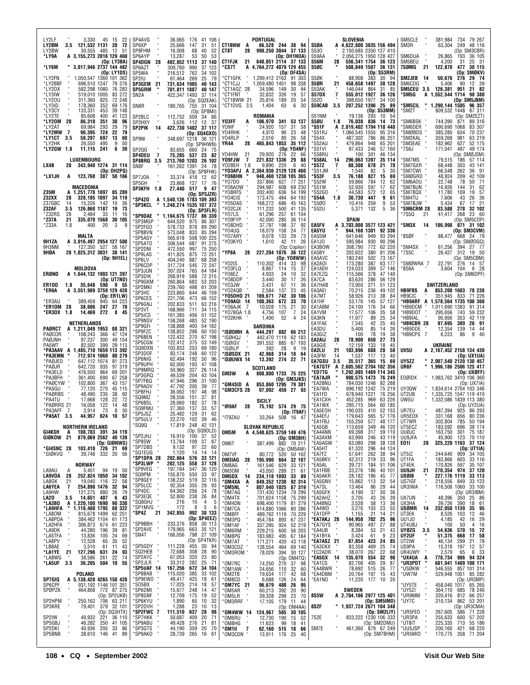| LY2LF<br>3,330<br>45<br>- 15<br>-22<br>121,532 1131<br>20<br>72<br>LY2BM<br>3.5<br>LY2BW<br>30,555<br>12<br>485<br>-51                                                        | SP4AVG<br>SP6XP<br>SP8FHM                     | 36,065 176 41 106<br>25,666<br>147<br>31<br>51<br>52<br>16,008<br>68<br>40                                        | <b>CT1BNW</b><br>A<br>CT8T<br>28        | PORTUGAL<br>66,528 244 38 94<br>990,250 3044 37 133                                           | S5ØA<br>S530                                     | SLOVENIA<br>4,622,800 3835 156 494<br>2,150,685 2350 127 410                                     | SM5CLE<br>SM3R                                       | 381,984<br>734 79 267<br>249<br>63,304<br>48 116<br>(Op: SM3CBR)                           |
|-------------------------------------------------------------------------------------------------------------------------------------------------------------------------------|-----------------------------------------------|-------------------------------------------------------------------------------------------------------------------|-----------------------------------------|-----------------------------------------------------------------------------------------------|--------------------------------------------------|--------------------------------------------------------------------------------------------------|------------------------------------------------------|--------------------------------------------------------------------------------------------|
| *LY9A<br>A 3,155,273 2816 129 460<br>(Op: LY3BA)<br>*LY6M<br>" 3.017,946 2737 144 482<br>(Op: LY1DS)                                                                          | SP6AYP<br>SP4DGN<br>-28<br>SP6AZT<br>SP5WA    | 13,287<br>53<br>50<br>53<br>402,852 1113 37 140<br>309,760<br>990<br>37 123<br>216,512<br>762<br>34 102           | CT1FJK<br>21<br>*CS7T                   | (Op: OH1NOA)<br>640,851 2114 37 133<br>A 4,764,272 4079 129 455<br>(Op: DF4SA)                | S59AA<br>S56M<br>28<br>S5ØC                      | 2,056,275 1950 128 427<br>556,341 1754 36 123<br>508,849 1507 36 131<br>(Op: S53RM)              | SM6DUA<br>SM5BEU<br>7SØMG<br>21                      | 26,865<br>36 105<br>193<br>4,200<br>31<br>25 31<br>122,870<br>30 115<br>477<br>(Op: SMØKV) |
| *LY2FN<br>1,050,547 1360 101 362<br>*LY2BBF<br>696,510 1247<br>79 276<br>*LY2DX<br>582,298 1080<br>76 283                                                                     | SP2IU<br><b>SP3GEM</b><br>21<br><b>SP5GRM</b> | 25<br>61,464<br>269<br>- 79<br>731,634 1985<br>40 143<br>701,811 1887<br>40 147                                   | *CT1GFK<br>*CT1CJJ<br>*CT1AOZ 28        | 1,299,412 2163<br>91 303<br>1,059,480 1451<br>98 338<br>34,596<br>149<br>30<br>94             | S5ØK<br>S5ØR<br>21<br>S53AK                      | 30 94<br>88.908<br>383<br>458,658 1497<br>38 128<br>146,044 864<br>31<br>85                      | <b>SM2JEB</b><br>-14<br>SM6CDG<br>SM5CEU 3.5 126,381 | 50,676<br>29 74<br>276<br>5.406<br>90<br>12 39<br>951<br>21 82                             |
| 519,010 1005<br>83 272<br>*LY3IW<br>*LY20U<br>825<br>72 248<br>311,360<br>352<br>69 176<br>*LY3ID<br>178,360                                                                  | SN <sub>2</sub> A<br>SN8R                     | 37 114<br>422,347 1493<br>(Op: SQ2EAK)<br>180,765<br>755 31 104                                                   | *CT1FNT<br>*CT1BWW 21<br>*CT1DVG 3.5    | 326<br>32,832<br>19<br>57<br>20<br>25,816<br>189<br>54<br>1,404<br>63<br>6<br>30              | $\overline{7}$<br>S57DX<br>S520<br>S59CAB<br>3.5 | 555,012 1927<br>36 126<br>398,650 1977<br>34 100<br>207,252 1396<br>25 89                        | 'SM5G<br>٠<br>*SM5CIL                                | A 1,552,544 1714<br>98 380<br>(Op: SM5JBM)<br>1,290,144 1505<br>96 357                     |
| *LY3CY<br>133,331<br>453<br>39 148<br>*LY2TE<br>85,608<br>400<br>41 123<br>*LY20M 28<br>86,310<br>351<br>30<br>96                                                             | SP2BLC<br>SP2HXY                              | (Op: SP8MI)<br>112,752<br>509<br>34 86<br>12<br>3,626<br>112<br>- 37                                              | Y03FF<br>A                              | ROMANIA<br>106,970<br>341 53 137                                                              | S51NM<br>S5ØU<br>1.8                             | (Op: S53MM)<br>19,136<br>293<br>10 54<br>76,038 836 14 73                                        | *SM2T<br>'SM6BSK                                     | 809,532 1448<br>87 311<br>(Op: SM2EZT)<br>744,390<br>89 316<br>871                         |
| 293<br>29<br>79<br>*LY2AT<br>69,984<br>90,395<br>724<br>22<br>*LY2MW<br>- 7<br>79<br>*LY1CT<br>3.5<br>50,297<br>697<br>13<br>60                                               | SP2PIK<br>14<br>SP9W                          | 422,730 1402 37 117<br>(Op: SQ4GXO)<br>348.697 1218 36 121                                                        | Y09IF<br>Y04RHK<br>Y04RLP               | 24,920<br>157<br>31<br>58<br>90<br>4,970<br>23<br>48<br>2,016<br>80<br>26<br>58               | *S51F<br>*S51RJ<br>*S54X                         | A 2,019,402 1794 118 440<br>1,066,545 1555<br>95 316<br>786<br>487.302<br>86 251                 | <b>SM6DER</b><br>*SMØBDS<br>*SM2KAL                  | 690,690 1068<br>83 307<br>70 237<br>385,285<br>634<br>63 219<br>359,268<br>981             |
| *LY2HK<br>26,550<br>495<br>50<br>9<br>11,115<br>*LY2GW 1.8<br>241<br>6<br>39                                                                                                  | SP <sub>20G</sub><br>SP4DEU 7                 | (Op: SP9HWN)<br>83,655<br>660<br>24 75<br>75,285 537<br>-23<br>-82                                                | YR4A<br>28<br>Y04HW<br>21               | 35 112<br>465,843 1853<br>(Op: YO4NF)<br>29,920<br>276<br>22<br>66                            | *S52AU<br>*S51VI<br>*S58RU                       | 65 201<br>479,864<br>948<br>246<br>97,433<br>57 160<br>301<br>100<br>46 134                      | *SM3EAE<br>*7S6J                                     | 182,962<br>52 175<br>627<br>171,041<br>497<br>49 174<br>(Op: SMØJSM)                       |
| LUXEMBOURG<br>LX4B<br>28<br>343,940 1274 31 114<br>(Op: OH2PQ)                                                                                                                | SP8BRQ 3.5<br>SN8F                            | 213,760 1203<br>26 102<br>161,262 1391<br>24 78<br>(Op: SP8FHK)                                                   | Y09FJW<br>7<br>YO2BEH<br>1.8<br>*Y03APJ | 29<br>221,832 1336<br>88<br>9,890<br>220<br>6<br>40<br>A 2,364,936 2129 128 460               | *S58AL<br>14<br>*S57Z<br>7<br>`S51JM             | 296,063 1397<br>35 114<br>88.308<br>678<br>21<br>78<br>1,540<br>82<br>-5<br>30                   | 'SM7MS<br>`SM7GXR<br>'SM7CWI                         | 79,515<br>57 114<br>186<br>68.448<br>303<br>43 141<br>66,548<br>36 91<br>262               |
| *LX1JH<br>123,768<br>387<br>50 166<br>A<br>MACEDONIA                                                                                                                          | SP7J0A<br>SP5GH<br>SP3KFH 1.8                 | 12 62<br>33,374<br>418<br>23,868<br>127<br>17 76<br>517<br>9<br>27,440<br>- 47                                    | *YO6BHN<br>*Y07D0<br>*Y06ADW            | 948,460 1230 105 365<br>337,866<br>627<br>77 251<br>294,987<br>608<br>69 230                  | *S53F<br>3.5<br>'S52W<br>*S51W                   | 827<br>76,188<br>15<br>69<br>59,866<br>784<br>12<br>62<br>597<br>52,930<br>17<br>62              | 'SMØGRD<br>*SM6AOU<br>*SM7BUN                        | 48,924<br>42 109<br>209<br>22,748<br>50 71<br>78<br>62<br>16,926<br>31<br>144              |
| <b>Z35M</b><br>A 1,251,778 1897 85 289<br>Z32XX<br>328,185 1097<br>34 119<br>28<br>Z37GBC<br>15,226<br>142<br>10<br>14<br>36                                                  | <b>SP4ZO</b><br><b>`SP3KCL</b>                | (Op: SP3JZR)<br>A 1,540,136 1783 109 393<br>1,248,274 1535 107 372                                                | *Y08RFS<br>*Y04CIS<br>*Y05DAS           | 202,400<br>636<br>54 199<br>173,475<br>484<br>64 193<br>168,272<br>686<br>45 163              | *S52GO<br>*S54A<br>1.8<br>*S5Ø0                  | 44,583<br>572<br>12<br>65<br>30,730<br>447<br>9<br>61<br>259<br>10,416<br>9<br>53                | *SM7BQX<br>*SM4TU<br>*SM7BJW                         | 11.780<br>109<br>19<br>-57<br>7,606<br>43<br>26<br>36<br>17 21<br>5,434<br>67              |
| Z32AF<br>3.5<br>126,868 1187<br>19<br>73<br>*Z32RS<br>2,484<br>33<br>11<br>28<br>16<br>*Z37A<br>21<br>335,070 1568<br>30 105                                                  | *SP9DAE<br>'SP3MGP                            | (Op: SP3FLR)<br>1,194,675 1737<br>86 339<br>644,520<br>975<br>86 307                                              | 'YO2CJX<br>'Y07LS<br>Y09FYP             | 111,232<br>41 135<br>500<br>61,296<br>257<br>61 104<br>42,000<br>285<br>36 114                | *S52U                                            | 5,371<br>132<br>5<br>36<br>SPAIN                                                                 | *SM6CRM 28<br>*7S5Q<br>21                            | 278<br>32 102<br>83,588<br>23 60<br>268<br>41,417<br>(Op: SM5COP)                          |
| *Z33A<br>1.8<br>400<br>-20<br>3<br>MALTA                                                                                                                                      | 'SP2FGO<br>'SP8BVN<br>'SP5ASY                 | 578,733<br>878<br>89 290<br>573,048<br>833<br>85 294<br>508 100 225<br>565,618                                    | 'Y08DHD<br>'Y04UQ<br>*Y07ARY            | 37,797<br>198<br>37<br>92<br>24<br>18,079<br>158<br>77<br>133<br>29<br>9,078<br>73            | <b>EA5FV</b><br>EA5YU<br>EA5SM                   | A 3,703,008 3577 123 421<br>944,168 1301 92 336<br>949<br>641.646<br>93 294                      | *SM3X<br>-14<br>'8SØF                                | 186.998<br>871 31 102<br>(Op: SM3CVM)<br>88,477 668 24 79                                  |
| <b>9H1ZA</b><br>A 3,016,497 2954 127 500<br>9H3NM<br>127,350 527<br>58 167<br>28 1,025,312 3031 38 141<br>9HØA                                                                | 'SP5AT0<br>'SP2DNI<br>'SP9LAS                 | 506,544<br>687<br>91 275<br>472,550<br>997<br>75 250<br>875<br>411,825<br>72 251                                  | *YO3KYO<br>*YP8A<br>28                  | 11<br>26<br>42<br>1,610<br>(Op: Copilor)<br>227,204 1076<br>36 122                            | EA1JO<br>EA3BOW<br>EA5BY                         | 930<br>90 296<br>595,984<br>308,790<br>772<br>62 220<br>81 206<br>202,622<br>380                 | *SM4SX<br>*7S5C                                      | (Op: SMØOGQ)<br>27 77<br>61.256<br>394<br>26,427 312 19 50                                 |
| (Op: 9H1EL)<br>MOLDOVA                                                                                                                                                        | *SP6LV<br>'SP6CDP<br>'SP3JUN                  | 404,240<br>887<br>68 258<br>317,724<br>545<br>72 247<br>307,024<br>765<br>64 184                                  | 'Y02IS<br>'Y03FLQ                       | (Op: YO8WW)<br>110,302<br>414<br>33<br>98<br>37<br>8,867<br>114<br>15                         | EA5AVC<br>EA2A0I<br>EA1AEH                       | 180,240<br>502<br>73 167<br>173,280<br>387<br>63 177<br>124,033<br>369<br>57 146                 | 'SMØWRA 7<br>*8S6A                                   | (Op: SM5CBM)<br>22,791<br>276<br>14 57<br>6 28<br>3,604<br>104                             |
| ERØND<br>A 1,644,132 1903 121 397<br>(Op: UT7ND)<br>35,648<br>590<br>ER100<br>1.8<br>955                                                                                      | SP3DIK<br>'SP9GKM<br>'SP2MKI                  | 72 215<br>268,919<br>588<br>260,864<br>683<br>53 203<br>239,760<br>498<br>61 209                                  | 'Y06EZ<br>'Y08DDP<br>'Y03JW             | 4,933<br>24<br>10<br>32<br>3,440<br>30<br>26<br>17<br>3,431<br>36<br>67<br>11                 | EA7EZQ<br>EA7CA<br>EA7HAB                        | 115,566<br>378<br>47 140<br>83,620<br>286<br>56 129<br>73,950<br>271<br>51 123                   |                                                      | (Op: SM6DPF)<br>SWITZERLAND                                                                |
| *ER6A<br>A 3,551,989 3759 129 428<br>(Op: ER1LW)<br>389.459<br>*ER3AU<br>945<br>64 223                                                                                        | 'SP3HC<br>'SP6CES<br>'SP6GNJ                  | 223,860<br>644<br>46 159<br>221,706<br>473<br>66 152<br>511<br>63 216<br>202,833                                  | *Y02AQB<br>*Y050HO 21<br>*Y09AGI 14     | 2,584<br>23<br>137<br>45<br>742<br>30 106<br>169,671<br>100,363<br>672<br>33<br>70            | EA3AEI<br>EA7MT<br>EA1HF                         | 70,215<br>236<br>49 102<br>58,926<br>213<br>38<br>84<br>53,176<br>145<br>57 127                  | <b>HB9FBS</b><br>A<br><b>HB9CIC</b>                  | 853,200 1683 78 238<br>71 226<br>351,945<br>833<br>*HB9ARF A 1,578,564 1735 100 368        |
| *ER10M<br>28<br>38,606<br>247 27 70<br>14,469<br>*ER3DX<br>272<br>8<br>45<br>1.8                                                                                              | 'SP3VT<br>'SP5ICS<br>'SP9NSV                  | 168,966<br>711<br>34 115<br>161,385<br>456<br>51 152<br>158,268<br>483<br>52 190                                  | *Y06AJK 7<br>*Y07BGA 1.8<br>'Y02KHK     | 10,028<br>175<br>21<br>30<br>4,756<br>107<br>7<br>24<br>1,400<br>52<br>4<br>24                | EA1ABM<br>EA1VM<br>EA3KN                         | 24,100<br>176<br>34<br>66<br>17,577<br>106<br>35<br>58<br>11,977<br>89<br>25<br>34               | *HB9DCM<br>*HB9DOT<br>*HB9IAL                        | 91 314<br>1,011,690 1383<br>59 232<br>295,656<br>743<br>95,956<br>42 119<br>353            |
| NETHERLANDS<br>PAØRCT<br>A 1,211,049 1953 88 321<br>PAØCOR<br>108,243<br>366<br>47 124<br>97,237<br>300<br>PAØJNH<br>49 154                                                   | 'SP9GFI<br>'SP9FZC<br>'SP6BEN                 | 138,888<br>400<br>54 162<br>138,852<br>298<br>60 150<br>122,422<br>270<br>67 198                                  | *ISØOMH A<br>*ISØHQJ                    | SARDINIA<br>444,297 882 66 212<br>442,470 1119<br>62 183                                      | EA1FAE<br>EA3DU<br>EA3GIZ                        | 42<br>25<br>7,345<br>40<br>5.400<br>85<br>14<br>26<br>78<br>19<br>100<br>38                      | *HB9CBR 28<br>*HB9DDE<br>7<br>*HB9CPS                | 97,695<br>389<br>26 91<br>12,354<br>139<br>14 44<br>6,223<br>-40<br>86<br>9                |
|                                                                                                                                                                               |                                               |                                                                                                                   |                                         |                                                                                               |                                                  |                                                                                                  |                                                      |                                                                                            |
| 82,502<br>399<br>29 113<br>PA5WT<br>A 1,485,710 1659 113 392<br>*PA3AAV                                                                                                       | 'SP5CGN<br>SQ9DXN<br>'SP3DOF                  | 122,412<br>375<br>53 149<br>69 180<br>103,833<br>253<br>83,174<br>248<br>60 122                                   | *ISØIGV<br>*ISØILP                      | 391,552<br>885<br>67 193<br>392<br>28<br>9<br>19                                              | EA2AIJ<br>28<br>EA5GIE<br>EA2LU<br>21            | 78,900<br>27<br>73<br>650<br>133<br>12,159<br>18<br>45<br>688<br>20<br>103,896<br>58             | UV5U                                                 | UKRAINE<br>A 2,167,452 2158 134 430                                                        |
| *PA3EMN<br>712,974 1060<br>80 279<br>*PAØJED<br>647,112 1074<br>81 273<br>642,720<br>*PAØJR<br>935<br>97 319                                                                  | 'SP6NIG<br>'SP9UPH<br>'SP9MRQ                 | 62,494<br>192<br>50 96<br>62,000<br>193<br>47 108<br>327<br>26 114<br>50,960                                      | *ISØSDX 21<br>*ISØUWX 14                | 42,968<br>314 18<br>64<br>13,392<br>274 22<br>-71<br><b>SCOTLAND</b>                          | EA3FM<br>14<br>EA7GSU<br>3.5<br>*EA7GTF          | 117<br>13<br>40<br>1,537<br>35,517 365<br>15<br>69<br>A 2,605,562 2704 102 356                   | UY5ZZ<br>UR6F                                        | (Op: UX1UA)<br>2,007,540 2120 130 457<br>1,996,186 2506 125 417                            |
| *PA3ELD<br>69 201<br>476,550<br>964<br>361,400<br>690<br>*PA3BFH<br>67 258<br>*PAØCYW<br>102,800<br>367<br>43 157                                                             | 'SP3GRQ<br>'SP7FBQ<br>'SP9ADV                 | 204<br>49,539<br>43 104<br>47,946<br>296<br>31 100<br>47,792<br>205<br>39<br>77                                   | GM3W<br>A<br>*GM4SID A                  | 808,800 1733 75 225<br>(Op: GM3JKS)<br>853,860 1295 79 301                                    | *ED7TG<br>*EA7AJR<br>EA2BNU                      | 1,292,085 1489 114 345<br>900,575 1473 76 249<br>784,030 1248<br>82 288                          | <b>EOØIDX</b>                                        | (Op: UXØFF)<br>1,983,762 3410 106 360<br>(Op: UX7IA)                                       |
| *PA5GU<br>77,120<br>270<br>45 115<br>48,490<br>38<br>*PAØRBS<br>235<br>92<br>128<br>22<br>72<br>*PA4TU<br>17,668                                                              | 'SP8FHJ<br>'SQ9MZ                             | 197<br>48<br>36,062<br>98<br>28,556<br>151<br>37<br>81<br>28,060<br>182                                           | *GM3CFS 28                              | 97,092 459 27 93<br>SICILY                                                                    | EA7WA<br>EA1FD<br>EA1CXH                         | 696,192 1242<br>75 219<br>678,940 1221<br>76 256<br>452,285<br>969<br>63 226                     | UY3QW<br>UT2UB<br>UW5U                               | 1,834,614 2704 103 346<br>1,335,725 1547 119 410<br>1,332,086 1839 113 380                 |
| 122<br>*PAØRRS 21<br>16,058<br>14<br>48<br>*PA3AFF<br>3.914<br>73<br>30<br>-7<br>8<br>*PA5AT 3.5<br>44,957 624 10<br>-57                                                      | 'SP6BSL<br>'SQ9FMU<br>'SP5JSZ<br>*SP5ULV      | 37<br>78<br>27,360<br>137<br>33<br>57<br>25,482<br>129<br>62<br>31<br>102<br>39<br>46                             | *IR9AF<br>28<br>*IT9ZAU                 | 574 29 75<br>75,192<br>(Op: IT9AF)<br>33,264 508 16 47                                        | `EA1WX<br>'EA5EOH<br>*EA4EFJ                     | 295,715<br>564<br>60 185<br>190,035<br>410<br>52 153<br>179,643<br>565<br>57 176                 | UR7EU<br>UR5EDX                                      | (Op: UY2UA)<br>487,394<br>925<br>86 293<br>331,168<br>656<br>80 236                        |
| NORTHERN IRELAND<br>GI4KSH<br>108,783 391 34 119<br>A                                                                                                                         | SQ9Q<br>*SP2JHJ                               | 22,270<br>17,819 248 42 131<br>(Op: SQ9DLD)<br>16,910<br>100 37 52                                                | OM5M                                    | <b>SLOVAK REPUBLIC</b><br>A 4,540,625 3759 149 476                                            | *EA1FBJ<br>*EA5QB<br>*EA4ANN                     | 155,250<br>577<br>48 177<br>113,659<br>349<br>46 120<br>59 110<br>69,398<br>317                  | UT7WR<br>UT5ECZ<br><b>UUØJC</b>                      | 302,804<br>785<br>50 194<br>183,592<br>38 174<br>696<br>163,750<br>75 187<br>301           |
| GIØKOW 21<br>879,069 2562 40 139<br>(Op: GIØNWG)<br>*GI4SNC 28<br>103,410 726 21 69                                                                                           | 'SP8SW<br>'SP7DBS<br>'SQ1EUG                  | 109<br>13,764<br>37 87<br>$\overline{22}$ 60<br>9,132<br>97<br>1,120<br>14 14<br>14                               | OM6T                                    | (Op: OM3BH)<br>387,499<br>882 70 211<br>(Op: OM5AW)                                           | *EA3AXM<br>`EA5AGW<br>*EA5HT                     | 63,990<br>246<br>43 119<br>63,080<br>298<br>38 128<br>61,320<br>296<br>44 124                    | UU9JFA<br>E011<br>28                                 | 45,900<br>123<br>70 110<br>325,220 1163 37 124<br>(Op: UT1IA)                              |
| *GIØKVQ<br>39,748 332 20<br>-56<br>NORWAY<br>А                                                                                                                                | *SP1DPA 28<br>*SP3LWP<br>'SP9VEG              | 202,664 576<br>33 121<br>37 128<br>202,125<br>558<br>197,184<br>547<br>36 120                                     | OM7VF<br>OM3IAG<br>28<br>OM8AG          | 520 50 162<br>80,772<br>32 107<br>195,990<br>664<br>161,546<br>629<br>33 121                  | *EA7FZ<br>*EA5BKV<br>`EA5AL                      | 57,641<br>262<br>38<br>94<br>219<br>33<br>96<br>42,312<br>39,721<br>184<br>51 106                | UT5IZ<br>UT1FA<br>UT4EK                              | 244,640<br>909<br>34 105<br>183,866<br>603<br>33 116<br>170,826<br>597<br>35 107           |
| LA9AU<br>5,451<br>94 19 50<br>LA9VDA<br>252,824 1050 34 102<br>28<br>LA8GK<br>22<br>21<br>19,040 116<br>58<br>94                                                              | 'SQ9PM<br>'SP8GEY<br>'SP5LCC                  | 155,870 550<br>33 97<br>138,232<br>519<br>32 116<br>355<br>29<br>92,354<br>93                                     | OM30M<br>OM5DX<br>14<br>*OM4XA<br>A     | 43,050<br>21<br>61<br>289<br>234,118 1093<br>33<br>89<br>849,352 1230<br>92 314               | *EA1FBB<br>*EA5AKR<br>*EA5GNV                    | 33,276<br>186<br>40 101<br>186<br>45<br>28,182<br>77<br>15,862<br>32<br>113<br>54                | <b>UU9JH</b><br>21<br>UXØIB<br>US7IGF                | 270,354 974<br>227,176 1119<br>37 120<br>33 113<br>218,556 849<br>33 123                   |
| LA6YEA<br><b>254,898 1476</b><br>121,275 880<br>32<br>7<br>LA9HW<br>26<br>79<br>LA20<br>14,651 407<br>3.5<br>- 6<br>43                                                        | *SP4DC<br>'SP3EQE<br>'SQ8GHJ                  | 64,362<br>256<br>24<br>78<br>52,800 238<br>26<br>84<br>216<br>10<br>5<br>4                                        | *OM5NL<br>*OM7AG<br>*OM4TX              | 807,940 1025 87 319<br>731,430 1234 79 299<br>701,624 1158<br>75 299                          | *EA7SL<br>`EA5GFX<br>EA2AHZ                      | 29<br>13,464<br>86<br>44<br>4,190<br>37<br>30<br>36<br>3,705<br>43<br>26<br>39<br>36             | UR3IWA<br>UX7UN                                      | 116,508 1060<br>33 100<br>(Op: UR3IBM)<br>48,396<br>25 86<br>350<br>18 61<br>390           |
| *LA3BO<br>A 1,220,100 1690<br>90 330<br>*LA9HFA<br>1,118,480 1795<br>88 322<br>*LA80M<br>815,678 1499<br>62 251                                                               | 'SP1MVG<br>*SP4Z 21                           | 8<br>172<br>5<br>6<br>992 38 133<br>342,855<br>(Op: SP4EEZ)                                                       | *OM4DN<br>*OM7CA<br>*OM8FF              | 698,400 1179<br>81 279<br>614,880 1066<br>80 286<br>489,762 1119<br>70 229                    | *EA4BNQ<br>*EA4WD<br>*EA1DFP<br>*EA7AKJ 28       | 3,528<br>58<br>13<br>3,276<br>103<br>23<br>55<br>1,155<br>21<br>14<br>21<br>144,958<br>702<br>96 | UX3HA<br><b>USØMR</b><br>14<br>UT3EK<br>UU1J0        | 39,726<br>232,050 1139 35 95<br>- 46<br>8,526<br>12<br>103<br>16 29<br>42                  |
| *LA8PDA<br>384,462 1104 61 173<br>*LA2HFA<br>306,873 674<br>61<br>223<br>*LA9DK<br>44,280 196<br>39<br>81<br>*LA5TFA<br>24<br>13,836 105<br>69                                | 'SP9BBH<br>'SP2AVE<br>*SN4T                   | 233,376<br>858 30 113<br>663 35 121<br>179,965<br>798 27 109<br>166,056                                           | *OM3PQ<br>*OM1AF<br>*OM6RM<br>*OM8PG    | 454,784<br>893<br>67 237<br>337,395<br>52 219<br>924<br>229,215<br>56 203<br>600<br>67 184    | *EA7GYS<br>*EA4UB<br>*EA1BYA                     | 25<br>90,965<br>497<br>27<br>88<br>8,384<br>53<br>21<br>43<br>3,424<br>61<br>9<br>23             | UT4UBJ<br><b>UYØZG</b><br>3.5<br>UY2UF               | 4,185<br>100<br>50<br>4<br>16<br>15 72<br>54,636<br>570<br>51,375<br>17 58<br>668          |
| *LA8PV<br>12,528<br>65<br>35<br>52<br>*LB8AE<br>3,510<br>61<br>11<br>43<br>*LA1YE<br>21<br>127,296<br>24<br>631<br>93                                                         | 'SP5GDY<br>'SQ2HEB                            | (Op: SP4TKR)<br>111,228<br>455<br>30 94<br>72,688<br>308<br>28<br>90                                              | *OM7AT<br>*OM3CDZ                       | 183,983<br>171,271<br>495<br>420<br>43 118<br>138,554<br>464 69 140                           | *EA7ASZ 21<br>*EA3CKX<br>*EC2ADR                 | 87,854<br>423<br>24<br>85<br>469<br>25<br>83,358<br>74<br>38,070<br>22<br>68                     | UT2IW<br>US9PA                                       | 21<br>78<br>46,134<br>299<br>15,318<br>197<br>12 57<br>6 33                                |
| 22<br>*LA8WG<br>38,586<br>261<br>74<br>*LA5UF 3.5<br>36,205 504 10 55                                                                                                         | 'SP2AYC<br>'SP2JLR<br>*SP5UAF 14              | 320<br>67,053<br>23<br>80<br>33,312<br>282<br>25<br>-71<br>167,256 672 34 104                                     | *OM3ROM<br>*OM7RC<br>*OM1AW             | 78,029<br>394 30 127<br>(Op: OM4TQ)<br>74,250<br>270<br>98<br>37<br>32<br>60<br>24,656<br>110 | *EA5GX 14<br>*EA1CS<br>*EA4BWR                   | 267<br>135,070<br>554<br>32<br>98<br>405<br>29<br>87<br>82,708<br>515<br>26<br>78,692<br>77      | UR4UWY<br>*UX4UA<br>A<br>*UR3PDT<br>*USØKW           | 2,579<br>65<br>778,734 986 94 324<br>681,941 1409 100 171<br>546,555<br>857 101 314        |
| POLAND<br>SP7GIQ<br>A 5,138,420 4265 150 428<br>SP6CPF<br>931,192 1146 101 351                                                                                                | *SP8BAB<br>*SP9EW0<br>'SO5BX                  | 115,020<br>385<br>33 102<br>425<br>49,417<br>18<br>-61<br>214<br>17,025<br>18<br>57                               | *OM2TB<br>*OM8CD<br>*OM7YC<br>-21       | 19,634<br>68<br>177<br>42<br>6,688<br>24<br>126<br>64<br>96,679<br>480<br>26<br>95            | *EA4DBM<br>*EA1ND                                | 197 15<br>20,764<br>- 43<br>11,220<br>177 10 20                                                  | *UW7M<br>*UY5TE                                      | 529,948 1051 85 282<br>(Op: UR3MP)<br>458,040 1017 65 265                                  |
| SPØPZK<br>464,808 772 87 275<br>SP2HPM<br>250,162                                                                                                                             | 'SP6DMI<br>'SP8GNF<br>*SP6KYU                 | 248<br>15,677<br>14<br>-47<br>12,709<br>175<br>19<br>52<br>1,890<br>32<br>65<br>10                                | *OM5AR<br>*OM5LR<br>*OM3RRF             | 60,213<br>39,328<br>90<br>392<br>20<br>299<br>23<br>70<br>17,105<br>179 11<br>-44             | 8S5W                                             | <b>SWEDEN</b><br>A 2,704,166 2977 125 401<br>(Op: SM5IMO)                                        | *UY5ZI<br>*UR9MM<br>*UY7C                            | 364,110<br>78 240<br>685<br>320,416<br>812 66 257<br>310,134 862 53 201                    |
| 404,000 772 67 273<br>(Op: SP2UKB)<br>250,162 706 63 211<br>79,401 379 32 101<br>(Op: SQ3HTX)<br>SP3KRE<br>SP2IW<br>49,932<br>221 36 110<br>SP5GBJ<br>41 105<br>46,282<br>250 | *SP2DVH<br>*SP2FWC<br>7<br>*SP7HKK<br>*SP9ABU | 1,288<br>23<br>10<br>13<br>111,510<br>637<br>-28<br>98<br>50,687<br>409<br>20<br>-71<br>49,428<br>276<br>21<br>81 | *OM4WW 14<br>*OM6RU<br>*OM8HG           | (Op: OM4AA)<br>124,967<br>565 30 105<br>12,730<br>190<br>15<br>52<br>11,623<br>99<br>18<br>41 | 8S2F<br>7S2E                                     | 1,937,724 2671 104 348<br>(Op: SM2LIY)<br>833,222 1230 106 333<br>(Op: SM2DMU)                   | *UR5FE0<br>*UR3PA<br>*UT8IT                          | (Op: UR3CMA)<br>267,605<br>586 71 228<br>255,633<br>600 57 202<br>55 186<br>225,335<br>713 |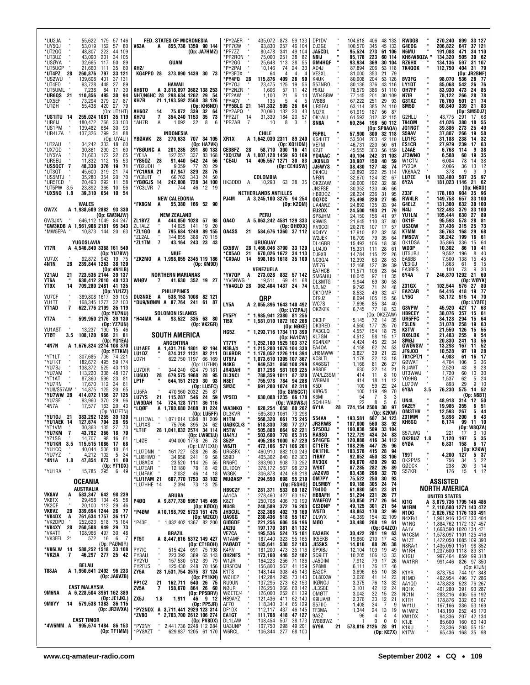| *UU2JA<br>57 146<br>55.622<br>179<br>*UY5QJ<br>53,019<br>152<br>57 80<br>*UT2QQ<br>48,807<br>223<br>44 109                                       | <b>FED. STATES OF MICRONESIA</b><br><b>V63A</b><br>A 855,738 1359 90 144<br>(Op: JA7HMZ)                                                                                             | *PY2AER<br>435,072<br>873 59 133<br>*PP7CW<br>93,830<br>257<br>46 104<br>*PP7ZZ<br>80,478<br>341<br>49 104                                              | DF1DV<br>104,618 406 48 133<br>DJ3GE<br>100.570<br>345 45 133<br>ш<br><b>JA5CDL</b><br>95,524<br>273 61 106                                                | <b>RW3GB</b><br>270.240<br>899<br>33 127<br>G4EDG<br>206,822<br>647<br>37 121<br>N6MU<br>191,088<br>471<br>34 110                                                 |
|--------------------------------------------------------------------------------------------------------------------------------------------------|--------------------------------------------------------------------------------------------------------------------------------------------------------------------------------------|---------------------------------------------------------------------------------------------------------------------------------------------------------|------------------------------------------------------------------------------------------------------------------------------------------------------------|-------------------------------------------------------------------------------------------------------------------------------------------------------------------|
| 43,090<br>201<br>34 105<br>*UT3UZ<br>*USØYA<br>32,665<br>117<br>50<br>*UT5UCP<br>21,660<br>111<br>35<br>797<br>*UT4PZ<br>28<br>260,876<br>33 121 | GUAM<br>89<br>60<br>KH <sub>2</sub> /<br>KG4PPO 28<br>373,890 1439 30 73                                                                                                             | *PP2RON<br>251<br>75,000<br>38<br>82<br>*PY2GG<br>25,648<br>113<br>38<br>55<br>*PY2PAI<br>10,146<br>74<br>24<br>33<br>*PY3FOX<br>64<br>4<br>4<br>4      | N9IJ<br>95,178<br>223<br>60 114<br>GM4HQF<br>93,934<br>369<br>30 104<br>AD4J<br>87,894<br>206<br>53 118<br>VE3XL<br>81,000<br>353<br>21 79                 | KH6/W8QZA<br>134,320<br>505<br>30 62<br>RZ6HX<br>134,136<br>597<br>31 107<br><b>7K4QOK</b><br>112,750<br>404<br>31 79<br>(Op: JR2BNF)                             |
| *US2WU<br>139,608<br>401<br>37 131<br>*UT4E0<br>93,728<br>448<br>27<br>*UT5UML<br>7,238<br>84<br>17                                              | 89<br>HAWAII<br>30<br>кн6то<br>A 3,818,897 3682 138 253                                                                                                                              | *PY4FQ<br>28<br>115,876<br>409<br>28<br>90<br>*PY70J<br>23,475<br>125<br>19<br>56<br>*PY2NZR<br>1,606<br>57<br>11<br>42                                 | K4UK<br>80,908<br>204<br>53 126<br>S57NRO<br>376<br>80,136<br>43 116<br>F5IQJ<br>78,579<br>386<br>51 110                                                   | <b>BV3FG</b><br>98.070<br>28 77<br>536<br>542<br>76<br>LY1DT<br>85,068<br>26<br>OH7FF<br>83,930<br>473<br>85<br>24                                                |
| *UR6QS<br>- 21<br>110,856<br>495<br>30<br>*UX5EF<br>73,294<br>379<br>27<br>*UTØH<br>55,438<br>420<br>27<br>(Op: UT1HT)                           | NH7/N6HC 28 298.634 1262 29 54<br>94<br>87<br>KH7R<br>21 1,193,592 2568 38 126<br>79<br>(Op: KH6ND)<br>75,072 339<br>32 64<br>AH6OZ<br>-14                                           | *PT2AW<br>1.100<br>21<br>6<br>14<br>*PY4CY<br>5<br>5<br>135<br>4<br>*PY5BLG 21<br>141,332<br>26<br>595<br>64<br>*PY2APQ<br>132<br>20<br>20,060<br>43    | 201<br>WD4GBW<br>77,145<br>30 109<br>WB8B<br>67,222<br>251<br>29<br>- 93<br>385<br>24 110<br>UR5FAI<br>63,114<br>187<br>61,919<br>56<br>NQ7X<br>- 87       | N7IR<br>78.122<br>266<br>28<br>- 78<br>21 74<br>G3TXZ<br>76,760<br>501<br>SM5D<br>339 21 83<br>60,840<br>(Op: SM5DJZ)                                             |
| *US1ITU 14<br>255,024 1081 35 119<br>*UR6IJ<br>180.472<br>766<br>33 103<br>*US1PM<br>30<br>139,482<br>684                                        | 7<br>KH7U<br>354,240 1153<br>35 73<br>*AH7R<br>Α<br>1,092<br>32<br>8<br>6<br>93                                                                                                      | *PP2JT<br>184 20<br>57<br>31,339<br>14<br>*PR7AR<br>7<br>10<br>8<br>3                                                                                   | OK <sub>1</sub> AIJ<br>61,593<br>312<br>32 115<br>60,264 198 50 112<br>SN8A<br>(Op: SP8AQA)                                                                | 68<br>G2HLU<br>43,775<br>291<br>17<br>55<br>T940M<br>41.026<br>380<br>18<br>JQ1NGT<br>39,886<br>273<br>25<br>49                                                   |
| *UR4LZA<br>137,326<br>799<br>31<br>(Op: UY4LI)<br>*UT2AU<br>34,242<br>333<br>18                                                                  | 88<br>INDONESIA<br>YBØAVK 28<br>270,633 707 34 105<br>(Op: HA7VK)<br>-60                                                                                                             | CHILE<br>A 1,642,039 2311 89 240<br>XR1X<br>(Op: XQ1IDM)                                                                                                | <b>F5PBL</b><br>57,900<br>32 118<br>300<br>KG4HTT<br>53,504<br>203<br>42 110<br>46,731<br>220<br>VE7NI<br>50<br>- 61                                       | <b>S59AV</b><br>37,807<br>19<br>58<br>266<br>32<br>LU1FC<br>31,188<br>238<br>14<br>27,979<br>63<br><b>ES1CR</b><br>239<br>17                                      |
| *UX7QD<br>30.861<br>290<br>21<br>*UY5YA<br>21,663<br>172<br>22<br>11,832<br>*UR5EU<br>112<br>-15<br>48,330<br>*US5QCT<br>376<br>-19<br>7         | *YBØUNC A<br>60<br>201,285<br>391<br>80 133<br>65<br>*YE1A<br>127,257<br>337<br>83 168<br>*YB5QZ 28<br>91,440<br>542<br>53<br>24<br>-56<br>*YB2UDH<br>9,359<br>20<br>29<br>71<br>-77 | <b>CE3BFZ</b><br>28<br>58.710 390 16 41<br>*XQ1ZW<br>A 1,007,128 1459 93 169<br>*CE4U<br>405,557 1271 30 83<br>14<br>(Op: CE4USW)                       | K2JT<br>303<br>56 159<br>45,555<br>Y04AAC<br>40,104<br>242<br>31 103<br>JK8NLB<br>40<br>38,907<br>150<br>-59<br>JJ6WYS<br>38,430<br>127<br>48<br>-74       | 38<br><b>LZ4AE</b><br>6,768<br>114<br>9<br>JF3WNO<br>35<br>6,588<br>60<br>19<br><b>W1CTN</b><br>6,084<br>14<br>38<br>78<br>PY2QA<br>13<br>12<br>2,066<br>36       |
| 45,600<br>319<br>-21<br>*UT3QT<br>*US5MTJ<br>35,280<br>354<br>-20<br>292<br>*UR5FCD<br>20,493<br>- 11                                            | 329<br>*YC1ANA 21<br>87,947<br>28<br>-76<br>74<br>70<br>*YC8UFF<br>66,762<br>343<br>24<br>50<br>*YBØGJS 14<br>242,808<br>728<br>34 100<br>58                                         | COLOMBIA<br>HK3DDD A<br>10,293<br>63 38<br>- 35                                                                                                         | 32,893<br>25 114<br>DK4CU<br>222<br>NFØN<br>32,670<br>32<br>124<br>67<br>192<br>32<br>OK2ZAW<br>30,600<br>88                                               | VK6AA/2<br>9<br>9<br>378<br>-9<br>LU7EE<br>14<br>183,480<br>507<br>35 97<br>6Y2A<br>181,023 1146<br>21 62                                                         |
| *UT5PW<br>23,892<br>366<br>10<br>3.5<br>*UX5NQ<br>39,310<br>654<br>10<br>1.8                                                                     | 12 19<br>*YC3LVR<br>- 7<br>744<br>46<br>56<br>54<br><b>NEW CALEDONIA</b>                                                                                                             | NETHERLANDS ANTILLES<br>PJ4M<br>A 3,245,100 3275 94 254                                                                                                 | JN2FSE<br>30,352<br>130<br>46<br>66<br>HB9DOZ<br>28,224<br>236<br>31<br>95<br><b>007CC</b><br>25,498<br>220<br>27<br>95                                    | (Op: N6XG)<br>Z33F<br>178,160<br>35 96<br>904<br><b>RW4LR</b><br>33 100<br>149,758<br>657                                                                         |
| WALES<br>GW7X<br>A 1,938,609 2882 93 330<br>(Op: GW3NJW)<br>GW3JXN<br>646,112 1049 84 247                                                        | *FK8GM<br>55,380 166 52 90<br>A<br><b>NEW ZEALAND</b><br>ZL1BYZ<br>A<br>444,850 1028 57 98                                                                                           | (Op: K2QM)<br>PERU<br>0A40<br>A 5,863,242 4531 129 333                                                                                                  | UA4ANZ<br>24,892<br>135<br>33<br>94<br>EU2DX<br>24,500<br>193<br>21<br>79<br>SP8JHM<br>24,150<br>156<br>41<br>97<br>K9WIS                                  | G4ELZ<br>131,300<br>632<br>30 100<br>N4IJ<br>122,493<br>379<br>33 100<br>YU1LM<br>105,444<br>630<br>27 89<br>95,593<br>578<br>28 81<br>OK1IF                      |
| *GW3KDB A 1,561,908 2181 95 343<br>*MW5EPA<br>10,873 144 20 63                                                                                   | ZL1ALZ<br>14,625 141<br>19<br>20<br>795,684 1249 89 155<br>*ZL1GO<br>A<br>*ZL2AL<br>144,855<br>388 70 115                                                                            | (Op: OHØXX)<br>OA4SS<br>21<br>584,676 1360 37 112                                                                                                       | 37<br>21,645<br>110<br>80<br>RV9COI<br>20,276<br>107<br>17<br>57<br>KQ4YY<br>82<br>32<br>17,910<br>58<br>79<br>35<br>W2JEK<br>16,709<br>64                 | 73<br>US30W<br>37,436<br>315<br>25<br>68<br>K7MM<br>36,763<br>168<br>29<br><b>FM5CW</b><br>36,242<br>199<br>16<br>61                                              |
| YUGOSLAVIA<br>YT7R<br>A 4,546,840 3368 161 549<br>(Op: YU7BW)                                                                                    | *ZL1TM<br>$\overline{1}$<br>43,164 243 23 43<br><b>NIUE</b>                                                                                                                          | URUGUAY<br><b>CX5BW</b><br>28 1,466,046 3790 33 120<br>670.026 1672 34 113<br>*CX5AO<br>21                                                              | DL4GBR<br>15,493<br>38<br>106<br>18<br><b>UU4J0</b><br>15,331<br>111<br>28<br>61<br>DJ9XB<br>14,784<br>22<br>26<br>115                                     | OK1DSA<br>35,866<br>336<br>64<br>15<br>WD3P<br>10,302<br>10<br>41<br>86<br>UT5UBJ<br>9,552<br>8<br>40<br>196                                                      |
| 92,872 943 19 75<br>YU7JX<br>239,844 1263 38 120<br>4N1N<br>28<br>(Op: 4N1LB)<br>YZ1AU<br>723.536 2144 39 137<br>21                              | (Op: KM9D)<br><b>NORTHERN MARIANAS</b>                                                                                                                                               | *CX9AU<br>14<br>598,185 1618 35 100<br>VENEZUELA<br>*YV7QP<br>273.028 832 57 142<br>A                                                                   | 28<br><b>NC3G/4</b><br>12,393<br>53<br>63<br>39<br>WE7G<br>12,168<br>127<br>39<br>EA7HCB<br>23<br>11,571<br>106<br>64                                      | EA6BB<br>7,500<br>138<br>15<br>45<br>VE3IGJ<br>1,863<br>61<br>8<br>15<br>EA3BES<br>9<br>30<br>100<br>73<br>246,870 1292<br>21 69<br>6Y4A<br>7                     |
| 630,412 2010 40 133<br>YT6A<br>YT9X<br>14<br>709,280 2481 41 135<br>(Op: YU1ZZ)                                                                  | WHØV<br>41,630 352 19 27<br>7<br><b>PHILIPPINES</b>                                                                                                                                  | *YV5NWG<br>19,511<br>41<br>69<br>68<br>*YV4GLD 28<br>362,404 1437 24<br>-74                                                                             | SM6AHU<br>10,045<br>35<br>97<br>11<br>DL8MTG<br>9,944<br>30<br>69<br>58<br>9.792<br>N2JNZ<br>71<br>24<br>48<br>32<br>OK1DMP<br>8,532<br>49<br>47           | (Op: WØYK)<br>102.544<br>Z31GX<br>576<br>27 89<br>EA2CAR<br>64,416<br>418<br>19 77                                                                                |
| YU7CF<br>39 105<br>389,808 1617<br>YU1TT<br>168,345 1277<br>32 103<br>YT1AD<br>622,776 2199<br>35 119<br>7                                       | DU3NXE A 538,153 1008 82 121<br>*DU9/NØNM A 87,764 241 61 87                                                                                                                         | 0RP<br>LY5A<br>A 2,055,896 1643 140 492<br>(Op: LY2PAJ)                                                                                                 | 8,094<br>105<br>56<br>DF9JZ<br>15<br>WC7S<br>7,696<br>85<br>34<br>40<br>18<br>53<br>OK2KFK<br>6,745<br>77                                                  | 14 70<br>LY5G<br>53,172<br>515<br>(0p:LY2FE)<br>G3VPW<br>45,920<br>17 63<br>427                                                                                   |
| (Op: YU7NU)<br>YT7A<br>599,950 2176 39 130<br>(Op: YZ7UN)<br>YU1AST<br>13,237<br>190<br>15 46                                                    | <b>SOLOMON ISLANDS</b><br>*H44MA A<br>93,522 335 63 80<br>(Op: VK2GR)                                                                                                                | <b>FY5FY</b><br>1,985,941 2380 81 256<br>TI5X<br>1,581,010 1872 102 268<br>(Op: NØKE)                                                                   | (Op: OK2ZAW)<br>DK3IP<br>5,145<br>72<br>14<br>35<br>DK3RED<br>4,560<br>177<br>25<br>70                                                                     | <b>HB9CEY</b><br>38.076<br>357<br>15<br>-61<br>294<br>UR5FFC<br>34,128<br>15 64<br>31,078<br>258<br>63<br><b>F5LEN</b><br>19<br>126<br>55<br>K3TW<br>21,559<br>15 |
| 3.5<br>108,120<br>966 21 81<br>YTØT<br>(Op: YU1EA)<br>*4N7N<br>A 1,676,824 2214 108 370                                                          | SOUTH AMERICA<br>ARGENTINA                                                                                                                                                           | HG5Z<br>" 1,293,716 1734 113 390<br>(Op: HA1CW)<br>1,252,100 1525 103 372<br>YT7TY                                                                      | PA3CLQ<br>4,557<br>18<br>75<br>154<br>KL7GN<br>4,512<br>58<br>15<br>17<br>22<br>KG4NXP<br>4,424<br>45<br>34<br>24<br>53                                    | 255<br>9<br>54<br>RX6LDK<br>21,483<br>56<br>SMØJ<br>20,830<br>241<br>13<br>GWØVSW<br>13,293<br>52<br>167<br>11                                                    |
| (Op: YT7KM)<br>307,685<br>*YT1LT<br>706<br>74 221<br>*YU1KT<br>182,672<br>495<br>59 174                                                          | <b>LU1AEE</b><br>A 1,431,716 1801 92 194<br>LU1DZ<br>874,312 1131 82 211<br>LO7H<br>622,750 1197<br>66 169<br>(Op: LU7HN)                                                            | <b>N3BJ/4</b><br>1,215,200 1076 104 330<br><b>DL6RDR</b><br>1,178,052 1226 114 394<br>UT9FJ<br>1,073,610 1395 107 367<br>949,531 860 108 299<br>N4KG    | EA40A<br>4,158<br>62<br>JH8MWW<br>3,827<br>39<br>21<br>22<br>1,178<br>22<br>13<br>18<br>KC8LTL<br>26<br>KA6SGT<br>1,166<br>81<br>-27                       | JF9JOD<br>10,528<br>97<br>19<br>28<br>7K1CPT/1<br>4,983<br>17<br>61<br>16<br>4,704<br>36<br>GØWAT<br>6<br>106                                                     |
| *YU7BJ<br>138,372<br>525<br>43 113<br>113,220<br>*YU7AM<br>338<br>48 137<br>87,360<br>596<br>*YT1AT<br>23                                        | LU7DIR<br>79 181<br>344,240<br>624<br>LU6U0<br>679,575 1968<br>28<br>28<br>- 95<br>-81<br>644.151 2129 30 93<br>LP1F                                                                 | JR4DAH<br>817,298 931 109 225<br><b>DL3NCI</b><br>788,359 1011 87 320<br>755,978 784 94 288<br>N8ET                                                     | 630<br>AB8DF<br>22<br>-14<br>21<br>W4/LZ3SM<br>8<br>414<br>11<br>10<br>WB9MII<br>18<br>11<br>12<br>414                                                     | RU4WT<br>2,520<br>43<br>8<br>28<br>30<br>UT3WWJ<br>1,720<br>60<br>10<br>5<br>24<br>Y09HG<br>1,537<br>62<br>29<br>9                                                |
| *YU7RN<br>17,670<br>112<br>34<br>*YU8/S57AW<br>14,875<br>125<br>20<br>*YU7WW 28<br>414,072 1156<br>37 125<br>*YU7SF<br>93,960<br>370<br>29       | 61<br>(Op: LU5FC)<br>65<br>470,960 2032<br>LU5FA<br>25<br>- 87<br>21<br>LU7YS<br>115,287 546<br>24 59<br>96                                                                          | 691,200 1074 82 318<br>SM3C<br>(0p:SM5CCT)<br><b>VP5ED</b><br>630,008 1235 66 178                                                                       | 22<br>100<br>59<br>24<br>K5DI<br>KIØG/5<br>100<br>119<br>49<br>70<br>54<br>3<br>K6MI<br>7<br>3<br>22                                                       | LU7DW<br>10<br>893<br>14 52<br>6Y8A<br>76,230<br>575<br>3.5<br>(Op: N6BT)<br>UN4L<br>48,918<br>314<br>12 50                                                       |
| *4N7A<br>20<br>163<br>17,577<br>(Op: YU7FTN)<br>383,292 1255 39 130<br>*YU10J<br>-21                                                             | LW9DAH 14<br>724.128 1711 36 116<br>43<br>A 1,700,680 2408 81 224<br>*LQØF<br>(Op: LU5FF)<br>*LU1EWL " 1,071,014 1398 81 209                                                         | (Op: WA3WSJ)<br>WA3NKO<br>628,254<br>658 80 262<br>DL3KVR<br>585,809 1061<br>73 298<br>$\mathbf{u}$<br>75 245<br>568,320 661<br>N1TM                    | SQ4HRN<br>8<br>5<br>6<br>28<br>724,154 2508<br>30<br>97<br>6Y1A<br>(Op: K2KW)<br>S54AA<br>193,581 607 34 123                                               | 9A2EY<br>19,985<br>355<br>6<br>-51<br><b>OM3THV</b><br>12,593<br>267<br>5 44<br>6 43<br>Z31MM<br>9,898<br>200                                                     |
| 794 28 95<br>YU1AEN<br>127,674<br>*YT1VM<br>30,363<br>135<br>27<br>*YU7KM<br>43,792 366 18<br>7                                                  | 395 24 62<br>*LU1XS<br>75,766<br>73<br>28 1,041,032 2574 34 114<br>*LT1F<br>70<br>(Op: LW9EUJ)                                                                                       | 518,330 730 77 277<br>UAØKCL/3<br>N5TW<br>505,808 664 92 221<br>UA4YJ<br>503,600 770 85 315                                                             | 187,000<br>33 92<br><b>JR3RWB</b><br>560<br>SP5DDJ<br>160,838<br>509<br>33 104<br>122,729<br>434<br>24 83<br>RA9SO                                         | KH6SQ<br>99 11 10<br>(Op: W8QZA)<br>221<br>$3 \quad 10$<br>S57LWG<br>17                                                                                           |
| 14,707<br>98 16<br>*YZ1SG<br>*YU1KR 3.5<br>115,515 1086 17<br>40,044<br>10<br>*YU1CC<br>506<br>*YU7YZ<br>4,212<br>102<br>5                       | 61<br>494,000 1778 26 78<br>(Op: LW1EXU)<br>*L4ØE<br>68<br>64<br>*LU7DNN<br>528 26 85<br>161,727<br>34                                                                               | 495,208 1000 67 229<br>S52P<br>W6JTI<br>472,166 571 106 201<br>460,910 882 100 249<br>405,302 840 82 300<br>UR5SFX                                      | 120,888<br>416 34 112<br>SP4GFG<br>108,295 447 25<br>CT1ETE<br>96<br>103,578 415 28<br>94<br>OK1FHL                                                        | 5 35<br>7,120<br>197<br>OK2BUZ 1.8<br>6 17<br>6,831<br>158<br>6YØA<br>(Op: K2KW)<br>4,200<br>127<br>5 37<br>T99T                                                  |
| 47,854 673 11 60<br>*4N1A<br>1.8<br>(Op: YT1DX)<br>15,785 295 6 49<br>*YU1RA                                                                     | *LU8HWD<br>19<br>34,958<br>241<br>58<br>*LU8ADX<br>23,520 114<br>25<br>55<br>*LU7EAR<br>78<br>42<br>12,180<br>18<br>*LU4FAK<br>2,032<br>46<br>14 18                                  | S59D<br>73 252<br>RN6FO<br>393,900<br>908<br>DL1DQY<br>378,172<br>98 279<br>567<br>306,878<br>424 68 218<br>W3GK                                        | 33 106<br>92,852<br>450<br>11 BAY<br>89,670<br>29<br>RV3QX<br>420<br>93<br><b>W9XT</b><br>87,285<br>282<br>26<br>89<br>32<br>JA2KVB<br>83,436<br>298<br>70 | $\begin{array}{cc} 5 & 22 \\ 3 & 14 \end{array}$<br>OK2PMS<br>756<br>34<br><b>GØDCK</b><br>238<br>20<br>S57KRI<br>15<br>176<br>4 12                               |
| OCEANIA<br>AUSTRALIA                                                                                                                             | *LU1FAM 21<br>607,770 1753 33 102<br>13<br>*LU7HHE 14<br>2,394<br>73<br>-25                                                                                                          | 698 55 219<br>294,550<br>MUØASP<br>(Op: F5SHQ)<br><b>HB9CZF</b><br>533 69 182<br>281,371                                                                | OM7PY<br>75,522<br>250<br>30<br>93<br><b>DL5MBY</b><br>69,188<br>305<br>24<br>74<br>T94DO<br>61,880<br>501<br>23<br>81                                     | <b>ASSISTED</b><br>NORTH AMERICA                                                                                                                                  |
| VK8AV<br>583,347 642 98 239<br>A<br>VK8TX<br>29,458 134<br>45 58<br>VK2QF<br>20,100 113<br>29                                                    | ARUBA<br>P4ØQ<br>A 9,877,730 5957 145 465<br>46<br>(Op: KØDQ)                                                                                                                        | 427<br>AA1CA<br>278,460<br>63 197<br>250,708<br>406<br>70 199<br>K8ZT<br>248,589 372 76 203<br>NU4B                                                     | <b>HB9AFH</b><br>51,294<br>231<br>26<br>-77<br><b>WA6FGV</b><br>50,850 217<br>26<br>64<br>301<br>21<br><b>CE3DNP</b><br>49,125<br>54                       | <b>UNITED STATES</b><br>KI1G<br>A 3,079,736 1795 146 486<br>W1RM<br>2.110.680 1271 143 472                                                                        |
| 28<br>339,694 1244 26 77<br>VK6VZ<br>761,634 1757 36 117<br>*VK4DX<br>A<br>*VK2DPD<br>252,623 518 75 164<br>*VK4XY<br>260,508 949<br>29<br>28    | *P4ØW<br>A10,198,792 5723 151 475<br>(Op: W2GD)<br>*P43E<br>" 1,032,402 1367 82 200<br>73                                                                                            | 402 79 160<br><b>JH3CUL</b><br>232,308<br><b>UA9SG</b><br>230,436 518 55 167<br>221,256<br>197,170<br>56 196<br>GIØGDF<br>606<br>81 132<br>JA2IU<br>381 | 48,863<br>170<br>32<br>W5TD<br>99<br>46,389<br>154<br>32 109<br>DL9YX<br>268 19 61<br>38,480<br>MØO<br>(Op: G4JZO)                                         | 2,026,752 1176 133 491<br>N1DG<br>1,961,916 1347 130 404<br>N4XR/1<br>1,884,762 1172 137 457<br>W1NG                                                              |
| *VK4TT<br>108,966 497<br>30<br>*VK3FEI 21<br>572<br>16<br>6<br>(Op: PAØMIR)                                                                      | 48<br>BRAZIL<br>-7<br>PT5T<br>A 8,447,616 5372 149 427<br>(Op: CT1BOH)                                                                                                               | <b>195,536</b><br>187,440<br>524<br><b>VE7CA</b><br>75 101<br>55 165<br>323<br>W1AMF<br>185,641<br>PAØADT<br>530 52 183                                 | 281 19 63<br>30,422<br>EA3AEK<br>19,860<br>210<br>17<br>IK5EKB<br>43<br>JI5SKS<br>14,016<br>88 26<br>38                                                    | 1,668,590 1020 134 471<br>AA1V<br>W1CSM<br>1,578,097 1101 125 416<br>1,472,050 1085 109 390<br>W1ZT<br>N8RA/1<br>1,435,050 1151<br>98 352                         |
| *VK6LW 14<br>588,252 1518 33 108<br>*VK2IA<br>7<br>46,297 277 25 42                                                                              | PY7IQ<br>515,424<br>691 75 198<br>65 143<br>PY3AU<br>223,392<br>389<br>PY2YU<br>157,530 512<br>39 79                                                                                 | 181,200<br>K4RV<br>473<br>35 116<br>173,160<br>446 52 182<br>OH2NFS<br>71 186<br>41 159<br>164,223<br>156,800<br>W1JR<br>256                            | SP9IBJ<br>12,104<br>109<br>19<br>49<br>10,205<br>106<br>$\frac{13}{17}$<br>SQ9IET<br>33<br>JA5DIM<br>7,912<br>79<br>76<br>26                               | W1RH<br>1,237,600 1118<br>89 311<br>K1GU<br>997,464<br>859<br>99 318<br>991,446<br>826 97 350<br>WA1RR                                                            |
| BELAU<br>A 1,950,641 2492 96 233<br>T88JA<br>(Dp: JAGVZB)                                                                                        | PY2FUS<br>125,430<br>248<br>70 156<br>28 1,531,754 3575 37 124<br>ZY5A<br>(Op: PY1KN)<br>640 26 75<br>PP1CZ<br>21<br>162,711                                                         | UR5FCM<br>567<br>148,144<br>308<br>45 143<br>K1TS<br>142,284<br>137,295<br>73 140<br>WØHEP<br>295<br>273<br>62 153<br>RU9UN                             | 17<br>SP8MI<br>6,111<br>46<br>EA2CR<br>3,696<br>65<br>10<br>38<br>DL8DXW<br>3,626<br>41<br>14<br>23<br><b>IKØNOJ</b><br>3,375<br>13<br>76<br>32            | (Op: K1JN)<br>K1YR<br>744 101 348<br>873,754<br>N1MD<br>492,954<br>496 77 286                                                                                     |
| <b>EAST MALAYSIA</b><br>A 6,228,504 3961 162 389<br>9M6NA<br>(Dp: JE1JKL)                                                                        | 864 26 60<br>ZV5A<br>7<br>158,670<br>(Op: PP5BRV)<br>ZX5J<br>9 12<br>1,911<br>46<br>1.8                                                                                              | 126,250<br>266 60 142<br>NØUR<br>126,000 252 61 139<br>WØETC/4<br>HB9AYZ<br>121,436 411 62 140                                                          | JL3SBE<br>3,101<br>42<br>12<br>24<br>3,042<br>32<br>15<br>23<br>OMØTT<br>K9IUA/Ø<br>2,376<br>33<br>12<br>21                                                | 478,828<br>523<br>76 267<br>AA1QD<br>NQ1K<br>401,280<br>391<br>93 287<br>56 192<br>283,216<br>NC1N<br>405<br>332<br>K1TH                                          |
| 9M8YY<br>14 579,538 1383 36 115<br>(Op: JR3WXA)                                                                                                  | (Op: PP5JR)<br>*PY2NDX A 3,711,441 2929 123 314<br>2,703,700 2612 106 274<br>*ZV80                                                                                                   | 118,340 314 65 129<br>AF70<br>112,117 437<br>46 145<br>DF1DX<br>EA1GT<br>111,708 418 47 127                                                             | $\overline{7}$<br>34<br>S57110<br>1,408<br>9<br>TF3MA<br>24<br>13<br>1,344<br>19<br>9A3Z<br>96<br>4<br>4<br>4                                              | 178,876<br>60 167<br>WY1U<br>167,166<br>53 169<br>336<br>W1WFZ<br>143,190<br>252<br>45 170<br>42 134<br>KW1DX<br>207                                              |
| <b>EAST TIMOR</b><br>*4W6MM A<br>995,674 1484 86 153<br>(Op: TF1MM)                                                                              | (Op: PV8DX)<br>2,441,736 2248 112 284<br>*PY2NY<br>629,937 1205 61 170<br>*PY8AZT                                                                                                    | DL1LAW<br>108,454<br>38 173<br>507<br>107,750<br>UA3UNP<br>298<br>49 201<br>106,344 277 68 100<br>W6RCL                                                 | 0<br>0<br>WB6BWZ<br>$\overline{1}$<br>0<br>21<br>578,816 2126 28 91<br>6Y9A<br>(Op: KE7X)                                                                  | 94,336<br>85,600<br>K1JE<br>160 60 140<br>73,336<br>208 55 151<br>K1KU<br>65,436<br>168 35 98<br>K1TW                                                             |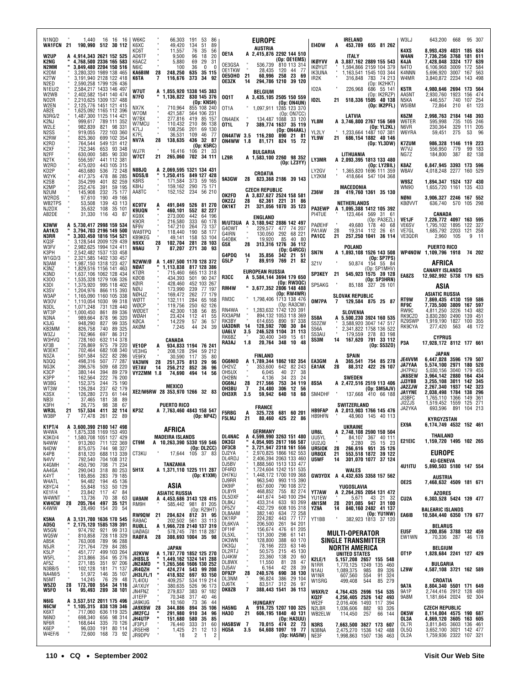| N1NQD<br>1.440<br>WA1FCN 21<br>190,990 512 30 112                                                                                                                                                                 | 16 16 16                                                                        | W6KC<br>K6XC                                                 |                                | 66.303<br>49,420                                                                           | 191<br>-53<br>134<br>51                                             | 86<br>89                                       |                                                                   |                             | <b>EUROPE</b><br><b>AUSTRIA</b>                                                                                                                    |                                                                                                                  |                            | E14DW                                                         | A              | <b>IRELAND</b><br>453,789 655 81 262                                                                             |                              |                                           | W3LJ                                          | 643.200                                                                                                              | 668                               |                                          | 95 307           |
|-------------------------------------------------------------------------------------------------------------------------------------------------------------------------------------------------------------------|---------------------------------------------------------------------------------|--------------------------------------------------------------|--------------------------------|--------------------------------------------------------------------------------------------|---------------------------------------------------------------------|------------------------------------------------|-------------------------------------------------------------------|-----------------------------|----------------------------------------------------------------------------------------------------------------------------------------------------|------------------------------------------------------------------------------------------------------------------|----------------------------|---------------------------------------------------------------|----------------|------------------------------------------------------------------------------------------------------------------|------------------------------|-------------------------------------------|-----------------------------------------------|----------------------------------------------------------------------------------------------------------------------|-----------------------------------|------------------------------------------|------------------|
| <b>W2UP</b><br>A 4,914,343 2621 152 525<br>K2NG<br>4,768,500 2336 165 583<br>3,849,480 2204 150 516<br>N2MM<br>K2DM<br>3,280,320 1989 138 465<br>K2TW<br>3,191,940 2128 122 418<br>N2ED<br>2.590.258 1799 126 436 |                                                                                 | KC6T<br>AD6TF<br>K6ACZ<br>N6IC<br>KA6BIM<br>K6TA             | 28<br>$\overline{\phantom{a}}$ | 11,557<br>9,500<br>5,880<br>100<br>248,250<br>116,676                                      | 76<br>35<br>96<br>18<br>69<br>29<br>36<br>0<br>635 35 115<br>373 34 | 56<br>20<br>31<br>n<br>92                      | OE1A<br>OE3GSA<br>OE1TKW<br><b>OE5OHO</b><br>OE3ZK                | - 21<br>14                  | A 2,415,876 2292 144 510<br>28,435                                                                                                                 | (Op: OE1EMS)<br>536,739 810 113 314<br>120 44 77<br>60,996 258 23 69<br>294,786 1210 39 120                      |                            | <b>IKØYVV</b><br>IKØYUT<br><b>IK3UNA</b><br>IR <sub>2</sub> K |                | <b>ITALY</b><br>3,887,162 2889 155 543<br>1,594,866 2159 104 379<br>1,163,541 1545 103 344<br>316,848 783 74 213 |                              | (Op: IK2HKT)                              | K4XS<br>W4AN<br>K4JA<br>N4TO<br>K4NNN<br>W4MR | 8,993,439 4031 185 634<br>7,736,256 3768<br>7,428,048<br>6,106,968<br>5,696,920<br>3,840,872 2234 143 498            | 3324<br>3009<br>3007              | 181 611<br>177 639<br>172<br>167 563     | 584              |
| N1EU/2<br>2.584.217 1433 146 497<br>W2WB<br>2,402,582 1541 140 474<br>N <sub>02</sub> R<br>2,210,625 1309 137 488<br>W2EN<br>2,125,776 1451 121 415<br>AB2E<br>1,625,092 1165 112 396                             |                                                                                 | W7UT<br>N7FO<br>NX7K                                         |                                | A 1.855.920 1338 145 383<br>1,136,822 830 145 376<br>710,964                               | (Op: KN5H)<br>855 108 240                                           |                                                | <b>001T</b><br>OT <sub>1</sub> A                                  |                             | <b>BELGIUM</b><br>A 3,435,105 2505 150 559<br>1,097,911 1285 123 370                                                                               | (Op: ON4UN)                                                                                                      |                            | 102A<br>102L                                                  | 21             | 226,968<br>518,336 1505 40 138                                                                                   |                              | 686 55 141<br>(Op: IK2RZP)<br>(0p:IK2PFL) | K5TR<br>AA5NT<br>N5KA<br>W5IBM                | 4,980,646 2694 173 564<br>2,930,760<br>446,557<br>72,864                                                             | 1923<br>740 107 254<br>210        | 156 474                                  | 61 123           |
| 1,487,300 1125 114 421<br>N3RG/2<br>K2NJ<br>W2LE<br>N <sub>2</sub> SS<br>919,055                                                                                                                                  | 999,617 789 111 352<br>982,839 821 98 331<br>722 103 360                        | W70M<br>W7BX<br>W7MCU<br>K7LJ<br>K7FL                        |                                | 421,587<br>277,816<br>110.432<br>108,256<br>36,531                                         | 564 106 231<br>419 85 157<br>210 86 138<br>201 69 130<br>109        | 46 77                                          | ON4AEK<br>OT1L                                                    | 7                           | ON4ATW 3.5 116,280                                                                                                                                 | (Op: ON7CC)<br>134,487 1088 33 120<br>389,774 1637 35 119<br>(Op: ON4AKL)<br>890 21                              | 81                         | YL8M<br>YL2LY                                                 |                | LATVIA<br>A 3.746.800 2767 156 569<br>1.233.664 1487 107 381<br>686.154 1882 40 146                              |                              | (0p: YL2KL)                               | K6ZM<br>W6TER<br>N6VR<br>W6YRA                | 2,998,763<br>595.998<br>230.364<br>59,451                                                                            | 2184 148 393<br>735<br>329<br>275 | 105 246<br>111 205<br>53                 | -96              |
| K <sub>2</sub> RW<br>825,360<br>K2RD<br>764.544<br>K2XF<br>752,346<br>N <sub>2</sub> FF<br>630,000<br>N <sub>2</sub> TK<br>556,597                                                                                | 699 102 354<br>549 131 412<br>653 93 348<br>585 90 330<br>441 112 381           | NV7A<br>WJ7R<br><b>W7CT</b>                                  | 28<br>21                       | 138,635<br>16.416<br>265.060                                                               | 436 32 87<br>(Dp: K5RC)<br>106<br>702 34 111                        | 21 33                                          | <b>ON4WW 1.8</b><br>LZ9R                                          |                             | BULGARIA<br>A 1,583,100 2260 98 352                                                                                                                | 81,171 824 15                                                                                                    | - 72                       | YL9W<br>LY3MR                                                 | 21             | LITHUANIA<br>A 2.093.395 1813 133 480                                                                            |                              | (Op: YL3DW)                               | <b>K7ZUM</b><br>W7VJ<br>NG7Z                  | 986,328 1146 119 223<br>556,950<br>184,800                                                                           | 779<br>387                        |                                          | 99 183<br>82 138 |
| W2RD<br>475,020<br>KD2P<br>463,680<br>W2YK<br>417,375                                                                                                                                                             | 443 105 315<br>536<br>72 248<br>478<br>86 285                                   | N8BJQ<br><b>ND5S/8</b>                                       |                                | A 2,069,595 1321 134 431<br>1,250,415 849 127 428<br>171,584                               | 373 59 165                                                          |                                                | <b>9A3GW</b>                                                      | 28                          | CROATIA                                                                                                                                            | (Op: LZ3YY)<br>823,368 2186 39 143                                                                               |                            | LY2GV<br>LY2KM                                                |                | 1,365,820 1696 111 359<br>418,664 547 104 368                                                                    |                              | (Op: LY2BIL)                              | K8AZ<br>W8AV                                  | 6,847,945 3393 173 596<br>4,018,248 2277 160 529                                                                     |                                   |                                          |                  |
| 354,299<br>K2SB<br>K <sub>2</sub> MP<br>252,476<br>N2UM<br>145,908<br>W2RDS<br>97.610                                                                                                                             | 82 259<br>401<br>391<br>59 195<br>75 177<br>232<br>190<br>49 166                | K8RS<br>K8HJ<br>AA8TC                                        |                                | 159,162<br>152,152                                                                         | 290 75 171<br>234 56 210                                            |                                                | OK2FD                                                             |                             | <b>CZECH REPUBLIC</b><br>A 3.837.627 2524 158 581                                                                                                  |                                                                                                                  |                            | <b>Z36W</b>                                                   |                | MACEDONIA<br>28 419,760 1361 35 130                                                                              |                              |                                           | W9SZ<br><b>WN90</b><br>NØNI                   | 1,894,347 1524 137 430<br>1,655,720 1161 135 433<br>3,906,327 2246 167 552                                           |                                   |                                          |                  |
| WB2TPS<br>53,508<br>NJ2DX<br>35,632<br>AB2DE<br>31,330                                                                                                                                                            | 139<br>43 113<br>108<br>35 101<br>116<br>43<br>87                               | <b>KC9TV</b><br><b>K9UQN</b><br>KG9X                         | A                              | 491.049 526 81 270<br>460,101<br>273,000                                                   | 552 82 227<br>442                                                   | 64 196                                         | OK2ZJ<br>OK1KT                                                    | 28<br>21                    |                                                                                                                                                    | 62,361 221 31 86<br>321,056 1070 35 123                                                                          |                            | <b>PA3EWP</b><br>PI4TUE                                       |                | <b>NETHERLANDS</b><br>A 1,095,388 1412 105 392<br>123,464 569 31 61                                              |                              |                                           | <b>KBØVVT</b>                                 | 636,740 570 105 298<br>CANADA                                                                                        |                                   |                                          |                  |
| K3WW<br>A 5,730,417 2998 159 534<br>" 3,794,703 2196 149 500<br>AA1K/3<br>N3RR<br>3.303.450 1816 154 521<br>3,128,544 2009 129 439<br>KQ3F                                                                        |                                                                                 | K90R<br>NF9V<br>WA9TPQ<br>KB9KEG<br>N9XX                     | 28                             | 216,580<br>147,210<br>118,440<br>49,141<br>102,704                                         | 333<br>264<br>190<br>158<br>281                                     | 60 178<br>73 137<br>58 177<br>53 104<br>28 103 | G40WT<br>G4IRN<br>G40BK                                           |                             | ENGLAND<br>M/UT3UA A 3,180,942 2886 142 497<br>19.920                                                                                              | 229,577 477 74 207<br>130.050 292 68 221<br>85                                                                   | 40 80                      | PAØEHF<br>PA1AW<br>PA1CC                                      | 28<br>21       | 49.680<br>19,314 112<br>257,250 1041 36 114                                                                      |                              | (Op: PA3EZL)<br>178 40 68<br>26 61        | VE1JF<br>VE6SV<br>VE7GL<br>VE3QDR             | 7,226,772 4097 163 595<br>1,795,102 1895<br>1,685,792 2203 121 258<br>2,960 105                                      |                                   | 122 327                                  | $9 - 11$         |
| W3FV<br>2.982.625 1994 124 411<br>2,542,482 1537 133 458<br>K3PH<br>W1GD/3<br>2,321,585 1402 130 457<br>N3AM<br>1,987,150 1318 123 427                                                                            |                                                                                 | N9AU<br>N2WW/Ø                                               | 7                              | A 1,497,500 1170 128 372                                                                   | 87,207 271 30 93                                                    |                                                | G5X<br>G4PDQ<br>G5LP                                              | 28<br>14<br>7               | 35,856<br>89,919                                                                                                                                   | 313,316 1276 36 112<br>(Op: G4RCG)<br>342 21 51<br>769                                                           | 21 82                      | SN7N<br>3Z1V                                                  |                | POLAND<br>A 1,893,108 1526 143 508<br>50,874 154 55 84                                                           |                              | (Op: SP7PS)                               |                                               | <b>PUERTO RICO</b><br>WP4NOW 1,109,796 1918 74 202<br>AFRICA                                                         |                                   |                                          |                  |
| K3NZ<br>1,829,516 1156 141 463<br>1,637,106 1062 128 434<br>K3ND<br>K300<br>1,535,328 1279 106 326                                                                                                                |                                                                                 | NØAT<br>KTØR<br>KØOB<br>KØIR                                 |                                | 1,113,838 817 128 386<br>715,460<br>434,393<br>428.460                                     | 665 113 318<br>501 90 247<br>452 103 267                            |                                                | R3CC                                                              |                             | <b>EUROPEAN RUSSIA</b><br>A 5,584,144 3694 179 650                                                                                                 | (Op: RW3QC)                                                                                                      |                            | <b>SP3KEY</b>                                                 | 21             | 545.923 1575 39 128                                                                                              | (Op: SP1MHV)<br>(Op: SP3HRN) |                                           | EA8ZS                                         | <b>CANARY ISLANDS</b><br>12,982,992 5738 179 625                                                                     |                                   |                                          |                  |
| K3DI<br>1,375,920 995 118 402<br>1,204,976 866 115 393<br>K3SV<br>W3AP<br>1,165,090 1160 105 338<br>W30V<br>1,110,054 1030 99 318                                                                                 |                                                                                 | NØIJ<br>NØHJZ<br>WØTT                                        |                                | 173,990<br>169,472<br>132,111                                                              | 239 77 197<br>262 77 179<br>284                                     | 65 168                                         | RM4W<br>RM3C                                                      |                             | " 3,677,352 2806 148 488<br>1,798,406 1713 138 476                                                                                                 | (Op: RW4WR)                                                                                                      |                            | SP5AKG<br>OM7PA                                               | 7              | 85,188 327 26 101<br><b>SLOVAK REPUBLIC</b><br>129,584 875 25 87                                                 |                              |                                           | <b>RT9W</b>                                   | ASIA<br><b>ASIATIC RUSSIA</b><br>7,869,435 4130 159 586                                                              |                                   |                                          |                  |
| N3DL<br>1,071,248<br>WT3P<br>1,000,450<br>N3NA<br>989,664<br>948,290<br>K3JG<br>826,758<br>KB3MM                                                                                                                  | 731 128 440<br>861<br>89 336<br>96 320<br>878<br>827<br>99 335<br>89 325<br>740 | WØCP<br>WØDET<br>WØAH<br>KØCA<br>AKØM                        |                                | 119,756<br>42,300<br>23.424<br>14,229<br>7,245                                             | 250<br>138<br>56<br>112<br>41<br>57<br>36<br>44<br>24               | 62 126<br>85<br>55<br>57<br>39                 | RN4WA<br>RX3APM<br>RK3BY<br>UA3DNR<br><b>UA6LV</b>                | - 14<br>3.5                 | 1,283,632 1742 120 391<br>614,655<br>128,592<br>246,528 1104                                                                                       | (Op:RA3CW)<br>894,132 1053 118 369<br>890 97 338<br>700                                                          | 30 84<br>31 113            | <b>S58A</b><br>S52ZW<br>S56A                                  | A              | SLOVENIA<br>5,500,230 3924 160 535<br>3,588,920 3047 147 517<br>2,341,822 1758 136 522                           |                              |                                           | RF9C<br>RW9C<br>RK9CZ0<br>RZ9SWP<br>RK9CYA    | 7,735,500 3809<br>4,811,250 3226<br>3,830,280 2490<br>1,919,190 1827<br>277,420 563                                  |                                   | 167 597<br>143 482<br>139 451<br>100 355 | 48 172           |
| W3ZJ<br>762,966<br>W3HVQ<br>728,160<br>726,869<br>KF3B<br>W3EKT<br>702,464                                                                                                                                        | 86 312<br>697<br>632 114 378<br>975 79 220<br>682 108 340                       | <b>VE1OP</b>                                                 | A                              | CANADA<br>934.833 1194 76 241                                                              |                                                                     |                                                | RK6BZ<br>RA3AJ                                                    | 1.8                         | 30,400<br>20,764                                                                                                                                   | 349<br>348 10 48                                                                                                 | 15 61                      | S53AU<br>S53M                                                 | 14             | 179,559 278 83 198<br>167,620 791 33 112                                                                         |                              | (Dp: S53ZO)                               | P3A                                           | <b>CYPRUS</b><br>17,928,172 8112 177 661                                                                             |                                   |                                          |                  |
| 501,584<br>N3ZA<br>N3QQ<br>498.316<br>NG3K<br>396,576<br>K3CP<br>380,144<br>K3PP<br>162,564                                                                                                                       | 522 82 286<br>507<br>77 287<br>509<br>68 220<br>394<br>89 279<br>222<br>76 200  | VE3HG<br>VE9FX<br>VA3WN<br><b>VE7AV</b><br><b>VY2ZMM 1.8</b> | 28<br>14                       | 208.128<br>30,590<br>251,375<br>256,212<br>74,690                                          | 294<br>117<br>35<br>813<br>29<br>852<br>36<br>494 14                | 59 212<br>80<br>96<br>96<br>56                 | <b>OG6NIO</b><br>OH <sub>2</sub> V <sub>Z</sub><br>OH5UX<br>OH2BN |                             | <b>FINLAND</b><br>A 1,789,344 1862 102 354<br>353,600<br>6,045<br>4,136                                                                            | 642 82 243<br>40<br>23<br>34                                                                                     | 27 38<br>-24               | <b>EA3GM</b><br><b>EA1AK</b>                                  | A<br>28        | SPAIN<br>365,541 754 85 278<br>88,312<br><b>SWEDEN</b>                                                           |                              | 422 26 107                                | JE4VVM<br><b>JA7YAA</b><br>JH7PKU<br>JK6SEW   | <b>JAPAN</b><br>6,447,028 3596 179 507<br>5,574,100 2971 180 520<br>5.030.156 3040 179 455<br>3,964,142 2880 164 434 |                                   |                                          |                  |
| W3BG<br>152,375<br>WT3W<br>126,284<br>K3SX<br>126,280                                                                                                                                                             | 75 190<br>244<br>237<br>62 179<br>273<br>61 144                                 |                                                              |                                | MEXICO<br>XE2/W6RW 28 353,970 1266 32 83                                                   |                                                                     |                                                | <b>OG6NJ</b><br>OH3BU<br>OH3XR                                    | 28<br>$\overline{1}$<br>3.5 | 217,566<br>24,480<br>59,942                                                                                                                        | 753<br>306<br>640 18 68                                                                                          | 34 119<br>12 56            | 8S5A<br>SM4DHF                                                |                | A 2,472,516 2519 113 406<br>137,668 410 66 188                                                                   | (Op: SM5AJV)                 |                                           | JJ3YBB<br>JA2ZJW<br><b>JA1YNE</b>             | 3,255,108 3011 142 345<br>2,267,340 1937 142 323<br>2,038,498 1784 138 296                                           |                                   |                                          |                  |
| NB3I<br>37,465<br>K3FH<br>26,775<br><b>WR3L</b><br>21<br>157,534<br>W3BP<br>77,478<br>7                                                                                                                           | 181<br>38<br>-89<br>38<br>67<br>98<br>32 114<br>411<br>261<br>22<br>- 89        | KP3Z                                                         |                                | <b>PUERTO RICO</b><br>A 7,763,460 4843 158 547                                             | (Dp: NP4Z)                                                          |                                                | <b>F5RBG</b><br><b>F5LMJ</b>                                      | A<br>21                     | <b>FRANCE</b>                                                                                                                                      | 325,728 681 60 201<br>80,460 425 22 86                                                                           |                            | <b>HB9FAP</b><br><b>HB9HFN</b>                                |                | SWITZERLAND<br>A 2,013,903 1766 145 476<br>48.960 145 40 113                                                     |                              |                                           | JI3BFC<br>JI2ZJS<br>JA2YKA                    | 1,765,110 1366<br>1,519,452 1559<br>693,596 891 104 213<br>KYRGYZSTAN                                                |                                   | 149<br>125 271                           | 361              |
| <b>K1PT/4</b><br>A 3,600,390 2180 147 498<br>W4WA<br>1,875,338 1169 153 493<br>K3K0/4                                                                                                                             |                                                                                 |                                                              |                                | AFRICA<br><b>MADEIRA ISLANDS</b>                                                           |                                                                     |                                                | DL4NAC                                                            |                             | GERMANY<br>A 4,599,990 3263 151 480                                                                                                                |                                                                                                                  |                            | UR6L<br>UU5YL                                                 | A              | UKRAINE<br>2,748,108 2590 150 504                                                                                |                              |                                           | EX9A                                          | 6,174,749 4532 152 461<br>THAILAND                                                                                   |                                   |                                          |                  |
| 1,580,708 1051 127 429<br>913,260 711 122 369<br>875,075 744 98 327<br>818,120 688 113 339<br>N4WW<br>N4DW<br>K4PB<br>N4VV                                                                                        | 792,540 704 108 312                                                             | CT9M<br>CT3KU                                                |                                | A 10,263,390 5330 159 546<br>17,644                                                        | (Op: DL2CC)<br>105 37 83                                            |                                                | DK3GI<br>DF3CB<br>DJ2YA<br>DL4RDJ                                 |                             | 4,054,905 2617 166 587<br>3,721,947 2318 161 556<br>2,970,825 1866 162 553                                                                         |                                                                                                                  |                            | UU2JQ<br>UR5IOK<br>UR8QX<br>U5WF                              | 28<br>21<br>14 | 84,107 367 40 111<br>2,280 25 15 23<br><b>266,616 951 35 126</b><br>553,518 1872 39 122<br>301,070 1077 37 124   |                              |                                           | E21EIC                                        | 1,159,720 1495 102 265<br><b>EUROPE</b><br><b>4U-GENEVA</b>                                                          |                                   |                                          |                  |
| N4VV<br>K4GMH<br>AA4GA<br>K4YT<br>W4ATL<br>K8YC/4<br>KE1F/4<br>W4WNT<br>KW4CW                                                                                                                                     | 450,790 708 71 234<br>290,043 318 80 253<br>185,856 283 79 185                  | 5H1X                                                         |                                | TANZANIA<br>A 1,371,110 1225 111 287                                                       | (Op: K1XM)                                                          |                                                | DJ5BV<br>DF4RD<br>DH7KU                                           |                             | 2,406,394 2063 133 460<br>1,888,560 1513 133 477<br>1,724,604 1242 151 535<br>1,448,172 1700 109 368<br>963,540 993 115 390<br>368,540 993 115 390 |                                                                                                                  |                            |                                                               |                | <b>WALES</b><br>GW3YDX A 4,432,635 3358 157 562                                                                  |                              |                                           | 4U1ITU                                        | 5,890,503 5180 147 554<br><b>AUSTRIA</b>                                                                             |                                   |                                          |                  |
| 94,482<br>55,848<br>23,842                                                                                                                                                                                        | 194<br>45 136<br>153<br>50 129<br>47 84<br>117                                  |                                                              |                                | ASIA<br><b>ASIATIC RUSSIA</b>                                                              |                                                                     |                                                | DJ9RR<br>DK9IP<br>DL8YR<br>DL5DXF                                 |                             | 657,600<br>468,852<br>441,674                                                                                                                      |                                                                                                                  |                            | <b>YT7AW</b>                                                  |                | YUGOSLAVIA<br>A 2.264.265 2054 131 472                                                                           |                              |                                           | OE2S                                          | 7,468,632 4509 181 671<br>AZORES                                                                                     |                                   |                                          |                  |
| $13,736$<br><b>205,764</b><br>28<br>K4WW<br>28,490 154 20                                                                                                                                                         | $\frac{38}{35}$ $\frac{63}{121}$<br>$\frac{70}{497}$<br>54                      | UA9AM<br>RM9H                                                |                                | A 4,453,686 3143 128 415<br>585,442 981 81 205                                             | (Op: RZ9HT)                                                         |                                                | DL8KJ<br>DF5ZV<br>DL8AAM                                          |                             | 433,314<br>432,729<br>382,140                                                                                                                      | 993 115 390<br>790 108 372<br>540 100 294<br>633 93 269<br>608 105 318<br>634 72 258<br>443 77 177<br>261 94 201 |                            | YU1EW<br>4N1SM<br>YZ9A                                        | 28<br>14       | 5,671 43 21 32<br><b>201,085 947 31 100</b><br>840,160 2482 41 137                                               |                              | (Op: YU1NW)                               | CU2A                                          | 6,303,528 5424 139 477<br><b>BALEARIC ISLANDS</b>                                                                    |                                   |                                          |                  |
| A 3,131,700 1636 170 545<br>"2,175,120 1585 139 391<br>974,792 921 99 313<br>K5NA<br>AD5Q<br>W5GN                                                                                                                 |                                                                                 | <b>RW9QW</b><br>RA9AC<br>RUØLL<br><b>UAØAGI</b>              | 21                             | 204,624 812 31 95<br>202,502 561 33 113<br>A 1,966,728 2140 137 319<br>578,745 781 118 287 |                                                                     |                                                | DK1RP<br>DL6KVA<br>DF1HF                                          |                             | 224,282<br>206,500<br>156,674                                                                                                                      | 476                                                                                                              | 61 205                     | YT1BB                                                         |                | 382.923 1813 37 120                                                                                              |                              |                                           | EA6IB<br>EU5F                                 | 10,584,440 6350 179 677<br><b>BELARUS</b><br>3,200,856 3788 132 459                                                  |                                   |                                          |                  |
| WQ5W<br>AB5K<br>721,764                                                                                                                                                                                           | 810,858 728 118 329<br>763,008 789 96 288                                       | RAØFA                                                        | 28                             | 308,693 1004 35 98<br>JAPAN                                                                |                                                                     |                                                | DL5XL<br>DK3WN<br>DK3QJ                                           |                             | 131,300<br>128,800<br>78,166                                                                                                                       | 298<br>388<br>223                                                                                                | 61 141<br>60 170<br>63 146 |                                                               |                | <b>MULTI-OPERATOR</b><br><b>SINGLE TRANSMITTER</b>                                                               |                              |                                           | EW1WN                                         | 70,336 287<br><b>BELGIUM</b>                                                                                         |                                   | 46 178                                   |                  |
| N5JR<br>K5LP<br>W5FL<br>451,777<br>313,866<br>AF5Z<br>271,185                                                                                                                                                     | 729 84 285<br>499 103 264<br>354 95 276<br>97 206<br>351                        | JI2KVW<br><b>JH8SLS<br/>JN2AMD</b>                           |                                | A 1,787,770 1852 125 270<br>" 1,449,162 1324 141 288<br>1,265,566 1606 130 252             |                                                                     |                                                | DL2RTJ<br>DJ4KW<br>DL8WX                                          |                             | 50,575<br>23,360<br>11,550                                                                                                                         | 215<br>138<br>20<br>81<br>28                                                                                     | 45 130<br>60<br>47         | <b>K2LE/1</b><br>N <sub>1</sub> RR                            |                | <b>NORTH AMERICA</b><br>UNITED STATES<br>5,157,208 2657 155 548<br>1,770,125 1249                                | 135                          | 460                                       | OT1P                                          | 1,828,684 2241 127 429<br>BULGARIA                                                                                   |                                   |                                          |                  |
| N3BB/5<br>NA4M/5<br>102,128<br>51,972 146<br>N5MT<br>14,245<br>W5ZO<br>173,700<br>28                                                                                                                              | 181<br>71 137<br>35 107<br>29 48<br>76<br>554 34 116                            | JR4QZH<br>JH3LFL/1<br>7L4I0U                                 | ×                              | 424,274 543 99 208<br>418,932 697 93 150                                                   |                                                                     |                                                | DJ5AV<br>DF9ZP<br>DL3NM<br>DJ6TK                                  | 28                          | 6,164<br>240,576<br>96,824                                                                                                                         | 42<br>28<br>690<br>386<br>83,517 312 26 97                                                                       | 39<br>38 130<br>29 104     | N1AU<br>W1NR<br>W1SRG                                         |                | 1,089,375<br>607,560<br>499,408                                                                                  | 985<br>89<br>554<br>544      | 326<br>91<br>324<br>85 279                | LZ9W                                          | 4,587,108 3721 162 589<br>CROATIA                                                                                    |                                   |                                          |                  |
| W5FO<br>95,493<br>14<br>N6IG                                                                                                                                                                                      | 289<br>38 101                                                                   | JA1XUY<br>JN4FNZ<br>JI1EFP<br>JA9KUG                         |                                | $409,257$<br>$380,635$<br>$279,837$<br>$70,348$<br>$10,160$                                | 534 119 214<br>526 96 173<br>383 97 182<br>40<br>317<br>36<br>73    | 46<br>44                                       | DK8ZB                                                             | $\overline{\mathbf{z}}$     | <b>HUNGARY</b>                                                                                                                                     | 388,443 1541 36 113                                                                                              |                            | <b>W6XR/2</b><br>KQ2F<br>WE2F                                 |                | 4,764,435 2696 154 535<br>4,256,405 2526 142 493<br>2,016,406                                                    | 1493 117                     | 394                                       | 9A7A<br><b>9A1P</b><br>9A8M                   | 8,804,340 5501 171 649<br>2,744,416 2912 128 489<br>1,181,664 2024 92 304                                            |                                   |                                          |                  |
| A 3,537,512 2011 175 496<br>"1,105,315 838 139 346<br>"717,060 636 119 325<br>698,340 656 98 314<br><b>NGCW</b><br>K6XT<br>N6ND                                                                                   |                                                                                 | JA9XBW<br>JM2FCJ<br><b>JH4UTP</b>                            | 28                             | 344,886<br>291,980<br>151,680                                                              | 894<br>910<br>34<br>580<br>35                                       | 35 106<br>96<br>85                             | <b>HA5NG</b><br><b>HA30</b>                                       | Α<br>21                     |                                                                                                                                                    | 916,725 1207 100 325<br>606,195 1840 40 131<br>(Op: HA3UU)                                                       |                            | N2LBR<br>WB2ELW                                               |                | 1,036,606<br>114,450                                                                                             | 882<br>257                   | 93<br>326<br>66<br>144                    | OK5W<br>OL3A                                  | <b>CZECH REPUBLIC</b><br>8,114,004 4575 190 687<br>4,869,120 3605 163 605                                            |                                   |                                          |                  |
| 168,644<br>NF6R<br>K6EP<br>96,030<br>W4EF/6<br>72,600 168 73                                                                                                                                                      | 335 70 126<br>191<br>80 114<br>92                                               | JF3PLF<br>JR5EHB<br>JR9DPV                                   |                                | 76,440<br>1,425<br>18                                                                      | 31<br>333<br>21<br>12<br>$\overline{2}$                             | 60<br>13<br>$\mathbf{1}$<br>$\overline{c}$     | <b>HA5BSW</b><br>HG5A                                             | $\overline{7}$<br>3.5       | 70,015                                                                                                                                             | 474 22 73<br>64,608 1097 19 77<br>(Op: HA5IW)                                                                    |                            | N3RS<br>N3BNA<br>NE3F                                         |                | 7,663,500 3627 173 607<br>2,475,270 1536 142 488<br>1,998,863 1507 136 463                                       |                              |                                           | OL7R<br>OL5Q<br>OL2A                          | 3,811,845 3603<br>3,652,100 3021 142 477<br>1,759,936 2322 107 321                                                   |                                   | 136 461                                  |                  |